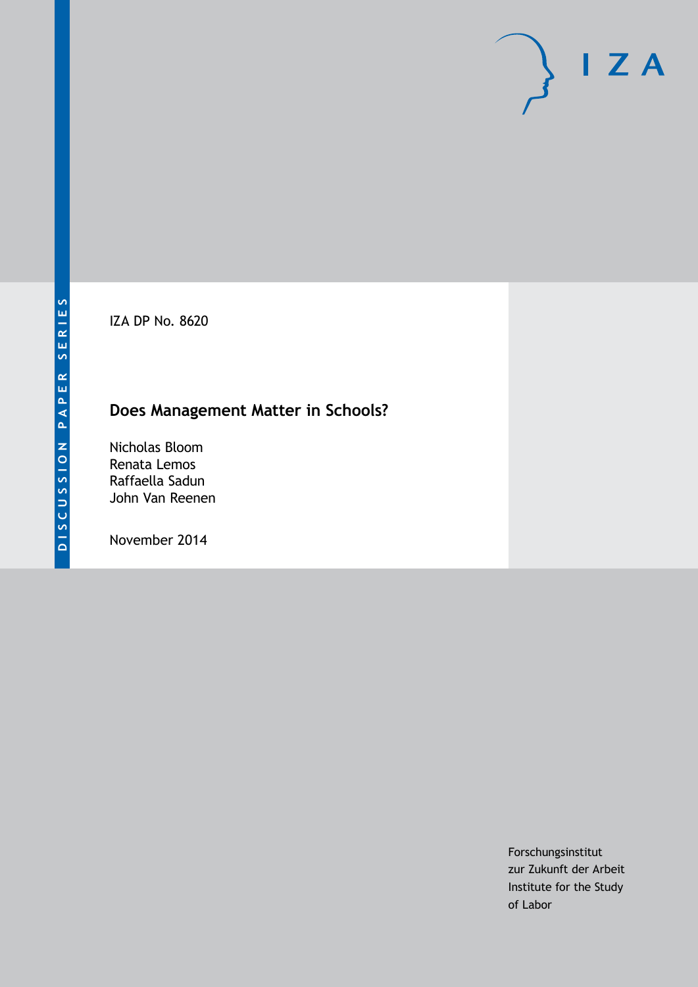IZA DP No. 8620

## **Does Management Matter in Schools?**

Nicholas Bloom Renata Lemos Raffaella Sadun John Van Reenen

November 2014

Forschungsinstitut zur Zukunft der Arbeit Institute for the Study of Labor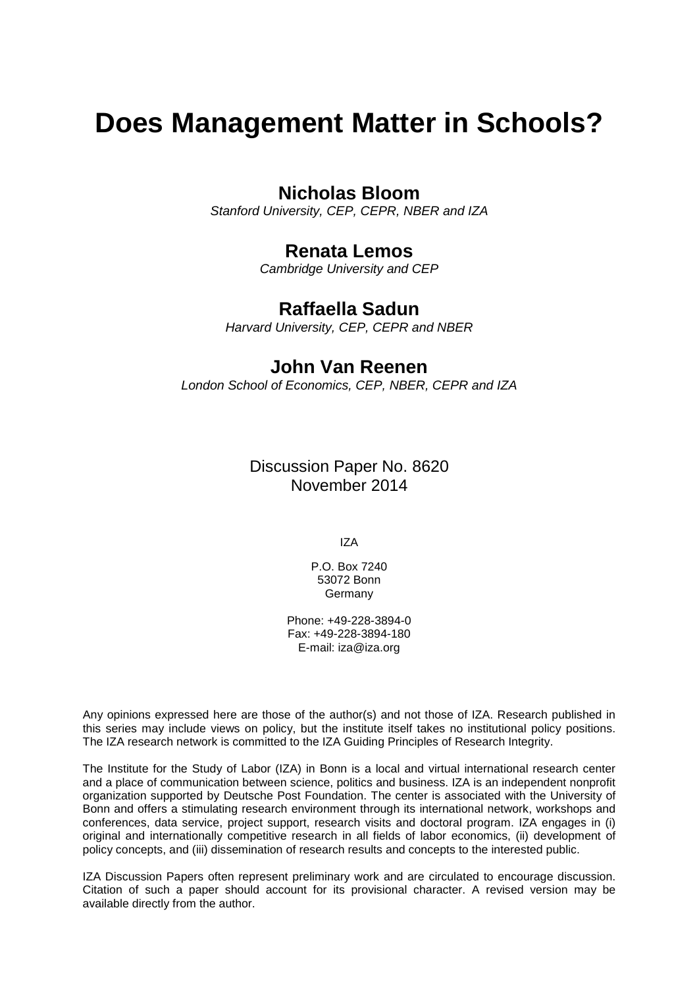# **Does Management Matter in Schools?**

## **Nicholas Bloom**

*Stanford University, CEP, CEPR, NBER and IZA*

## **Renata Lemos**

*Cambridge University and CEP*

## **Raffaella Sadun**

*Harvard University, CEP, CEPR and NBER*

## **John Van Reenen**

*London School of Economics, CEP, NBER, CEPR and IZA*

Discussion Paper No. 8620 November 2014

IZA

P.O. Box 7240 53072 Bonn **Germany** 

Phone: +49-228-3894-0 Fax: +49-228-3894-180 E-mail: [iza@iza.org](mailto:iza@iza.org)

Any opinions expressed here are those of the author(s) and not those of IZA. Research published in this series may include views on policy, but the institute itself takes no institutional policy positions. The IZA research network is committed to the IZA Guiding Principles of Research Integrity.

The Institute for the Study of Labor (IZA) in Bonn is a local and virtual international research center and a place of communication between science, politics and business. IZA is an independent nonprofit organization supported by Deutsche Post Foundation. The center is associated with the University of Bonn and offers a stimulating research environment through its international network, workshops and conferences, data service, project support, research visits and doctoral program. IZA engages in (i) original and internationally competitive research in all fields of labor economics, (ii) development of policy concepts, and (iii) dissemination of research results and concepts to the interested public.

<span id="page-1-0"></span>IZA Discussion Papers often represent preliminary work and are circulated to encourage discussion. Citation of such a paper should account for its provisional character. A revised version may be available directly from the author.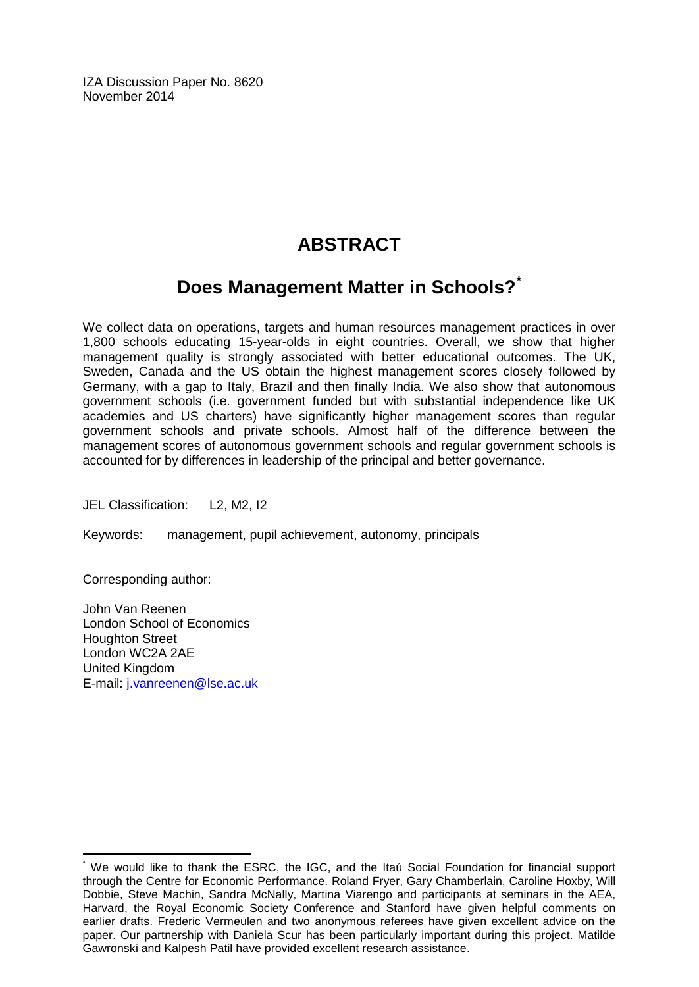IZA Discussion Paper No. 8620 November 2014

## **ABSTRACT**

## **Does Management Matter in Schools?[\\*](#page-1-0)**

We collect data on operations, targets and human resources management practices in over 1,800 schools educating 15-year-olds in eight countries. Overall, we show that higher management quality is strongly associated with better educational outcomes. The UK, Sweden, Canada and the US obtain the highest management scores closely followed by Germany, with a gap to Italy, Brazil and then finally India. We also show that autonomous government schools (i.e. government funded but with substantial independence like UK academies and US charters) have significantly higher management scores than regular government schools and private schools. Almost half of the difference between the management scores of autonomous government schools and regular government schools is accounted for by differences in leadership of the principal and better governance.

JEL Classification: L2, M2, I2

Keywords: management, pupil achievement, autonomy, principals

Corresponding author:

John Van Reenen London School of Economics Houghton Street London WC2A 2AE United Kingdom E-mail: [j.vanreenen@lse.ac.uk](mailto:j.vanreenen@lse.ac.uk)

We would like to thank the ESRC, the IGC, and the Itaú Social Foundation for financial support through the Centre for Economic Performance. Roland Fryer, Gary Chamberlain, Caroline Hoxby, Will Dobbie, Steve Machin, Sandra McNally, Martina Viarengo and participants at seminars in the AEA, Harvard, the Royal Economic Society Conference and Stanford have given helpful comments on earlier drafts. Frederic Vermeulen and two anonymous referees have given excellent advice on the paper. Our partnership with Daniela Scur has been particularly important during this project. Matilde Gawronski and Kalpesh Patil have provided excellent research assistance.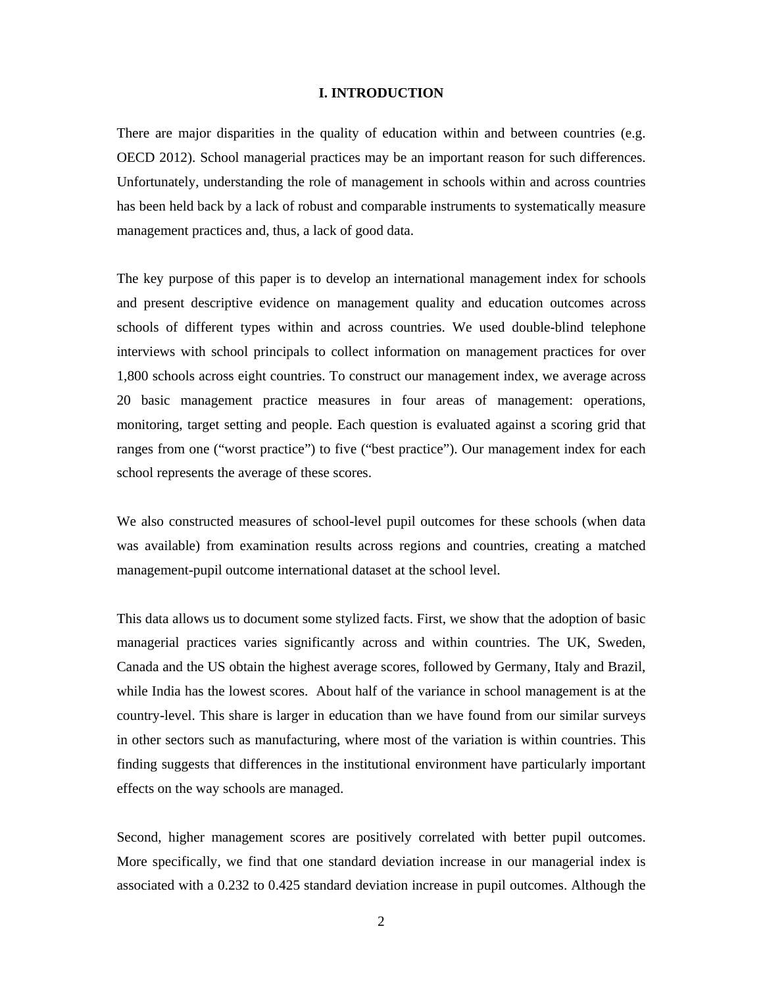#### **I. INTRODUCTION**

There are major disparities in the quality of education within and between countries (e.g. OECD 2012). School managerial practices may be an important reason for such differences. Unfortunately, understanding the role of management in schools within and across countries has been held back by a lack of robust and comparable instruments to systematically measure management practices and, thus, a lack of good data.

The key purpose of this paper is to develop an international management index for schools and present descriptive evidence on management quality and education outcomes across schools of different types within and across countries. We used double-blind telephone interviews with school principals to collect information on management practices for over 1,800 schools across eight countries. To construct our management index, we average across 20 basic management practice measures in four areas of management: operations, monitoring, target setting and people. Each question is evaluated against a scoring grid that ranges from one ("worst practice") to five ("best practice"). Our management index for each school represents the average of these scores.

We also constructed measures of school-level pupil outcomes for these schools (when data was available) from examination results across regions and countries, creating a matched management-pupil outcome international dataset at the school level.

This data allows us to document some stylized facts. First, we show that the adoption of basic managerial practices varies significantly across and within countries. The UK, Sweden, Canada and the US obtain the highest average scores, followed by Germany, Italy and Brazil, while India has the lowest scores. About half of the variance in school management is at the country-level. This share is larger in education than we have found from our similar surveys in other sectors such as manufacturing, where most of the variation is within countries. This finding suggests that differences in the institutional environment have particularly important effects on the way schools are managed.

Second, higher management scores are positively correlated with better pupil outcomes. More specifically, we find that one standard deviation increase in our managerial index is associated with a 0.232 to 0.425 standard deviation increase in pupil outcomes. Although the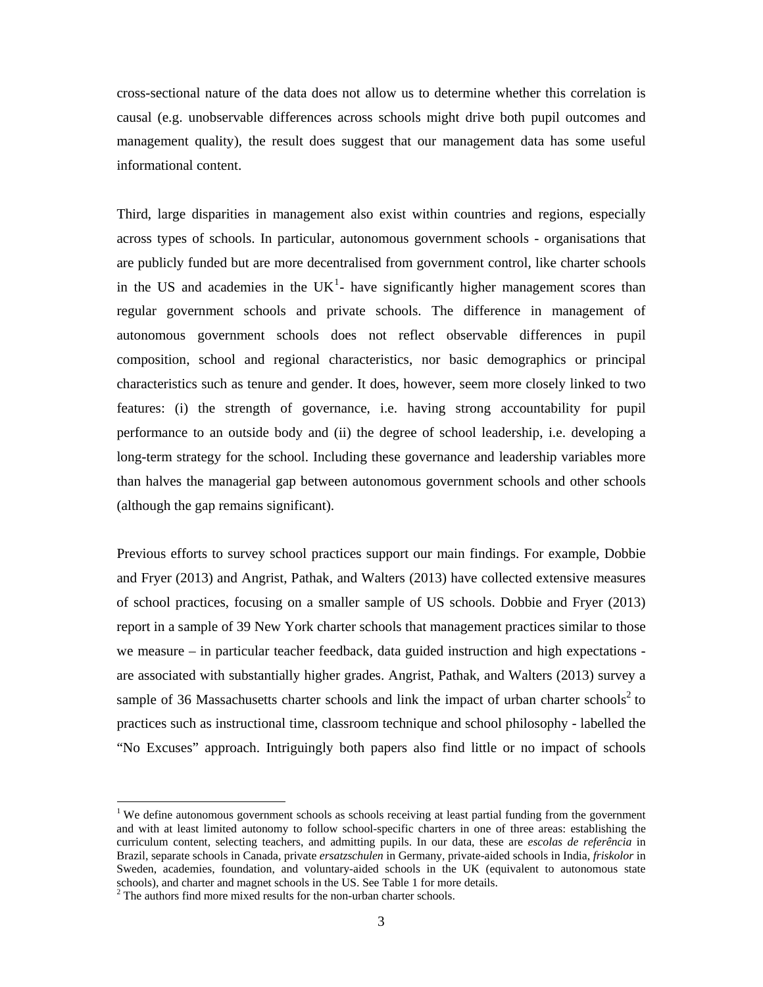cross-sectional nature of the data does not allow us to determine whether this correlation is causal (e.g. unobservable differences across schools might drive both pupil outcomes and management quality), the result does suggest that our management data has some useful informational content.

Third, large disparities in management also exist within countries and regions, especially across types of schools. In particular, autonomous government schools - organisations that are publicly funded but are more decentralised from government control, like charter schools in the US and academies in the UK<sup>1</sup>- have significantly higher management scores than regular government schools and private schools. The difference in management of autonomous government schools does not reflect observable differences in pupil composition, school and regional characteristics, nor basic demographics or principal characteristics such as tenure and gender. It does, however, seem more closely linked to two features: (i) the strength of governance, i.e. having strong accountability for pupil performance to an outside body and (ii) the degree of school leadership, i.e. developing a long-term strategy for the school. Including these governance and leadership variables more than halves the managerial gap between autonomous government schools and other schools (although the gap remains significant).

Previous efforts to survey school practices support our main findings. For example, Dobbie and Fryer (2013) and Angrist, Pathak, and Walters (2013) have collected extensive measures of school practices, focusing on a smaller sample of US schools. Dobbie and Fryer (2013) report in a sample of 39 New York charter schools that management practices similar to those we measure – in particular teacher feedback, data guided instruction and high expectations are associated with substantially higher grades. Angrist, Pathak, and Walters (2013) survey a sample of 36 Massachusetts charter schools and link the impact of urban charter schools<sup>2</sup> to practices such as instructional time, classroom technique and school philosophy - labelled the "No Excuses" approach. Intriguingly both papers also find little or no impact of schools

 

<sup>&</sup>lt;sup>1</sup> We define autonomous government schools as schools receiving at least partial funding from the government and with at least limited autonomy to follow school-specific charters in one of three areas: establishing the curriculum content, selecting teachers, and admitting pupils. In our data, these are *escolas de referência* in Brazil, separate schools in Canada, private *ersatzschulen* in Germany, private-aided schools in India, *friskolor* in Sweden, academies, foundation, and voluntary-aided schools in the UK (equivalent to autonomous state schools), and charter and magnet schools in the US. See Table 1 for more details.

<sup>&</sup>lt;sup>2</sup> The authors find more mixed results for the non-urban charter schools.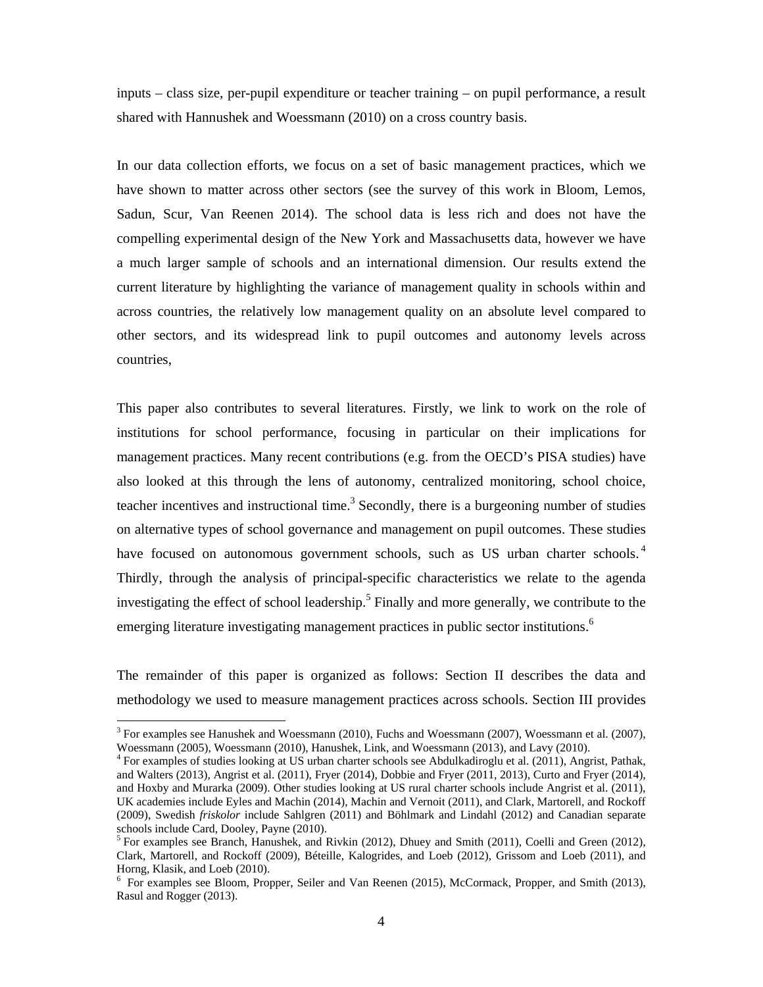inputs – class size, per-pupil expenditure or teacher training – on pupil performance, a result shared with Hannushek and Woessmann (2010) on a cross country basis.

In our data collection efforts, we focus on a set of basic management practices, which we have shown to matter across other sectors (see the survey of this work in Bloom, Lemos, Sadun, Scur, Van Reenen 2014). The school data is less rich and does not have the compelling experimental design of the New York and Massachusetts data, however we have a much larger sample of schools and an international dimension. Our results extend the current literature by highlighting the variance of management quality in schools within and across countries, the relatively low management quality on an absolute level compared to other sectors, and its widespread link to pupil outcomes and autonomy levels across countries,

This paper also contributes to several literatures. Firstly, we link to work on the role of institutions for school performance, focusing in particular on their implications for management practices. Many recent contributions (e.g. from the OECD's PISA studies) have also looked at this through the lens of autonomy, centralized monitoring, school choice, teacher incentives and instructional time.<sup>3</sup> Secondly, there is a burgeoning number of studies on alternative types of school governance and management on pupil outcomes. These studies have focused on autonomous government schools, such as US urban charter schools.<sup>4</sup> Thirdly, through the analysis of principal-specific characteristics we relate to the agenda investigating the effect of school leadership.<sup>5</sup> Finally and more generally, we contribute to the emerging literature investigating management practices in public sector institutions.<sup>6</sup>

The remainder of this paper is organized as follows: Section II describes the data and methodology we used to measure management practices across schools. Section III provides

 

 $3$  For examples see Hanushek and Woessmann (2010), Fuchs and Woessmann (2007), Woessmann et al. (2007), Woessmann (2005), Woessmann (2010), Hanushek, Link, and Woessmann (2013), and Lavy (2010).

<sup>&</sup>lt;sup>4</sup> For examples of studies looking at US urban charter schools see Abdulkadiroglu et al. (2011), Angrist, Pathak, and Walters (2013), Angrist et al. (2011), Fryer (2014), Dobbie and Fryer (2011, 2013), Curto and Fryer (2014), and Hoxby and Murarka (2009). Other studies looking at US rural charter schools include Angrist et al. (2011), UK academies include Eyles and Machin (2014), Machin and Vernoit (2011), and Clark, Martorell, and Rockoff (2009), Swedish *friskolor* include Sahlgren (2011) and Böhlmark and Lindahl (2012) and Canadian separate schools include Card, Dooley, Payne (2010).

<sup>&</sup>lt;sup>5</sup> For examples see Branch, Hanushek, and Rivkin (2012), Dhuey and Smith (2011), Coelli and Green (2012), Clark, Martorell, and Rockoff (2009), Béteille, Kalogrides, and Loeb (2012), Grissom and Loeb (2011), and Horng, Klasik, and Loeb (2010).

<sup>&</sup>lt;sup>6</sup> For examples see Bloom, Propper, Seiler and Van Reenen (2015), McCormack, Propper, and Smith (2013), Rasul and Rogger (2013).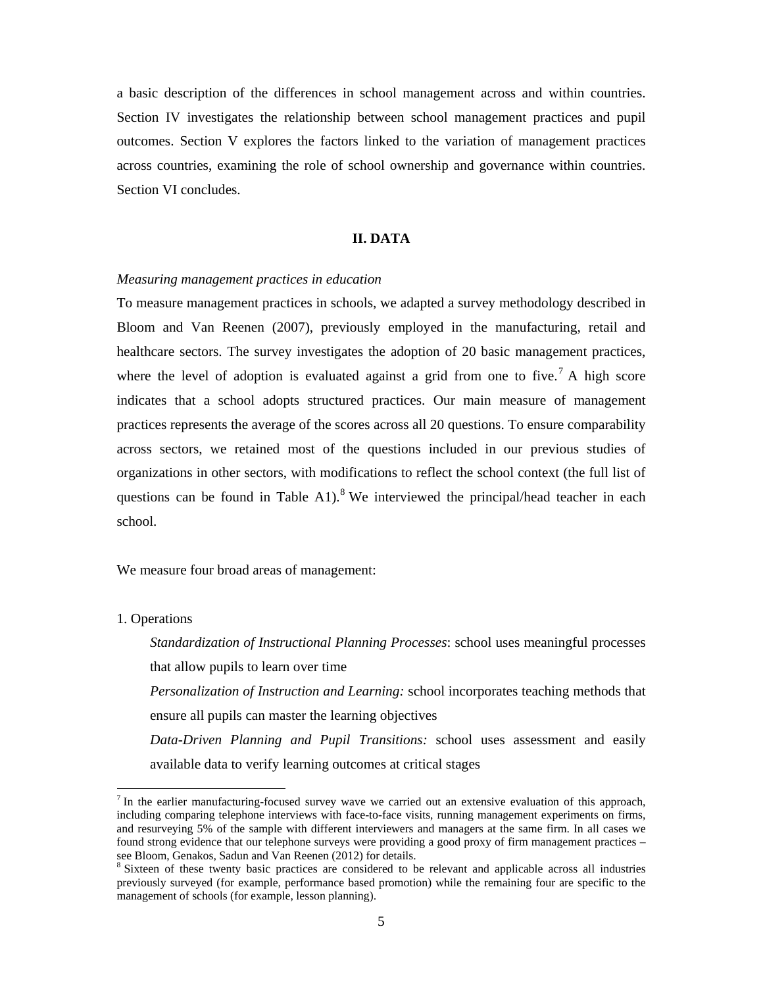a basic description of the differences in school management across and within countries. Section IV investigates the relationship between school management practices and pupil outcomes. Section V explores the factors linked to the variation of management practices across countries, examining the role of school ownership and governance within countries. Section VI concludes.

#### **II. DATA**

#### *Measuring management practices in education*

To measure management practices in schools, we adapted a survey methodology described in Bloom and Van Reenen (2007), previously employed in the manufacturing, retail and healthcare sectors. The survey investigates the adoption of 20 basic management practices, where the level of adoption is evaluated against a grid from one to five.<sup>7</sup> A high score indicates that a school adopts structured practices. Our main measure of management practices represents the average of the scores across all 20 questions. To ensure comparability across sectors, we retained most of the questions included in our previous studies of organizations in other sectors, with modifications to reflect the school context (the full list of questions can be found in Table A1).<sup>8</sup> We interviewed the principal/head teacher in each school.

We measure four broad areas of management:

#### 1. Operations

 

*Standardization of Instructional Planning Processes*: school uses meaningful processes that allow pupils to learn over time *Personalization of Instruction and Learning:* school incorporates teaching methods that ensure all pupils can master the learning objectives *Data-Driven Planning and Pupil Transitions:* school uses assessment and easily available data to verify learning outcomes at critical stages

 $<sup>7</sup>$  In the earlier manufacturing-focused survey wave we carried out an extensive evaluation of this approach,</sup> including comparing telephone interviews with face-to-face visits, running management experiments on firms, and resurveying 5% of the sample with different interviewers and managers at the same firm. In all cases we found strong evidence that our telephone surveys were providing a good proxy of firm management practices – see Bloom, Genakos, Sadun and Van Reenen (2012) for details.

<sup>&</sup>lt;sup>8</sup> Sixteen of these twenty basic practices are considered to be relevant and applicable across all industries previously surveyed (for example, performance based promotion) while the remaining four are specific to the management of schools (for example, lesson planning).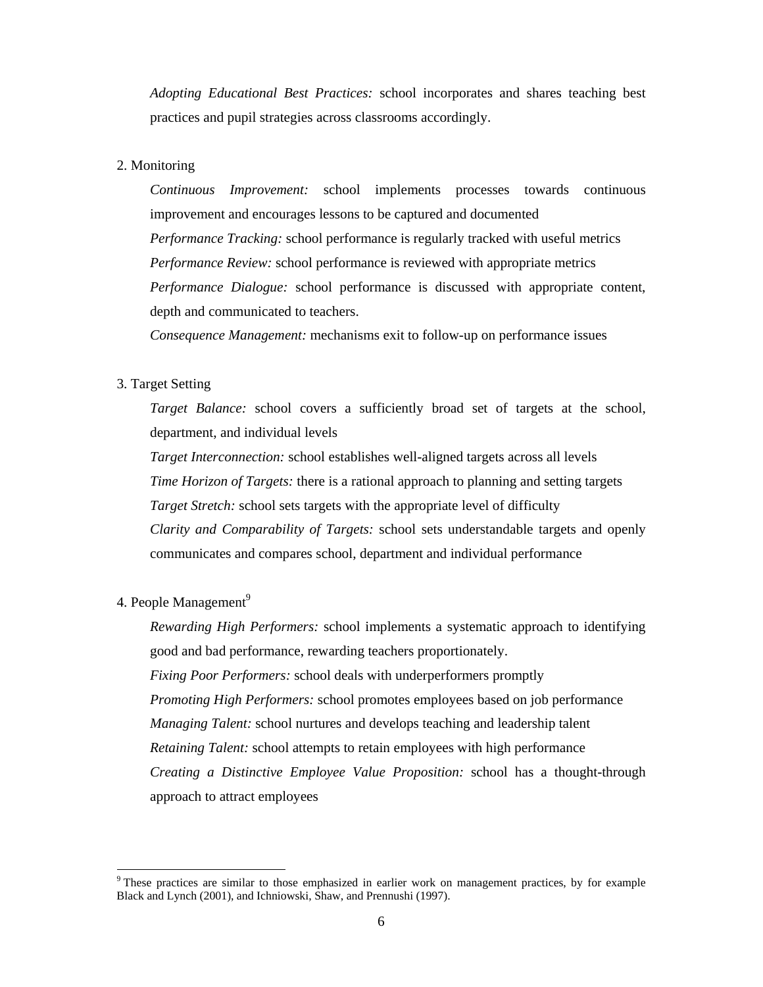*Adopting Educational Best Practices:* school incorporates and shares teaching best practices and pupil strategies across classrooms accordingly.

#### 2. Monitoring

*Continuous Improvement:* school implements processes towards continuous improvement and encourages lessons to be captured and documented *Performance Tracking:* school performance is regularly tracked with useful metrics *Performance Review:* school performance is reviewed with appropriate metrics *Performance Dialogue:* school performance is discussed with appropriate content, depth and communicated to teachers.

*Consequence Management:* mechanisms exit to follow-up on performance issues

#### 3. Target Setting

*Target Balance:* school covers a sufficiently broad set of targets at the school, department, and individual levels

*Target Interconnection:* school establishes well-aligned targets across all levels *Time Horizon of Targets:* there is a rational approach to planning and setting targets *Target Stretch:* school sets targets with the appropriate level of difficulty *Clarity and Comparability of Targets:* school sets understandable targets and openly communicates and compares school, department and individual performance

#### 4. People Management<sup>9</sup>

 

*Rewarding High Performers:* school implements a systematic approach to identifying good and bad performance, rewarding teachers proportionately. *Fixing Poor Performers:* school deals with underperformers promptly *Promoting High Performers:* school promotes employees based on job performance *Managing Talent:* school nurtures and develops teaching and leadership talent *Retaining Talent:* school attempts to retain employees with high performance *Creating a Distinctive Employee Value Proposition:* school has a thought-through approach to attract employees

<sup>&</sup>lt;sup>9</sup> These practices are similar to those emphasized in earlier work on management practices, by for example Black and Lynch (2001), and Ichniowski, Shaw, and Prennushi (1997).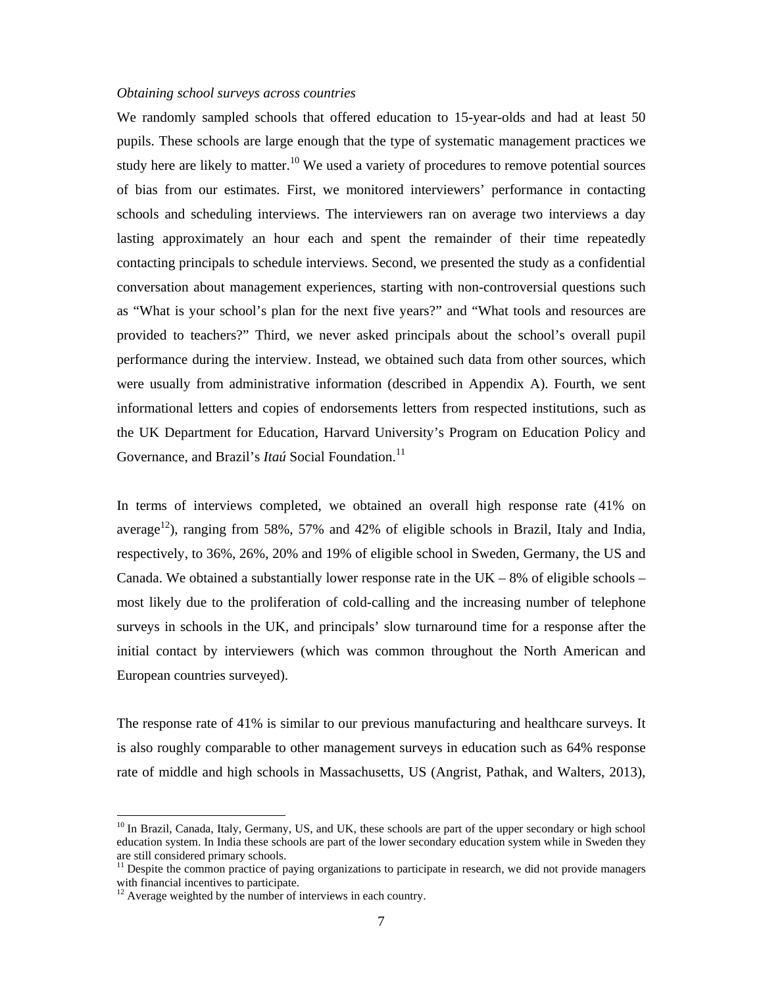#### *Obtaining school surveys across countries*

We randomly sampled schools that offered education to 15-year-olds and had at least 50 pupils. These schools are large enough that the type of systematic management practices we study here are likely to matter.<sup>10</sup> We used a variety of procedures to remove potential sources of bias from our estimates. First, we monitored interviewers' performance in contacting schools and scheduling interviews. The interviewers ran on average two interviews a day lasting approximately an hour each and spent the remainder of their time repeatedly contacting principals to schedule interviews. Second, we presented the study as a confidential conversation about management experiences, starting with non-controversial questions such as "What is your school's plan for the next five years?" and "What tools and resources are provided to teachers?" Third, we never asked principals about the school's overall pupil performance during the interview. Instead, we obtained such data from other sources, which were usually from administrative information (described in Appendix A). Fourth, we sent informational letters and copies of endorsements letters from respected institutions, such as the UK Department for Education, Harvard University's Program on Education Policy and Governance, and Brazil's *Itaú* Social Foundation.<sup>11</sup>

In terms of interviews completed, we obtained an overall high response rate (41% on average<sup>12</sup>), ranging from 58%, 57% and 42% of eligible schools in Brazil, Italy and India, respectively, to 36%, 26%, 20% and 19% of eligible school in Sweden, Germany, the US and Canada. We obtained a substantially lower response rate in the  $UK - 8%$  of eligible schools – most likely due to the proliferation of cold-calling and the increasing number of telephone surveys in schools in the UK, and principals' slow turnaround time for a response after the initial contact by interviewers (which was common throughout the North American and European countries surveyed).

The response rate of 41% is similar to our previous manufacturing and healthcare surveys. It is also roughly comparable to other management surveys in education such as 64% response rate of middle and high schools in Massachusetts, US (Angrist, Pathak, and Walters, 2013),

 

<sup>&</sup>lt;sup>10</sup> In Brazil, Canada, Italy, Germany, US, and UK, these schools are part of the upper secondary or high school education system. In India these schools are part of the lower secondary education system while in Sweden they are still considered primary schools.

<sup>&</sup>lt;sup>11</sup> Despite the common practice of paying organizations to participate in research, we did not provide managers with financial incentives to participate.

<sup>&</sup>lt;sup>12</sup> Average weighted by the number of interviews in each country.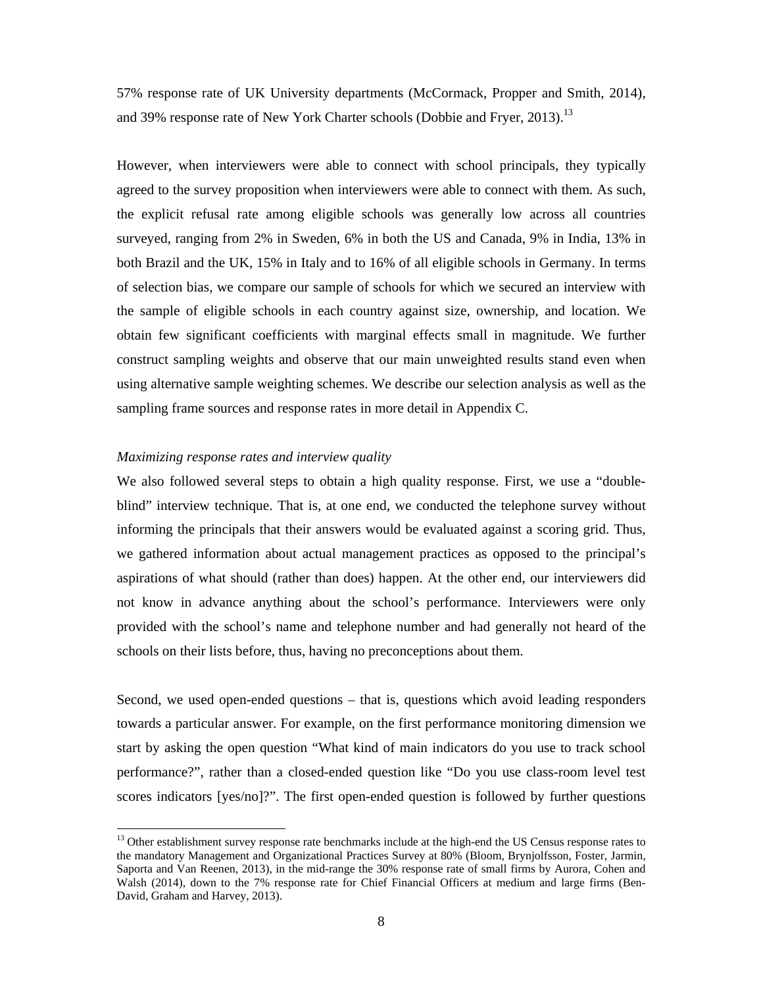57% response rate of UK University departments (McCormack, Propper and Smith, 2014), and 39% response rate of New York Charter schools (Dobbie and Fryer, 2013).<sup>13</sup>

However, when interviewers were able to connect with school principals, they typically agreed to the survey proposition when interviewers were able to connect with them. As such, the explicit refusal rate among eligible schools was generally low across all countries surveyed, ranging from 2% in Sweden, 6% in both the US and Canada, 9% in India, 13% in both Brazil and the UK, 15% in Italy and to 16% of all eligible schools in Germany. In terms of selection bias, we compare our sample of schools for which we secured an interview with the sample of eligible schools in each country against size, ownership, and location. We obtain few significant coefficients with marginal effects small in magnitude. We further construct sampling weights and observe that our main unweighted results stand even when using alternative sample weighting schemes. We describe our selection analysis as well as the sampling frame sources and response rates in more detail in Appendix C.

#### *Maximizing response rates and interview quality*

 

We also followed several steps to obtain a high quality response. First, we use a "doubleblind" interview technique. That is, at one end, we conducted the telephone survey without informing the principals that their answers would be evaluated against a scoring grid. Thus, we gathered information about actual management practices as opposed to the principal's aspirations of what should (rather than does) happen. At the other end, our interviewers did not know in advance anything about the school's performance. Interviewers were only provided with the school's name and telephone number and had generally not heard of the schools on their lists before, thus, having no preconceptions about them.

Second, we used open-ended questions – that is, questions which avoid leading responders towards a particular answer. For example, on the first performance monitoring dimension we start by asking the open question "What kind of main indicators do you use to track school performance?", rather than a closed-ended question like "Do you use class-room level test scores indicators [yes/no]?". The first open-ended question is followed by further questions

<sup>&</sup>lt;sup>13</sup> Other establishment survey response rate benchmarks include at the high-end the US Census response rates to the mandatory Management and Organizational Practices Survey at 80% (Bloom, Brynjolfsson, Foster, Jarmin, Saporta and Van Reenen, 2013), in the mid-range the 30% response rate of small firms by Aurora, Cohen and Walsh (2014), down to the 7% response rate for Chief Financial Officers at medium and large firms (Ben-David, Graham and Harvey, 2013).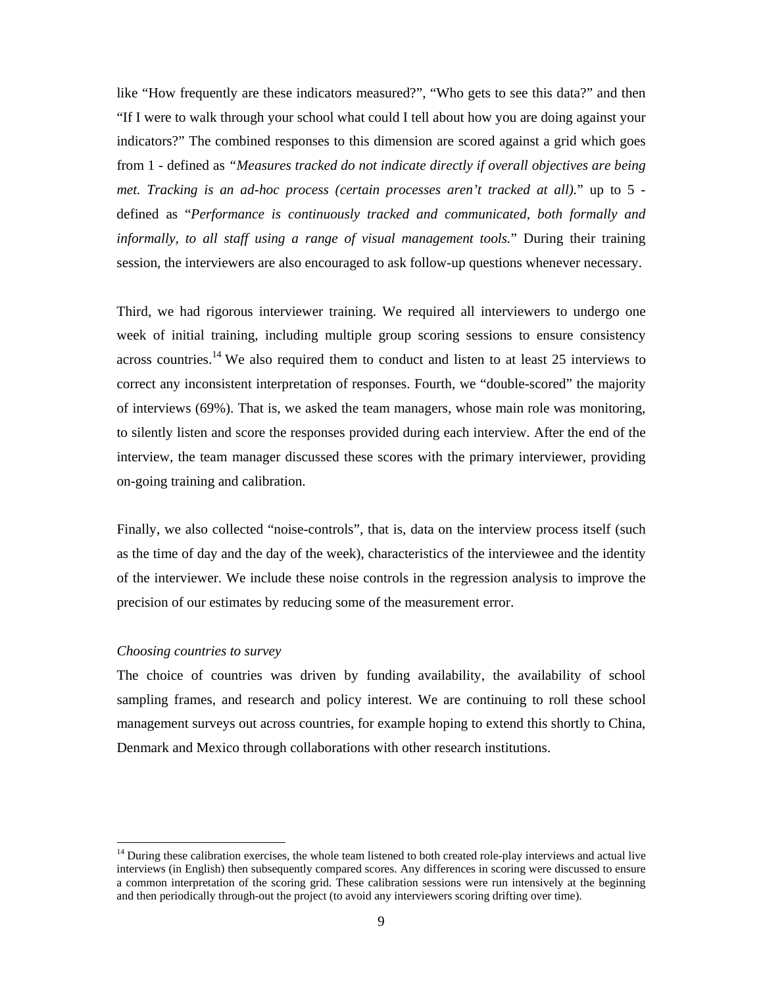like "How frequently are these indicators measured?", "Who gets to see this data?" and then "If I were to walk through your school what could I tell about how you are doing against your indicators?" The combined responses to this dimension are scored against a grid which goes from 1 - defined as *"Measures tracked do not indicate directly if overall objectives are being met. Tracking is an ad-hoc process (certain processes aren't tracked at all).*" up to 5 defined as "*Performance is continuously tracked and communicated, both formally and informally, to all staff using a range of visual management tools.*" During their training session, the interviewers are also encouraged to ask follow-up questions whenever necessary.

Third, we had rigorous interviewer training. We required all interviewers to undergo one week of initial training, including multiple group scoring sessions to ensure consistency across countries.<sup>14</sup> We also required them to conduct and listen to at least  $25$  interviews to correct any inconsistent interpretation of responses. Fourth, we "double-scored" the majority of interviews (69%). That is, we asked the team managers, whose main role was monitoring, to silently listen and score the responses provided during each interview. After the end of the interview, the team manager discussed these scores with the primary interviewer, providing on-going training and calibration.

Finally, we also collected "noise-controls", that is, data on the interview process itself (such as the time of day and the day of the week), characteristics of the interviewee and the identity of the interviewer. We include these noise controls in the regression analysis to improve the precision of our estimates by reducing some of the measurement error.

#### *Choosing countries to survey*

 

The choice of countries was driven by funding availability, the availability of school sampling frames, and research and policy interest. We are continuing to roll these school management surveys out across countries, for example hoping to extend this shortly to China, Denmark and Mexico through collaborations with other research institutions.

 $14$  During these calibration exercises, the whole team listened to both created role-play interviews and actual live interviews (in English) then subsequently compared scores. Any differences in scoring were discussed to ensure a common interpretation of the scoring grid. These calibration sessions were run intensively at the beginning and then periodically through-out the project (to avoid any interviewers scoring drifting over time).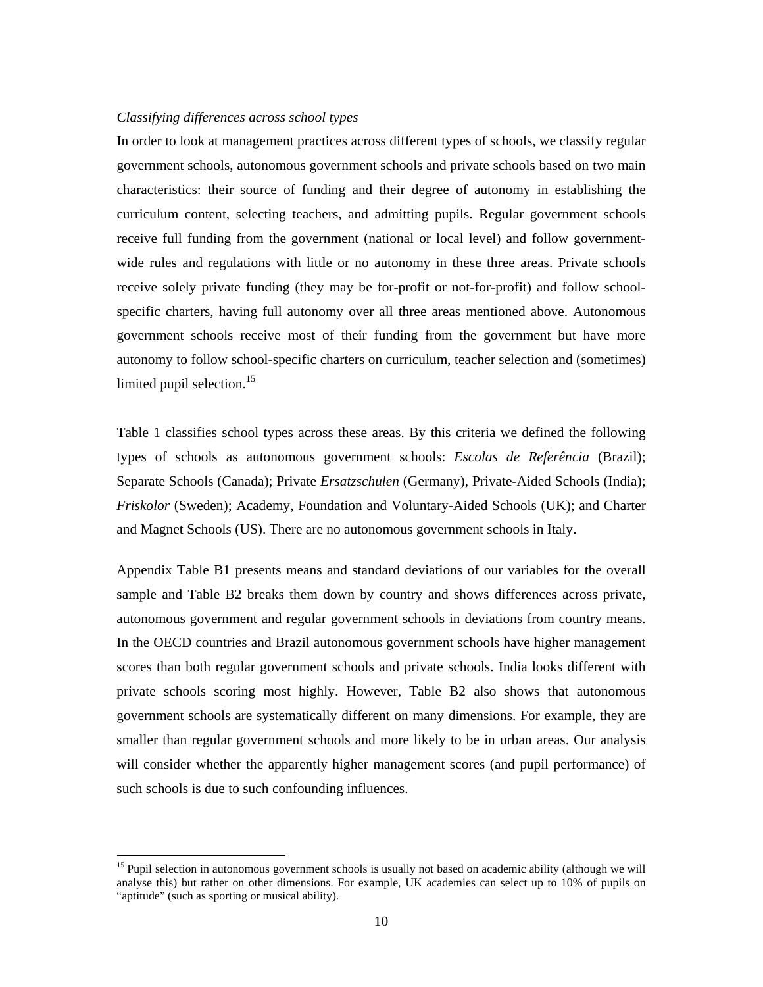#### *Classifying differences across school types*

 

In order to look at management practices across different types of schools, we classify regular government schools, autonomous government schools and private schools based on two main characteristics: their source of funding and their degree of autonomy in establishing the curriculum content, selecting teachers, and admitting pupils. Regular government schools receive full funding from the government (national or local level) and follow governmentwide rules and regulations with little or no autonomy in these three areas. Private schools receive solely private funding (they may be for-profit or not-for-profit) and follow schoolspecific charters, having full autonomy over all three areas mentioned above. Autonomous government schools receive most of their funding from the government but have more autonomy to follow school-specific charters on curriculum, teacher selection and (sometimes) limited pupil selection.<sup>15</sup>

Table 1 classifies school types across these areas. By this criteria we defined the following types of schools as autonomous government schools: *Escolas de Referência* (Brazil); Separate Schools (Canada); Private *Ersatzschulen* (Germany), Private-Aided Schools (India); *Friskolor* (Sweden); Academy, Foundation and Voluntary-Aided Schools (UK); and Charter and Magnet Schools (US). There are no autonomous government schools in Italy.

Appendix Table B1 presents means and standard deviations of our variables for the overall sample and Table B2 breaks them down by country and shows differences across private, autonomous government and regular government schools in deviations from country means. In the OECD countries and Brazil autonomous government schools have higher management scores than both regular government schools and private schools. India looks different with private schools scoring most highly. However, Table B2 also shows that autonomous government schools are systematically different on many dimensions. For example, they are smaller than regular government schools and more likely to be in urban areas. Our analysis will consider whether the apparently higher management scores (and pupil performance) of such schools is due to such confounding influences.

<sup>&</sup>lt;sup>15</sup> Pupil selection in autonomous government schools is usually not based on academic ability (although we will analyse this) but rather on other dimensions. For example, UK academies can select up to 10% of pupils on "aptitude" (such as sporting or musical ability).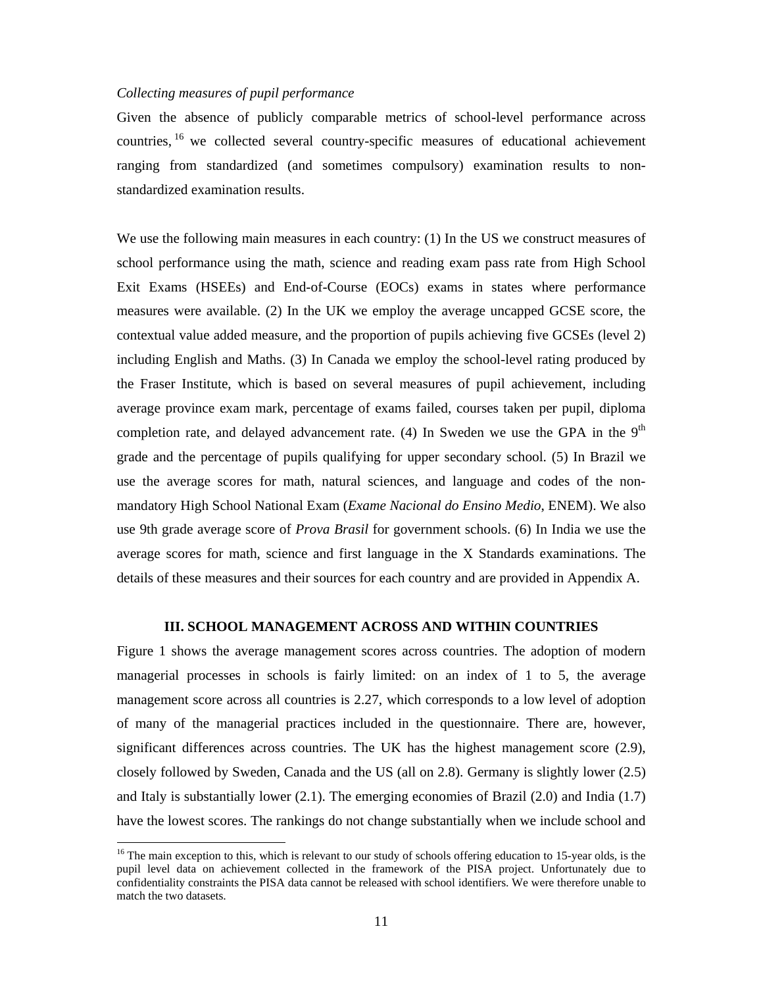#### *Collecting measures of pupil performance*

 

Given the absence of publicly comparable metrics of school-level performance across countries, 16 we collected several country-specific measures of educational achievement ranging from standardized (and sometimes compulsory) examination results to nonstandardized examination results.

We use the following main measures in each country: (1) In the US we construct measures of school performance using the math, science and reading exam pass rate from High School Exit Exams (HSEEs) and End-of-Course (EOCs) exams in states where performance measures were available. (2) In the UK we employ the average uncapped GCSE score, the contextual value added measure, and the proportion of pupils achieving five GCSEs (level 2) including English and Maths. (3) In Canada we employ the school-level rating produced by the Fraser Institute, which is based on several measures of pupil achievement, including average province exam mark, percentage of exams failed, courses taken per pupil, diploma completion rate, and delayed advancement rate. (4) In Sweden we use the GPA in the  $9<sup>th</sup>$ grade and the percentage of pupils qualifying for upper secondary school. (5) In Brazil we use the average scores for math, natural sciences, and language and codes of the nonmandatory High School National Exam (*Exame Nacional do Ensino Medio*, ENEM). We also use 9th grade average score of *Prova Brasil* for government schools. (6) In India we use the average scores for math, science and first language in the X Standards examinations. The details of these measures and their sources for each country and are provided in Appendix A.

#### **III. SCHOOL MANAGEMENT ACROSS AND WITHIN COUNTRIES**

Figure 1 shows the average management scores across countries. The adoption of modern managerial processes in schools is fairly limited: on an index of 1 to 5, the average management score across all countries is 2.27, which corresponds to a low level of adoption of many of the managerial practices included in the questionnaire. There are, however, significant differences across countries. The UK has the highest management score (2.9), closely followed by Sweden, Canada and the US (all on 2.8). Germany is slightly lower (2.5) and Italy is substantially lower (2.1). The emerging economies of Brazil (2.0) and India (1.7) have the lowest scores. The rankings do not change substantially when we include school and

<sup>&</sup>lt;sup>16</sup> The main exception to this, which is relevant to our study of schools offering education to 15-year olds, is the pupil level data on achievement collected in the framework of the PISA project. Unfortunately due to confidentiality constraints the PISA data cannot be released with school identifiers. We were therefore unable to match the two datasets.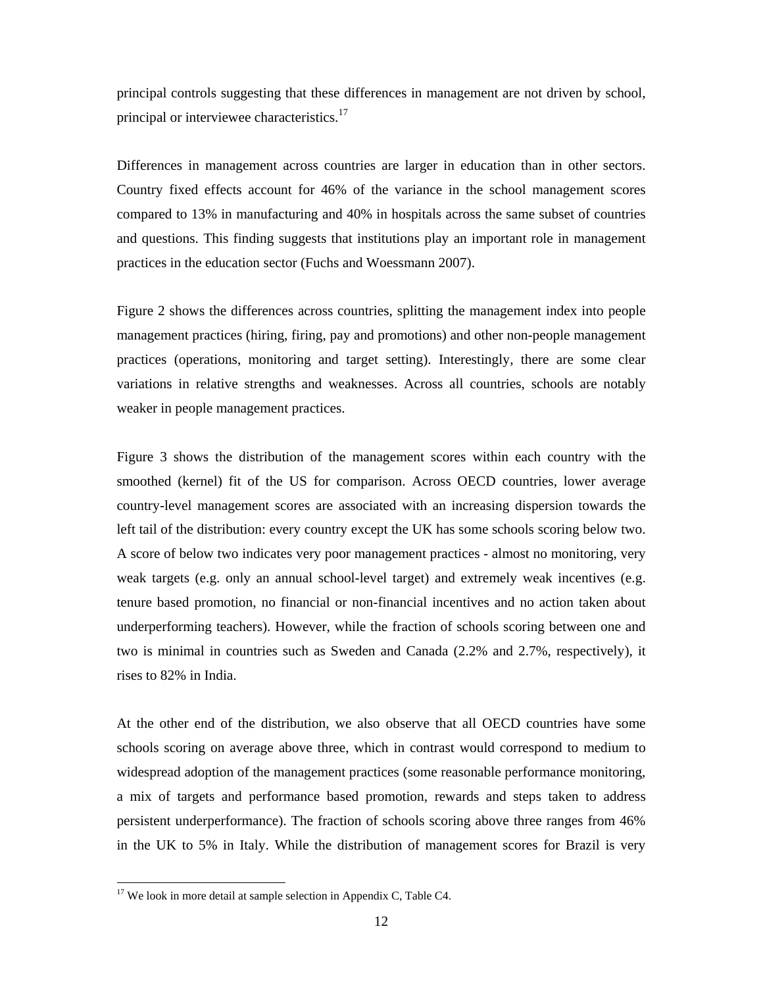principal controls suggesting that these differences in management are not driven by school, principal or interviewee characteristics.<sup>17</sup>

Differences in management across countries are larger in education than in other sectors. Country fixed effects account for 46% of the variance in the school management scores compared to 13% in manufacturing and 40% in hospitals across the same subset of countries and questions. This finding suggests that institutions play an important role in management practices in the education sector (Fuchs and Woessmann 2007).

Figure 2 shows the differences across countries, splitting the management index into people management practices (hiring, firing, pay and promotions) and other non-people management practices (operations, monitoring and target setting). Interestingly, there are some clear variations in relative strengths and weaknesses. Across all countries, schools are notably weaker in people management practices.

Figure 3 shows the distribution of the management scores within each country with the smoothed (kernel) fit of the US for comparison. Across OECD countries, lower average country-level management scores are associated with an increasing dispersion towards the left tail of the distribution: every country except the UK has some schools scoring below two. A score of below two indicates very poor management practices - almost no monitoring, very weak targets (e.g. only an annual school-level target) and extremely weak incentives (e.g. tenure based promotion, no financial or non-financial incentives and no action taken about underperforming teachers). However, while the fraction of schools scoring between one and two is minimal in countries such as Sweden and Canada (2.2% and 2.7%, respectively), it rises to 82% in India.

At the other end of the distribution, we also observe that all OECD countries have some schools scoring on average above three, which in contrast would correspond to medium to widespread adoption of the management practices (some reasonable performance monitoring, a mix of targets and performance based promotion, rewards and steps taken to address persistent underperformance). The fraction of schools scoring above three ranges from 46% in the UK to 5% in Italy. While the distribution of management scores for Brazil is very

 

 $17$  We look in more detail at sample selection in Appendix C, Table C4.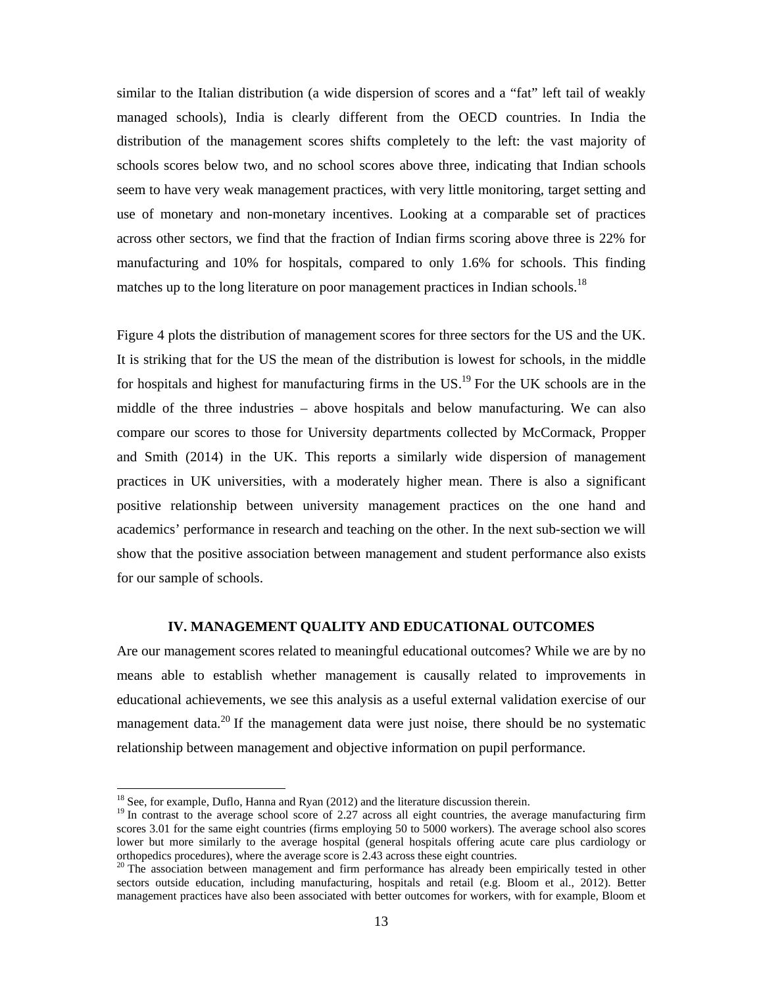similar to the Italian distribution (a wide dispersion of scores and a "fat" left tail of weakly managed schools), India is clearly different from the OECD countries. In India the distribution of the management scores shifts completely to the left: the vast majority of schools scores below two, and no school scores above three, indicating that Indian schools seem to have very weak management practices, with very little monitoring, target setting and use of monetary and non-monetary incentives. Looking at a comparable set of practices across other sectors, we find that the fraction of Indian firms scoring above three is 22% for manufacturing and 10% for hospitals, compared to only 1.6% for schools. This finding matches up to the long literature on poor management practices in Indian schools.<sup>18</sup>

Figure 4 plots the distribution of management scores for three sectors for the US and the UK. It is striking that for the US the mean of the distribution is lowest for schools, in the middle for hospitals and highest for manufacturing firms in the  $US<sup>19</sup>$  For the UK schools are in the middle of the three industries – above hospitals and below manufacturing. We can also compare our scores to those for University departments collected by McCormack, Propper and Smith (2014) in the UK. This reports a similarly wide dispersion of management practices in UK universities, with a moderately higher mean. There is also a significant positive relationship between university management practices on the one hand and academics' performance in research and teaching on the other. In the next sub-section we will show that the positive association between management and student performance also exists for our sample of schools.

#### **IV. MANAGEMENT QUALITY AND EDUCATIONAL OUTCOMES**

Are our management scores related to meaningful educational outcomes? While we are by no means able to establish whether management is causally related to improvements in educational achievements, we see this analysis as a useful external validation exercise of our management data.<sup>20</sup> If the management data were just noise, there should be no systematic relationship between management and objective information on pupil performance.

 

 $18$  See, for example, Duflo, Hanna and Ryan (2012) and the literature discussion therein.

<sup>&</sup>lt;sup>19</sup> In contrast to the average school score of 2.27 across all eight countries, the average manufacturing firm scores 3.01 for the same eight countries (firms employing 50 to 5000 workers). The average school also scores lower but more similarly to the average hospital (general hospitals offering acute care plus cardiology or orthopedics procedures), where the average score is 2.43 across these eight countries.

<sup>&</sup>lt;sup>20</sup> The association between management and firm performance has already been empirically tested in other sectors outside education, including manufacturing, hospitals and retail (e.g. Bloom et al., 2012). Better management practices have also been associated with better outcomes for workers, with for example, Bloom et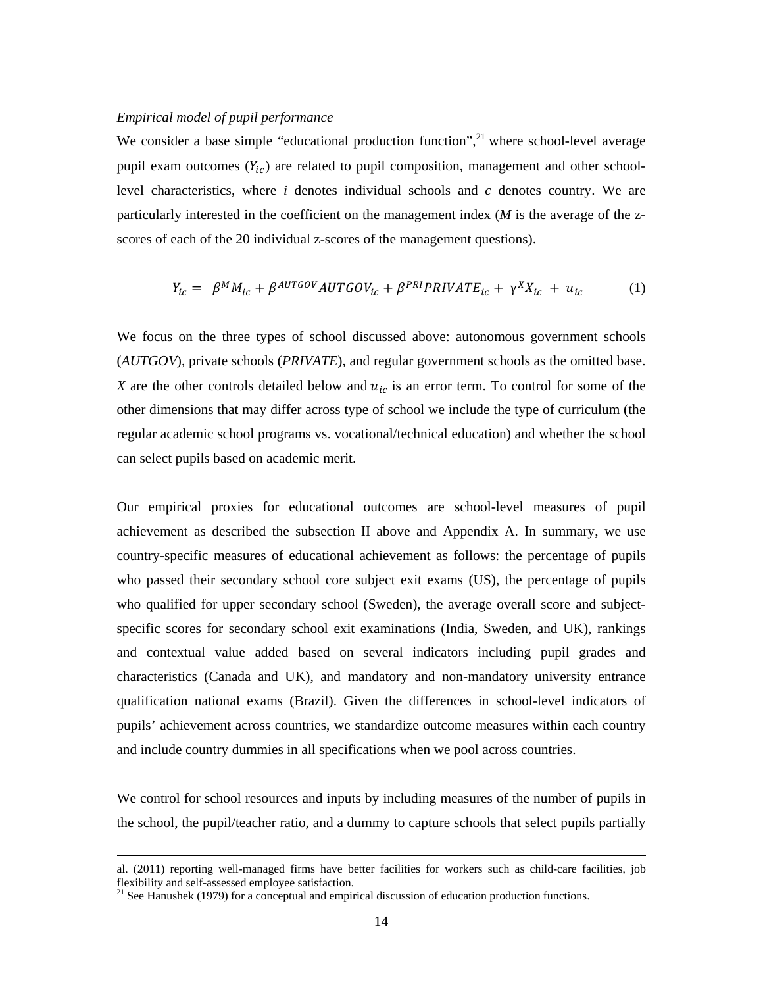#### *Empirical model of pupil performance*

We consider a base simple "educational production function", $^{21}$  where school-level average pupil exam outcomes  $(Y_{ic})$  are related to pupil composition, management and other schoollevel characteristics, where *i* denotes individual schools and *c* denotes country. We are particularly interested in the coefficient on the management index (*M* is the average of the zscores of each of the 20 individual z-scores of the management questions).

$$
Y_{ic} = \beta^{M} M_{ic} + \beta^{AUTGOV} AUTGOV_{ic} + \beta^{PRI} PRIVATE_{ic} + \gamma^{X} X_{ic} + u_{ic}
$$
 (1)

We focus on the three types of school discussed above: autonomous government schools (*AUTGOV*), private schools (*PRIVATE*), and regular government schools as the omitted base. *X* are the other controls detailed below and  $u_{ic}$  is an error term. To control for some of the other dimensions that may differ across type of school we include the type of curriculum (the regular academic school programs vs. vocational/technical education) and whether the school can select pupils based on academic merit.

Our empirical proxies for educational outcomes are school-level measures of pupil achievement as described the subsection II above and Appendix A. In summary, we use country-specific measures of educational achievement as follows: the percentage of pupils who passed their secondary school core subject exit exams (US), the percentage of pupils who qualified for upper secondary school (Sweden), the average overall score and subjectspecific scores for secondary school exit examinations (India, Sweden, and UK), rankings and contextual value added based on several indicators including pupil grades and characteristics (Canada and UK), and mandatory and non-mandatory university entrance qualification national exams (Brazil). Given the differences in school-level indicators of pupils' achievement across countries, we standardize outcome measures within each country and include country dummies in all specifications when we pool across countries.

We control for school resources and inputs by including measures of the number of pupils in the school, the pupil/teacher ratio, and a dummy to capture schools that select pupils partially

<sup>&</sup>lt;u> 2000 - Andrea Andrew Maria (h. 1888).</u><br>2001 - Andrew Maria (h. 1889). al. (2011) reporting well-managed firms have better facilities for workers such as child-care facilities, job flexibility and self-assessed employee satisfaction.<br><sup>21</sup> See Hanushek (1979) for a conceptual and empirical discussion of education production functions.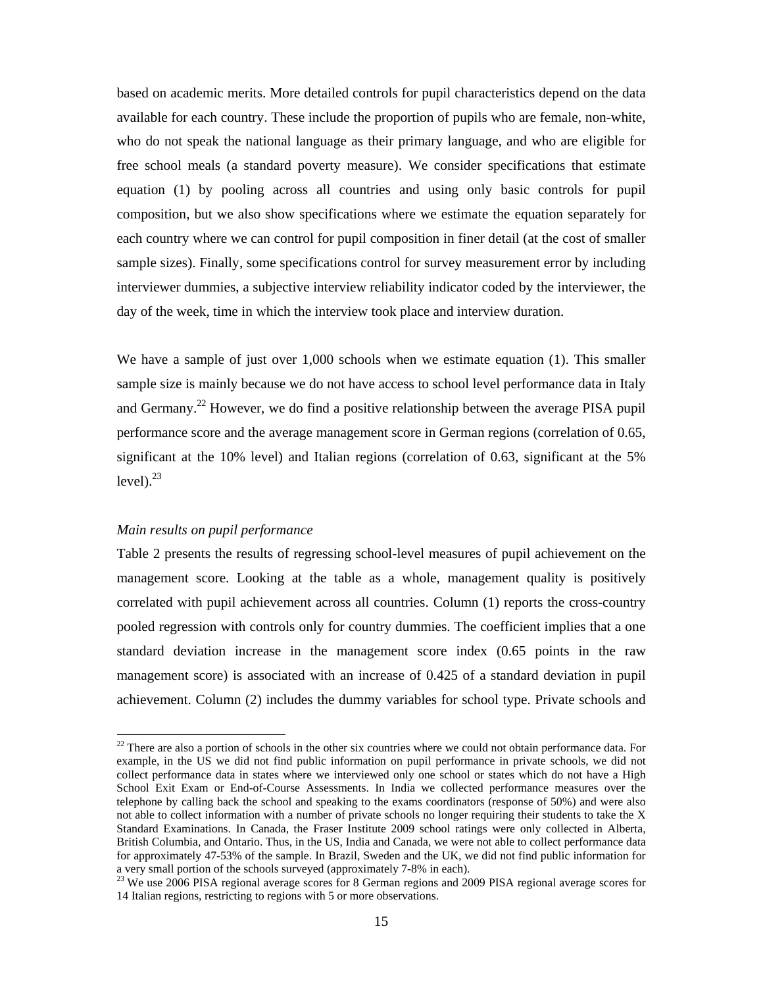based on academic merits. More detailed controls for pupil characteristics depend on the data available for each country. These include the proportion of pupils who are female, non-white, who do not speak the national language as their primary language, and who are eligible for free school meals (a standard poverty measure). We consider specifications that estimate equation (1) by pooling across all countries and using only basic controls for pupil composition, but we also show specifications where we estimate the equation separately for each country where we can control for pupil composition in finer detail (at the cost of smaller sample sizes). Finally, some specifications control for survey measurement error by including interviewer dummies, a subjective interview reliability indicator coded by the interviewer, the day of the week, time in which the interview took place and interview duration.

We have a sample of just over 1,000 schools when we estimate equation (1). This smaller sample size is mainly because we do not have access to school level performance data in Italy and Germany.<sup>22</sup> However, we do find a positive relationship between the average PISA pupil performance score and the average management score in German regions (correlation of 0.65, significant at the 10% level) and Italian regions (correlation of 0.63, significant at the 5% level). $^{23}$ 

#### *Main results on pupil performance*

 

Table 2 presents the results of regressing school-level measures of pupil achievement on the management score. Looking at the table as a whole, management quality is positively correlated with pupil achievement across all countries. Column (1) reports the cross-country pooled regression with controls only for country dummies. The coefficient implies that a one standard deviation increase in the management score index (0.65 points in the raw management score) is associated with an increase of 0.425 of a standard deviation in pupil achievement. Column (2) includes the dummy variables for school type. Private schools and

 $22$  There are also a portion of schools in the other six countries where we could not obtain performance data. For example, in the US we did not find public information on pupil performance in private schools, we did not collect performance data in states where we interviewed only one school or states which do not have a High School Exit Exam or End-of-Course Assessments. In India we collected performance measures over the telephone by calling back the school and speaking to the exams coordinators (response of 50%) and were also not able to collect information with a number of private schools no longer requiring their students to take the X Standard Examinations. In Canada, the Fraser Institute 2009 school ratings were only collected in Alberta, British Columbia, and Ontario. Thus, in the US, India and Canada, we were not able to collect performance data for approximately 47-53% of the sample. In Brazil, Sweden and the UK, we did not find public information for a very small portion of the schools surveyed (approximately 7-8% in each).

<sup>&</sup>lt;sup>23</sup> We use 2006 PISA regional average scores for 8 German regions and 2009 PISA regional average scores for 14 Italian regions, restricting to regions with 5 or more observations.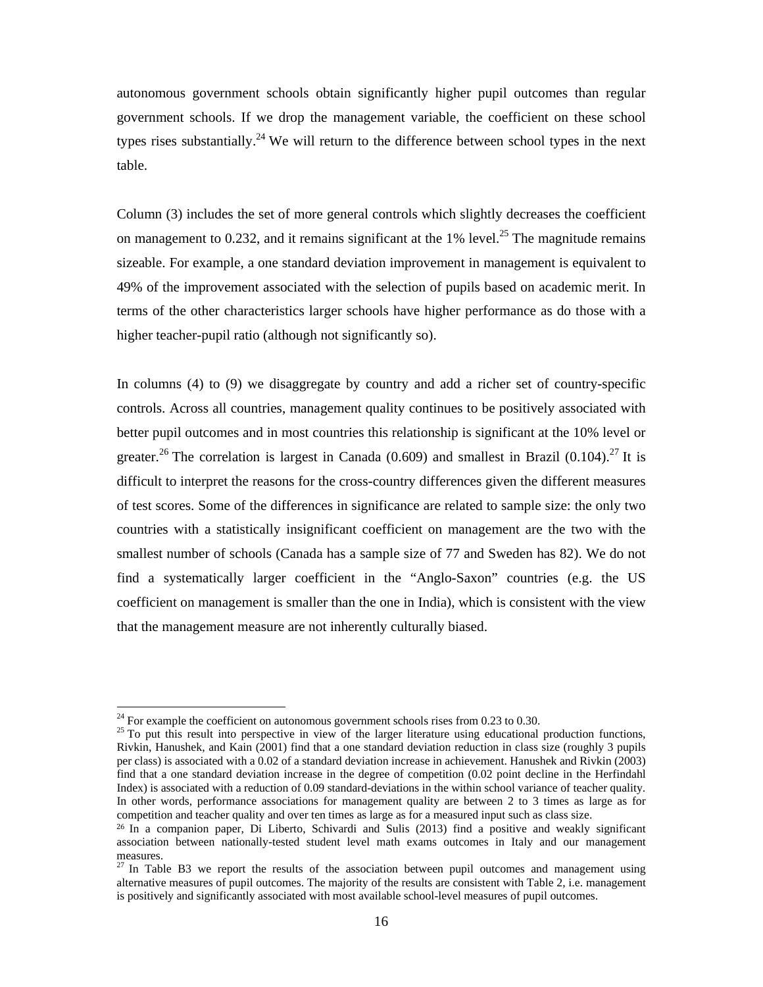autonomous government schools obtain significantly higher pupil outcomes than regular government schools. If we drop the management variable, the coefficient on these school types rises substantially.<sup>24</sup> We will return to the difference between school types in the next table.

Column (3) includes the set of more general controls which slightly decreases the coefficient on management to 0.232, and it remains significant at the 1% level.<sup>25</sup> The magnitude remains sizeable. For example, a one standard deviation improvement in management is equivalent to 49% of the improvement associated with the selection of pupils based on academic merit. In terms of the other characteristics larger schools have higher performance as do those with a higher teacher-pupil ratio (although not significantly so).

In columns (4) to (9) we disaggregate by country and add a richer set of country-specific controls. Across all countries, management quality continues to be positively associated with better pupil outcomes and in most countries this relationship is significant at the 10% level or greater.<sup>26</sup> The correlation is largest in Canada (0.609) and smallest in Brazil (0.104).<sup>27</sup> It is difficult to interpret the reasons for the cross-country differences given the different measures of test scores. Some of the differences in significance are related to sample size: the only two countries with a statistically insignificant coefficient on management are the two with the smallest number of schools (Canada has a sample size of 77 and Sweden has 82). We do not find a systematically larger coefficient in the "Anglo-Saxon" countries (e.g. the US coefficient on management is smaller than the one in India), which is consistent with the view that the management measure are not inherently culturally biased.

 

 $^{24}$  For example the coefficient on autonomous government schools rises from 0.23 to 0.30.

 $25$  To put this result into perspective in view of the larger literature using educational production functions, Rivkin, Hanushek, and Kain (2001) find that a one standard deviation reduction in class size (roughly 3 pupils per class) is associated with a 0.02 of a standard deviation increase in achievement. Hanushek and Rivkin (2003) find that a one standard deviation increase in the degree of competition (0.02 point decline in the Herfindahl Index) is associated with a reduction of 0.09 standard-deviations in the within school variance of teacher quality. In other words, performance associations for management quality are between 2 to 3 times as large as for competition and teacher quality and over ten times as large as for a measured input such as class size.

<sup>26</sup> In a companion paper, Di Liberto, Schivardi and Sulis (2013) find a positive and weakly significant association between nationally-tested student level math exams outcomes in Italy and our management measures.

 $27 \text{ In Table B3}$  we report the results of the association between pupil outcomes and management using alternative measures of pupil outcomes. The majority of the results are consistent with Table 2, i.e. management is positively and significantly associated with most available school-level measures of pupil outcomes.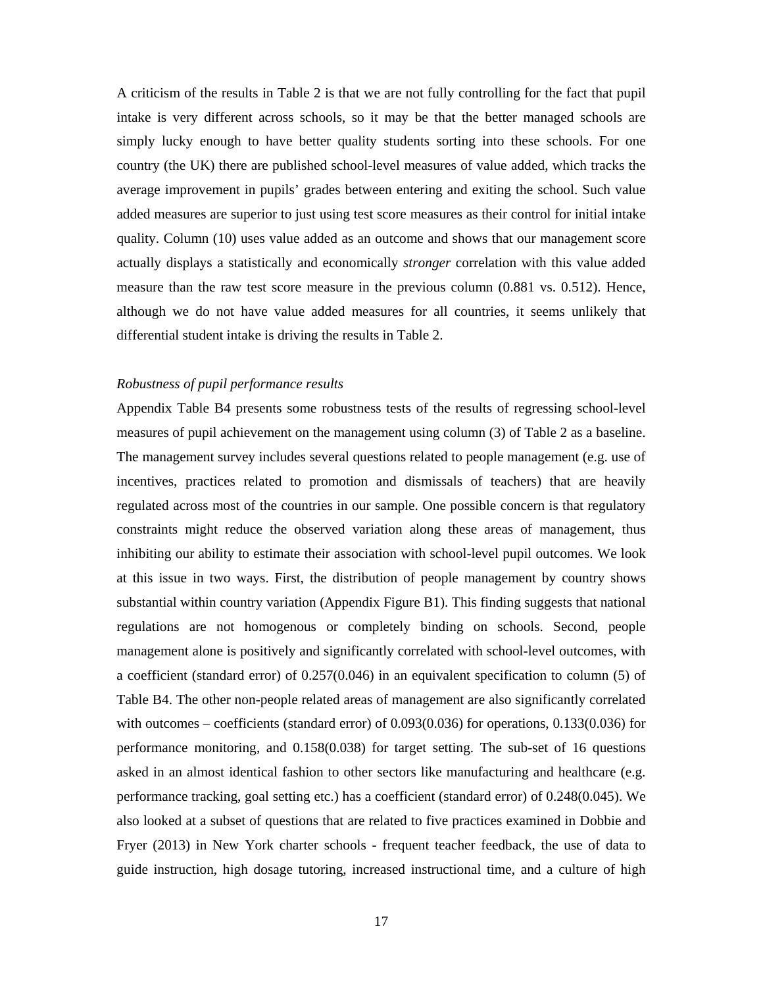A criticism of the results in Table 2 is that we are not fully controlling for the fact that pupil intake is very different across schools, so it may be that the better managed schools are simply lucky enough to have better quality students sorting into these schools. For one country (the UK) there are published school-level measures of value added, which tracks the average improvement in pupils' grades between entering and exiting the school. Such value added measures are superior to just using test score measures as their control for initial intake quality. Column (10) uses value added as an outcome and shows that our management score actually displays a statistically and economically *stronger* correlation with this value added measure than the raw test score measure in the previous column (0.881 vs. 0.512). Hence, although we do not have value added measures for all countries, it seems unlikely that differential student intake is driving the results in Table 2.

#### *Robustness of pupil performance results*

Appendix Table B4 presents some robustness tests of the results of regressing school-level measures of pupil achievement on the management using column (3) of Table 2 as a baseline. The management survey includes several questions related to people management (e.g. use of incentives, practices related to promotion and dismissals of teachers) that are heavily regulated across most of the countries in our sample. One possible concern is that regulatory constraints might reduce the observed variation along these areas of management, thus inhibiting our ability to estimate their association with school-level pupil outcomes. We look at this issue in two ways. First, the distribution of people management by country shows substantial within country variation (Appendix Figure B1). This finding suggests that national regulations are not homogenous or completely binding on schools. Second, people management alone is positively and significantly correlated with school-level outcomes, with a coefficient (standard error) of 0.257(0.046) in an equivalent specification to column (5) of Table B4. The other non-people related areas of management are also significantly correlated with outcomes – coefficients (standard error) of 0.093(0.036) for operations, 0.133(0.036) for performance monitoring, and 0.158(0.038) for target setting. The sub-set of 16 questions asked in an almost identical fashion to other sectors like manufacturing and healthcare (e.g. performance tracking, goal setting etc.) has a coefficient (standard error) of 0.248(0.045). We also looked at a subset of questions that are related to five practices examined in Dobbie and Fryer (2013) in New York charter schools - frequent teacher feedback, the use of data to guide instruction, high dosage tutoring, increased instructional time, and a culture of high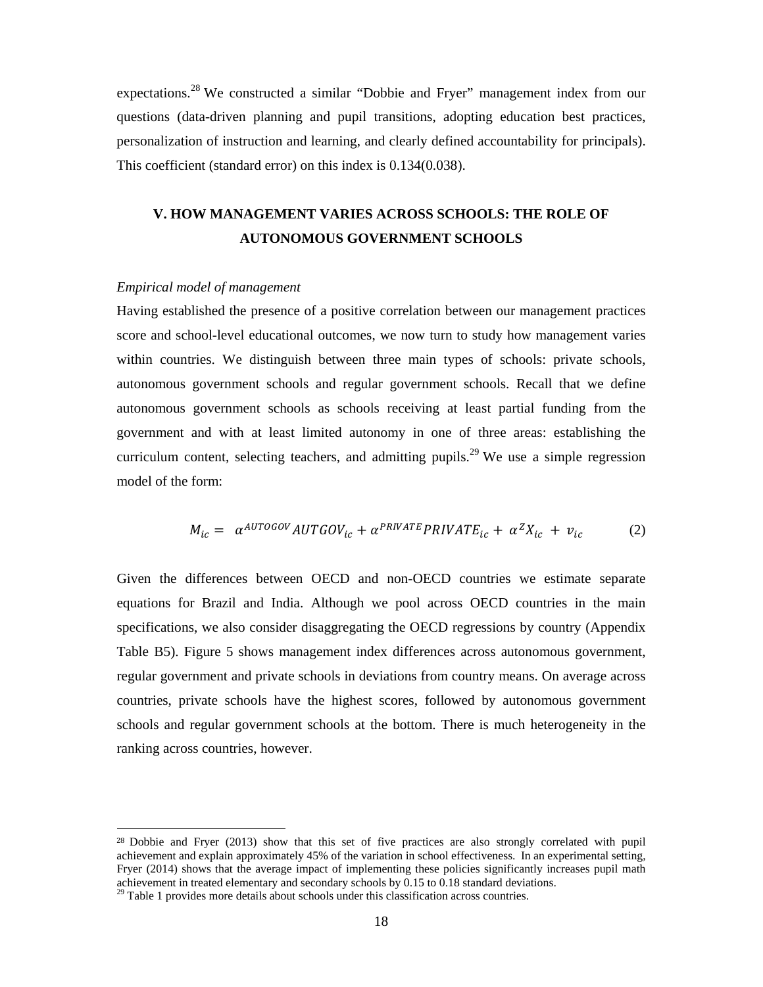expectations.28 We constructed a similar "Dobbie and Fryer" management index from our questions (data-driven planning and pupil transitions, adopting education best practices, personalization of instruction and learning, and clearly defined accountability for principals). This coefficient (standard error) on this index is 0.134(0.038).

## **V. HOW MANAGEMENT VARIES ACROSS SCHOOLS: THE ROLE OF AUTONOMOUS GOVERNMENT SCHOOLS**

#### *Empirical model of management*

 

Having established the presence of a positive correlation between our management practices score and school-level educational outcomes, we now turn to study how management varies within countries. We distinguish between three main types of schools: private schools, autonomous government schools and regular government schools. Recall that we define autonomous government schools as schools receiving at least partial funding from the government and with at least limited autonomy in one of three areas: establishing the curriculum content, selecting teachers, and admitting pupils.<sup>29</sup> We use a simple regression model of the form:

$$
M_{ic} = \alpha^{AUTOGOV} AUTGOV_{ic} + \alpha^{PRIVATE} PRIVATE_{ic} + \alpha^{Z}X_{ic} + v_{ic}
$$
 (2)

Given the differences between OECD and non-OECD countries we estimate separate equations for Brazil and India. Although we pool across OECD countries in the main specifications, we also consider disaggregating the OECD regressions by country (Appendix Table B5). Figure 5 shows management index differences across autonomous government, regular government and private schools in deviations from country means. On average across countries, private schools have the highest scores, followed by autonomous government schools and regular government schools at the bottom. There is much heterogeneity in the ranking across countries, however.

<sup>&</sup>lt;sup>28</sup> Dobbie and Fryer (2013) show that this set of five practices are also strongly correlated with pupil achievement and explain approximately 45% of the variation in school effectiveness. In an experimental setting, Fryer (2014) shows that the average impact of implementing these policies significantly increases pupil math achievement in treated elementary and secondary schools by 0.15 to 0.18 standard deviations.

 $29$  Table 1 provides more details about schools under this classification across countries.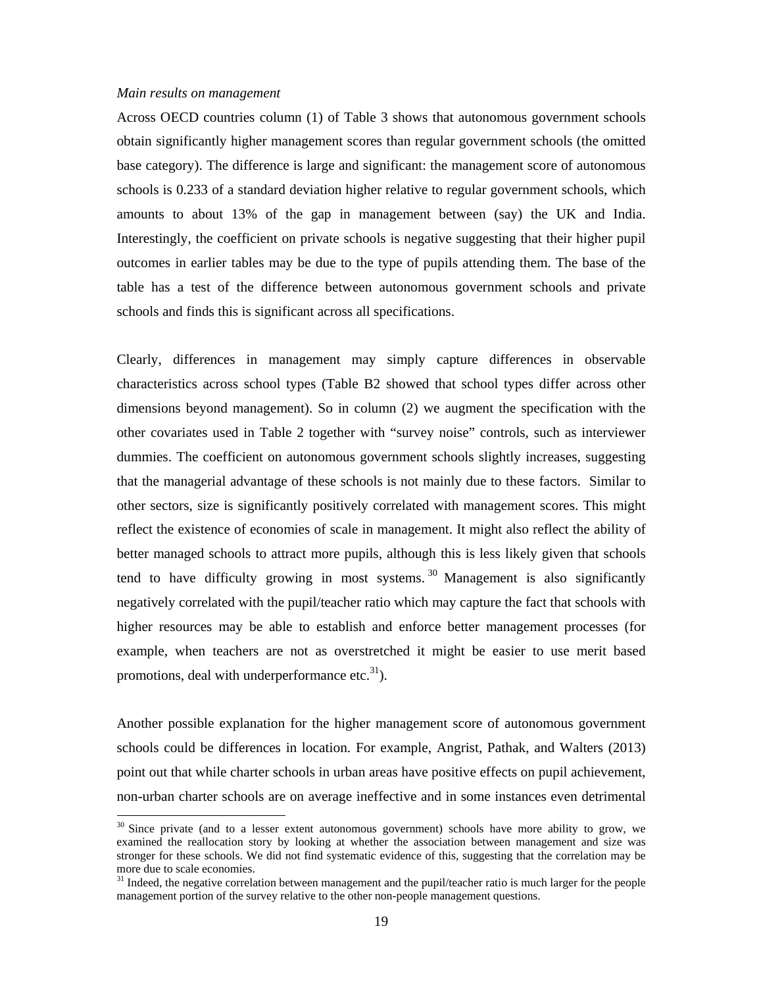#### *Main results on management*

 

Across OECD countries column (1) of Table 3 shows that autonomous government schools obtain significantly higher management scores than regular government schools (the omitted base category). The difference is large and significant: the management score of autonomous schools is 0.233 of a standard deviation higher relative to regular government schools, which amounts to about 13% of the gap in management between (say) the UK and India. Interestingly, the coefficient on private schools is negative suggesting that their higher pupil outcomes in earlier tables may be due to the type of pupils attending them. The base of the table has a test of the difference between autonomous government schools and private schools and finds this is significant across all specifications.

Clearly, differences in management may simply capture differences in observable characteristics across school types (Table B2 showed that school types differ across other dimensions beyond management). So in column (2) we augment the specification with the other covariates used in Table 2 together with "survey noise" controls, such as interviewer dummies. The coefficient on autonomous government schools slightly increases, suggesting that the managerial advantage of these schools is not mainly due to these factors. Similar to other sectors, size is significantly positively correlated with management scores. This might reflect the existence of economies of scale in management. It might also reflect the ability of better managed schools to attract more pupils, although this is less likely given that schools tend to have difficulty growing in most systems.<sup>30</sup> Management is also significantly negatively correlated with the pupil/teacher ratio which may capture the fact that schools with higher resources may be able to establish and enforce better management processes (for example, when teachers are not as overstretched it might be easier to use merit based promotions, deal with underperformance etc. $31$ ).

Another possible explanation for the higher management score of autonomous government schools could be differences in location. For example, Angrist, Pathak, and Walters (2013) point out that while charter schools in urban areas have positive effects on pupil achievement, non-urban charter schools are on average ineffective and in some instances even detrimental

 $30$  Since private (and to a lesser extent autonomous government) schools have more ability to grow, we examined the reallocation story by looking at whether the association between management and size was stronger for these schools. We did not find systematic evidence of this, suggesting that the correlation may be more due to scale economies.

 $31$  Indeed, the negative correlation between management and the pupil/teacher ratio is much larger for the people management portion of the survey relative to the other non-people management questions.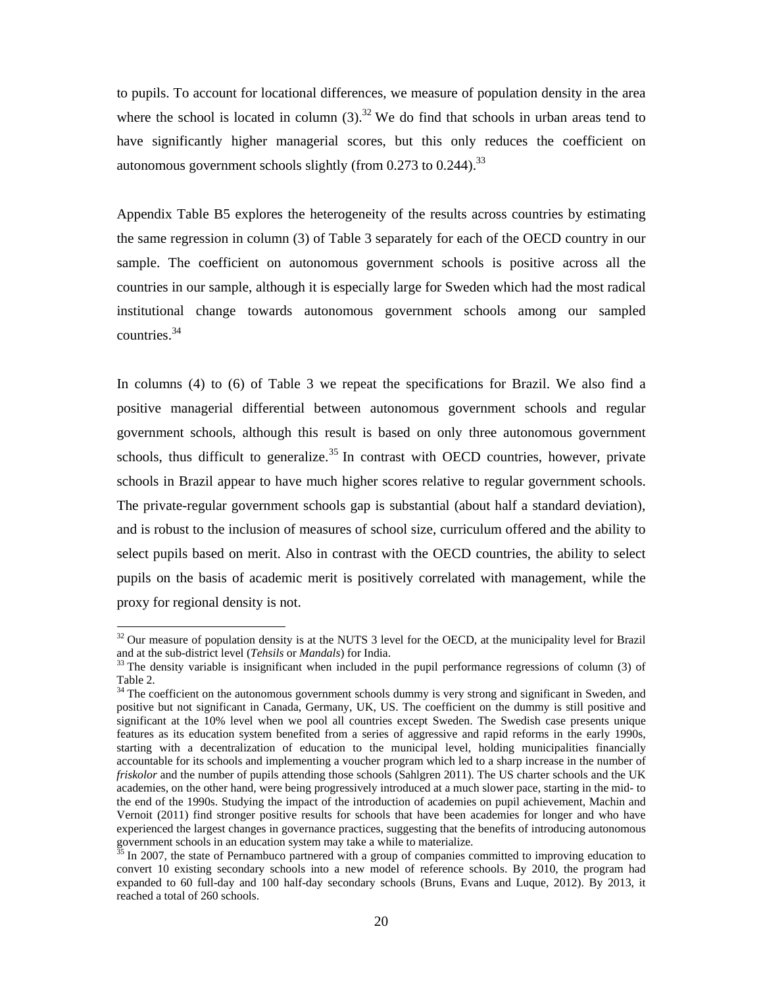to pupils. To account for locational differences, we measure of population density in the area where the school is located in column  $(3)$ .<sup>32</sup> We do find that schools in urban areas tend to have significantly higher managerial scores, but this only reduces the coefficient on autonomous government schools slightly (from  $0.273$  to  $0.244$ ).<sup>33</sup>

Appendix Table B5 explores the heterogeneity of the results across countries by estimating the same regression in column (3) of Table 3 separately for each of the OECD country in our sample. The coefficient on autonomous government schools is positive across all the countries in our sample, although it is especially large for Sweden which had the most radical institutional change towards autonomous government schools among our sampled countries.34

In columns (4) to (6) of Table 3 we repeat the specifications for Brazil. We also find a positive managerial differential between autonomous government schools and regular government schools, although this result is based on only three autonomous government schools, thus difficult to generalize.<sup>35</sup> In contrast with OECD countries, however, private schools in Brazil appear to have much higher scores relative to regular government schools. The private-regular government schools gap is substantial (about half a standard deviation), and is robust to the inclusion of measures of school size, curriculum offered and the ability to select pupils based on merit. Also in contrast with the OECD countries, the ability to select pupils on the basis of academic merit is positively correlated with management, while the proxy for regional density is not.

 

 $32$  Our measure of population density is at the NUTS 3 level for the OECD, at the municipality level for Brazil and at the sub-district level (*Tehsils* or *Mandals*) for India.<br><sup>33</sup> The density variable is insignificant when included in the pupil performance regressions of column (3) of

Table 2.

<sup>&</sup>lt;sup>34</sup> The coefficient on the autonomous government schools dummy is very strong and significant in Sweden, and positive but not significant in Canada, Germany, UK, US. The coefficient on the dummy is still positive and significant at the 10% level when we pool all countries except Sweden. The Swedish case presents unique features as its education system benefited from a series of aggressive and rapid reforms in the early 1990s, starting with a decentralization of education to the municipal level, holding municipalities financially accountable for its schools and implementing a voucher program which led to a sharp increase in the number of *friskolor* and the number of pupils attending those schools (Sahlgren 2011). The US charter schools and the UK academies, on the other hand, were being progressively introduced at a much slower pace, starting in the mid- to the end of the 1990s. Studying the impact of the introduction of academies on pupil achievement, Machin and Vernoit (2011) find stronger positive results for schools that have been academies for longer and who have experienced the largest changes in governance practices, suggesting that the benefits of introducing autonomous government schools in an education system may take a while to materialize.

In 2007, the state of Pernambuco partnered with a group of companies committed to improving education to convert 10 existing secondary schools into a new model of reference schools. By 2010, the program had expanded to 60 full-day and 100 half-day secondary schools (Bruns, Evans and Luque, 2012). By 2013, it reached a total of 260 schools.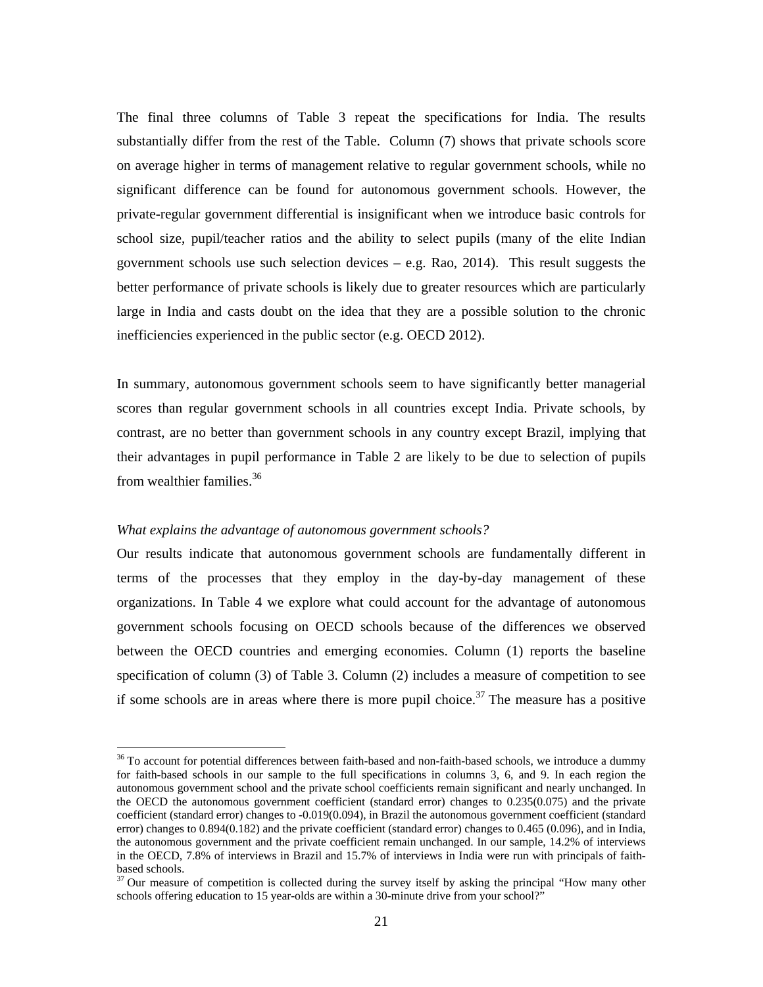The final three columns of Table 3 repeat the specifications for India. The results substantially differ from the rest of the Table. Column (7) shows that private schools score on average higher in terms of management relative to regular government schools, while no significant difference can be found for autonomous government schools. However, the private-regular government differential is insignificant when we introduce basic controls for school size, pupil/teacher ratios and the ability to select pupils (many of the elite Indian government schools use such selection devices  $-$  e.g. Rao, 2014). This result suggests the better performance of private schools is likely due to greater resources which are particularly large in India and casts doubt on the idea that they are a possible solution to the chronic inefficiencies experienced in the public sector (e.g. OECD 2012).

In summary, autonomous government schools seem to have significantly better managerial scores than regular government schools in all countries except India. Private schools, by contrast, are no better than government schools in any country except Brazil, implying that their advantages in pupil performance in Table 2 are likely to be due to selection of pupils from wealthier families.<sup>36</sup>

#### *What explains the advantage of autonomous government schools?*

 

Our results indicate that autonomous government schools are fundamentally different in terms of the processes that they employ in the day-by-day management of these organizations. In Table 4 we explore what could account for the advantage of autonomous government schools focusing on OECD schools because of the differences we observed between the OECD countries and emerging economies. Column (1) reports the baseline specification of column (3) of Table 3. Column (2) includes a measure of competition to see if some schools are in areas where there is more pupil choice.<sup>37</sup> The measure has a positive

<sup>&</sup>lt;sup>36</sup> To account for potential differences between faith-based and non-faith-based schools, we introduce a dummy for faith-based schools in our sample to the full specifications in columns 3, 6, and 9. In each region the autonomous government school and the private school coefficients remain significant and nearly unchanged. In the OECD the autonomous government coefficient (standard error) changes to 0.235(0.075) and the private coefficient (standard error) changes to -0.019(0.094), in Brazil the autonomous government coefficient (standard error) changes to 0.894(0.182) and the private coefficient (standard error) changes to 0.465 (0.096), and in India, the autonomous government and the private coefficient remain unchanged. In our sample, 14.2% of interviews in the OECD, 7.8% of interviews in Brazil and 15.7% of interviews in India were run with principals of faithbased schools.

<sup>&</sup>lt;sup>37</sup> Our measure of competition is collected during the survey itself by asking the principal "How many other schools offering education to 15 year-olds are within a 30-minute drive from your school?"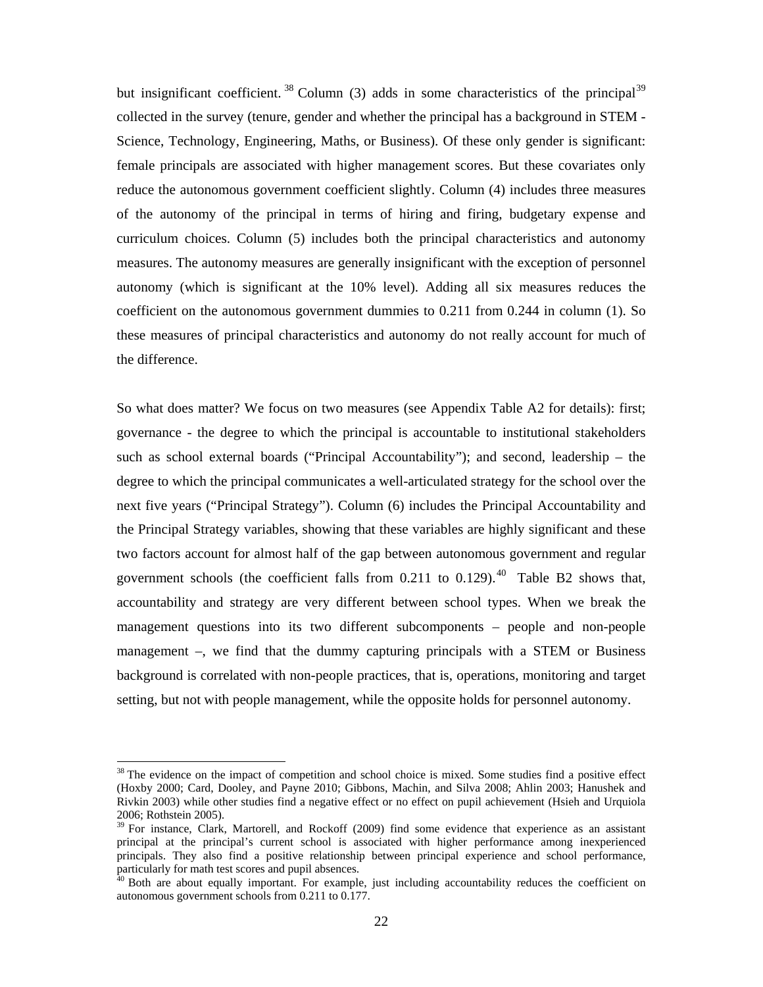but insignificant coefficient.  $38$  Column (3) adds in some characteristics of the principal  $39$ collected in the survey (tenure, gender and whether the principal has a background in STEM - Science, Technology, Engineering, Maths, or Business). Of these only gender is significant: female principals are associated with higher management scores. But these covariates only reduce the autonomous government coefficient slightly. Column (4) includes three measures of the autonomy of the principal in terms of hiring and firing, budgetary expense and curriculum choices. Column (5) includes both the principal characteristics and autonomy measures. The autonomy measures are generally insignificant with the exception of personnel autonomy (which is significant at the 10% level). Adding all six measures reduces the coefficient on the autonomous government dummies to 0.211 from 0.244 in column (1). So these measures of principal characteristics and autonomy do not really account for much of the difference.

So what does matter? We focus on two measures (see Appendix Table A2 for details): first; governance - the degree to which the principal is accountable to institutional stakeholders such as school external boards ("Principal Accountability"); and second, leadership – the degree to which the principal communicates a well-articulated strategy for the school over the next five years ("Principal Strategy"). Column (6) includes the Principal Accountability and the Principal Strategy variables, showing that these variables are highly significant and these two factors account for almost half of the gap between autonomous government and regular government schools (the coefficient falls from  $0.211$  to  $0.129$ ).<sup>40</sup> Table B2 shows that, accountability and strategy are very different between school types. When we break the management questions into its two different subcomponents – people and non-people management –, we find that the dummy capturing principals with a STEM or Business background is correlated with non-people practices, that is, operations, monitoring and target setting, but not with people management, while the opposite holds for personnel autonomy.

<sup>&</sup>lt;sup>38</sup> The evidence on the impact of competition and school choice is mixed. Some studies find a positive effect (Hoxby 2000; Card, Dooley, and Payne 2010; Gibbons, Machin, and Silva 2008; Ahlin 2003; Hanushek and Rivkin 2003) while other studies find a negative effect or no effect on pupil achievement (Hsieh and Urquiola 2006; Rothstein 2005).

<sup>&</sup>lt;sup>39</sup> For instance, Clark, Martorell, and Rockoff (2009) find some evidence that experience as an assistant principal at the principal's current school is associated with higher performance among inexperienced principals. They also find a positive relationship between principal experience and school performance, particularly for math test scores and pupil absences.

 $40$  Both are about equally important. For example, just including accountability reduces the coefficient on autonomous government schools from 0.211 to 0.177.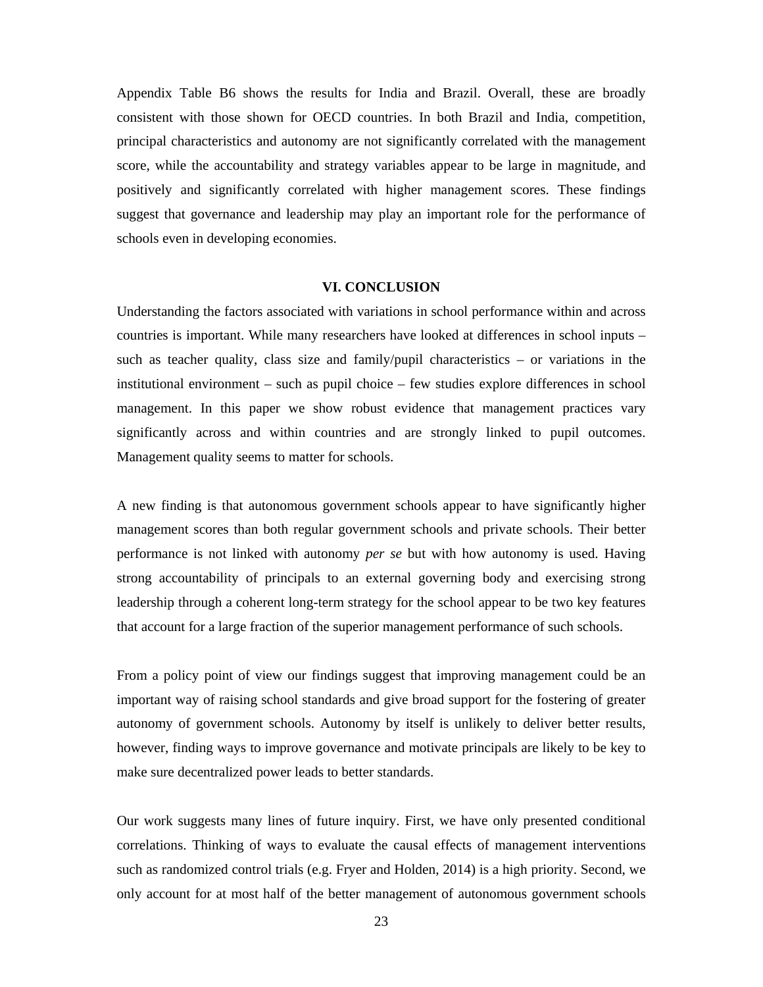Appendix Table B6 shows the results for India and Brazil. Overall, these are broadly consistent with those shown for OECD countries. In both Brazil and India, competition, principal characteristics and autonomy are not significantly correlated with the management score, while the accountability and strategy variables appear to be large in magnitude, and positively and significantly correlated with higher management scores. These findings suggest that governance and leadership may play an important role for the performance of schools even in developing economies.

#### **VI. CONCLUSION**

Understanding the factors associated with variations in school performance within and across countries is important. While many researchers have looked at differences in school inputs – such as teacher quality, class size and family/pupil characteristics – or variations in the institutional environment – such as pupil choice – few studies explore differences in school management. In this paper we show robust evidence that management practices vary significantly across and within countries and are strongly linked to pupil outcomes. Management quality seems to matter for schools.

A new finding is that autonomous government schools appear to have significantly higher management scores than both regular government schools and private schools. Their better performance is not linked with autonomy *per se* but with how autonomy is used. Having strong accountability of principals to an external governing body and exercising strong leadership through a coherent long-term strategy for the school appear to be two key features that account for a large fraction of the superior management performance of such schools.

From a policy point of view our findings suggest that improving management could be an important way of raising school standards and give broad support for the fostering of greater autonomy of government schools. Autonomy by itself is unlikely to deliver better results, however, finding ways to improve governance and motivate principals are likely to be key to make sure decentralized power leads to better standards.

Our work suggests many lines of future inquiry. First, we have only presented conditional correlations. Thinking of ways to evaluate the causal effects of management interventions such as randomized control trials (e.g. Fryer and Holden, 2014) is a high priority. Second, we only account for at most half of the better management of autonomous government schools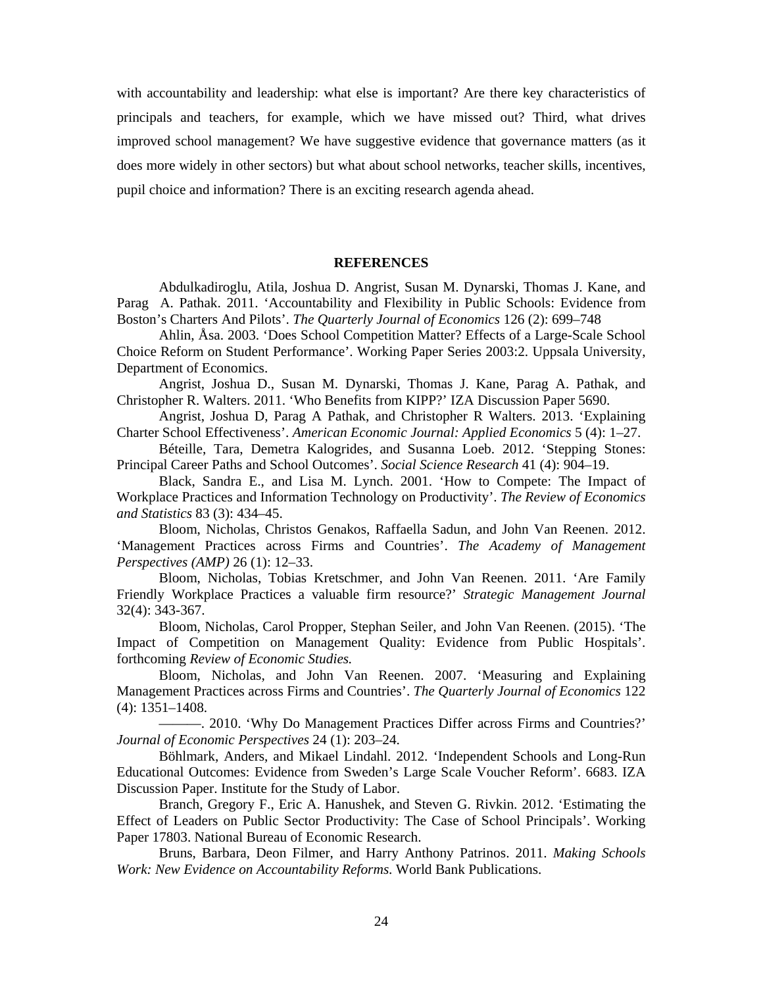with accountability and leadership: what else is important? Are there key characteristics of principals and teachers, for example, which we have missed out? Third, what drives improved school management? We have suggestive evidence that governance matters (as it does more widely in other sectors) but what about school networks, teacher skills, incentives, pupil choice and information? There is an exciting research agenda ahead.

#### **REFERENCES**

Abdulkadiroglu, Atila, Joshua D. Angrist, Susan M. Dynarski, Thomas J. Kane, and Parag A. Pathak. 2011. 'Accountability and Flexibility in Public Schools: Evidence from Boston's Charters And Pilots'. *The Quarterly Journal of Economics* 126 (2): 699–748

Ahlin, Åsa. 2003. 'Does School Competition Matter? Effects of a Large-Scale School Choice Reform on Student Performance'. Working Paper Series 2003:2. Uppsala University, Department of Economics.

Angrist, Joshua D., Susan M. Dynarski, Thomas J. Kane, Parag A. Pathak, and Christopher R. Walters. 2011. 'Who Benefits from KIPP?' IZA Discussion Paper 5690.

Angrist, Joshua D, Parag A Pathak, and Christopher R Walters. 2013. 'Explaining Charter School Effectiveness'. *American Economic Journal: Applied Economics* 5 (4): 1–27.

Béteille, Tara, Demetra Kalogrides, and Susanna Loeb. 2012. 'Stepping Stones: Principal Career Paths and School Outcomes'. *Social Science Research* 41 (4): 904–19.

Black, Sandra E., and Lisa M. Lynch. 2001. 'How to Compete: The Impact of Workplace Practices and Information Technology on Productivity'. *The Review of Economics and Statistics* 83 (3): 434–45.

Bloom, Nicholas, Christos Genakos, Raffaella Sadun, and John Van Reenen. 2012. 'Management Practices across Firms and Countries'. *The Academy of Management Perspectives (AMP)* 26 (1): 12–33.

Bloom, Nicholas, Tobias Kretschmer, and John Van Reenen. 2011. 'Are Family Friendly Workplace Practices a valuable firm resource?' *Strategic Management Journal* 32(4): 343-367.

Bloom, Nicholas, Carol Propper, Stephan Seiler, and John Van Reenen. (2015). 'The Impact of Competition on Management Quality: Evidence from Public Hospitals'. forthcoming *Review of Economic Studies.*

Bloom, Nicholas, and John Van Reenen. 2007. 'Measuring and Explaining Management Practices across Firms and Countries'. *The Quarterly Journal of Economics* 122 (4): 1351–1408.

———. 2010. 'Why Do Management Practices Differ across Firms and Countries?' *Journal of Economic Perspectives* 24 (1): 203–24.

Böhlmark, Anders, and Mikael Lindahl. 2012. 'Independent Schools and Long-Run Educational Outcomes: Evidence from Sweden's Large Scale Voucher Reform'. 6683. IZA Discussion Paper. Institute for the Study of Labor.

Branch, Gregory F., Eric A. Hanushek, and Steven G. Rivkin. 2012. 'Estimating the Effect of Leaders on Public Sector Productivity: The Case of School Principals'. Working Paper 17803. National Bureau of Economic Research.

Bruns, Barbara, Deon Filmer, and Harry Anthony Patrinos. 2011. *Making Schools Work: New Evidence on Accountability Reforms*. World Bank Publications.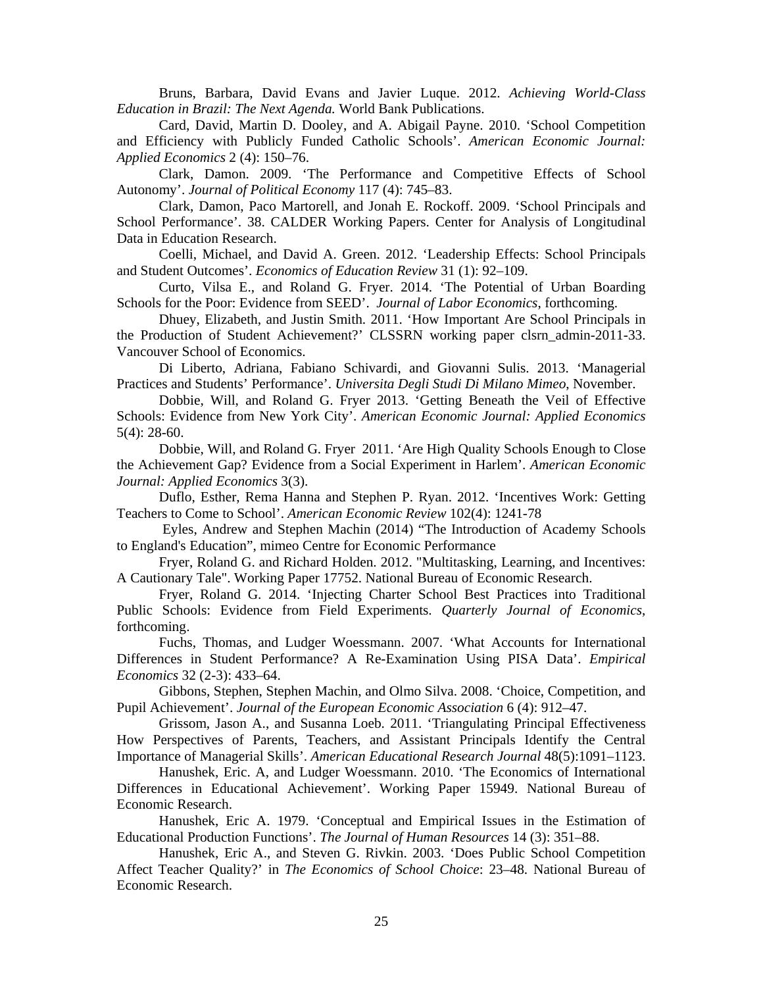Bruns, Barbara, David Evans and Javier Luque. 2012. *Achieving World-Class Education in Brazil: The Next Agenda.* World Bank Publications.

Card, David, Martin D. Dooley, and A. Abigail Payne. 2010. 'School Competition and Efficiency with Publicly Funded Catholic Schools'. *American Economic Journal: Applied Economics* 2 (4): 150–76.

Clark, Damon. 2009. 'The Performance and Competitive Effects of School Autonomy'. *Journal of Political Economy* 117 (4): 745–83.

Clark, Damon, Paco Martorell, and Jonah E. Rockoff. 2009. 'School Principals and School Performance'. 38. CALDER Working Papers. Center for Analysis of Longitudinal Data in Education Research.

Coelli, Michael, and David A. Green. 2012. 'Leadership Effects: School Principals and Student Outcomes'. *Economics of Education Review* 31 (1): 92–109.

Curto, Vilsa E., and Roland G. Fryer. 2014. 'The Potential of Urban Boarding Schools for the Poor: Evidence from SEED'. *Journal of Labor Economics*, forthcoming.

Dhuey, Elizabeth, and Justin Smith. 2011. 'How Important Are School Principals in the Production of Student Achievement?' CLSSRN working paper clsrn\_admin-2011-33. Vancouver School of Economics.

Di Liberto, Adriana, Fabiano Schivardi, and Giovanni Sulis. 2013. 'Managerial Practices and Students' Performance'. *Universita Degli Studi Di Milano Mimeo*, November.

Dobbie, Will, and Roland G. Fryer 2013. 'Getting Beneath the Veil of Effective Schools: Evidence from New York City'. *American Economic Journal: Applied Economics* 5(4): 28-60.

Dobbie, Will, and Roland G. Fryer 2011. 'Are High Quality Schools Enough to Close the Achievement Gap? Evidence from a Social Experiment in Harlem'. *American Economic Journal: Applied Economics* 3(3).

Duflo, Esther, Rema Hanna and Stephen P. Ryan. 2012. 'Incentives Work: Getting Teachers to Come to School'. *American Economic Review* 102(4): 1241-78

 Eyles, Andrew and Stephen Machin (2014) "The Introduction of Academy Schools to England's Education", mimeo Centre for Economic Performance

Fryer, Roland G. and Richard Holden. 2012. "Multitasking, Learning, and Incentives: A Cautionary Tale". Working Paper 17752. National Bureau of Economic Research.

Fryer, Roland G. 2014. 'Injecting Charter School Best Practices into Traditional Public Schools: Evidence from Field Experiments. *Quarterly Journal of Economics*, forthcoming.

Fuchs, Thomas, and Ludger Woessmann. 2007. 'What Accounts for International Differences in Student Performance? A Re-Examination Using PISA Data'. *Empirical Economics* 32 (2-3): 433–64.

Gibbons, Stephen, Stephen Machin, and Olmo Silva. 2008. 'Choice, Competition, and Pupil Achievement'. *Journal of the European Economic Association* 6 (4): 912–47.

Grissom, Jason A., and Susanna Loeb. 2011. 'Triangulating Principal Effectiveness How Perspectives of Parents, Teachers, and Assistant Principals Identify the Central Importance of Managerial Skills'. *American Educational Research Journal* 48(5):1091–1123.

Hanushek, Eric. A, and Ludger Woessmann. 2010. 'The Economics of International Differences in Educational Achievement'. Working Paper 15949. National Bureau of Economic Research.

Hanushek, Eric A. 1979. 'Conceptual and Empirical Issues in the Estimation of Educational Production Functions'. *The Journal of Human Resources* 14 (3): 351–88.

Hanushek, Eric A., and Steven G. Rivkin. 2003. 'Does Public School Competition Affect Teacher Quality?' in *The Economics of School Choice*: 23–48. National Bureau of Economic Research.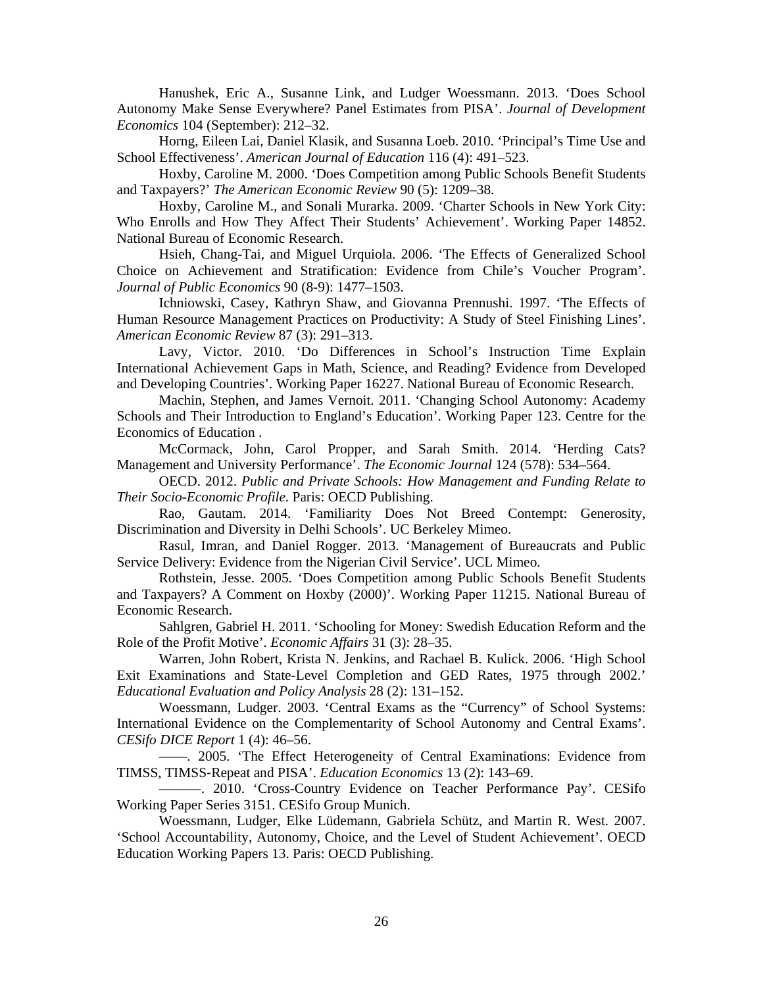Hanushek, Eric A., Susanne Link, and Ludger Woessmann. 2013. 'Does School Autonomy Make Sense Everywhere? Panel Estimates from PISA'. *Journal of Development Economics* 104 (September): 212–32.

Horng, Eileen Lai, Daniel Klasik, and Susanna Loeb. 2010. 'Principal's Time Use and School Effectiveness'. *American Journal of Education* 116 (4): 491–523.

Hoxby, Caroline M. 2000. 'Does Competition among Public Schools Benefit Students and Taxpayers?' *The American Economic Review* 90 (5): 1209–38.

Hoxby, Caroline M., and Sonali Murarka. 2009. 'Charter Schools in New York City: Who Enrolls and How They Affect Their Students' Achievement'. Working Paper 14852. National Bureau of Economic Research.

Hsieh, Chang-Tai, and Miguel Urquiola. 2006. 'The Effects of Generalized School Choice on Achievement and Stratification: Evidence from Chile's Voucher Program'. *Journal of Public Economics* 90 (8-9): 1477–1503.

Ichniowski, Casey, Kathryn Shaw, and Giovanna Prennushi. 1997. 'The Effects of Human Resource Management Practices on Productivity: A Study of Steel Finishing Lines'. *American Economic Review* 87 (3): 291–313.

Lavy, Victor. 2010. 'Do Differences in School's Instruction Time Explain International Achievement Gaps in Math, Science, and Reading? Evidence from Developed and Developing Countries'. Working Paper 16227. National Bureau of Economic Research.

Machin, Stephen, and James Vernoit. 2011. 'Changing School Autonomy: Academy Schools and Their Introduction to England's Education'. Working Paper 123. Centre for the Economics of Education .

McCormack, John, Carol Propper, and Sarah Smith. 2014. 'Herding Cats? Management and University Performance'. *The Economic Journal* 124 (578): 534–564.

OECD. 2012. *Public and Private Schools: How Management and Funding Relate to Their Socio-Economic Profile*. Paris: OECD Publishing.

Rao, Gautam. 2014. 'Familiarity Does Not Breed Contempt: Generosity, Discrimination and Diversity in Delhi Schools'. UC Berkeley Mimeo.

Rasul, Imran, and Daniel Rogger. 2013. 'Management of Bureaucrats and Public Service Delivery: Evidence from the Nigerian Civil Service'. UCL Mimeo.

Rothstein, Jesse. 2005. 'Does Competition among Public Schools Benefit Students and Taxpayers? A Comment on Hoxby (2000)'. Working Paper 11215. National Bureau of Economic Research.

Sahlgren, Gabriel H. 2011. 'Schooling for Money: Swedish Education Reform and the Role of the Profit Motive'. *Economic Affairs* 31 (3): 28–35.

Warren, John Robert, Krista N. Jenkins, and Rachael B. Kulick. 2006. 'High School Exit Examinations and State-Level Completion and GED Rates, 1975 through 2002.' *Educational Evaluation and Policy Analysis* 28 (2): 131–152.

Woessmann, Ludger. 2003. 'Central Exams as the "Currency" of School Systems: International Evidence on the Complementarity of School Autonomy and Central Exams'. *CESifo DICE Report* 1 (4): 46–56.

——. 2005. 'The Effect Heterogeneity of Central Examinations: Evidence from TIMSS, TIMSS‐Repeat and PISA'. *Education Economics* 13 (2): 143–69.

———. 2010. 'Cross-Country Evidence on Teacher Performance Pay'. CESifo Working Paper Series 3151. CESifo Group Munich.

Woessmann, Ludger, Elke Lüdemann, Gabriela Schütz, and Martin R. West. 2007. 'School Accountability, Autonomy, Choice, and the Level of Student Achievement'. OECD Education Working Papers 13. Paris: OECD Publishing.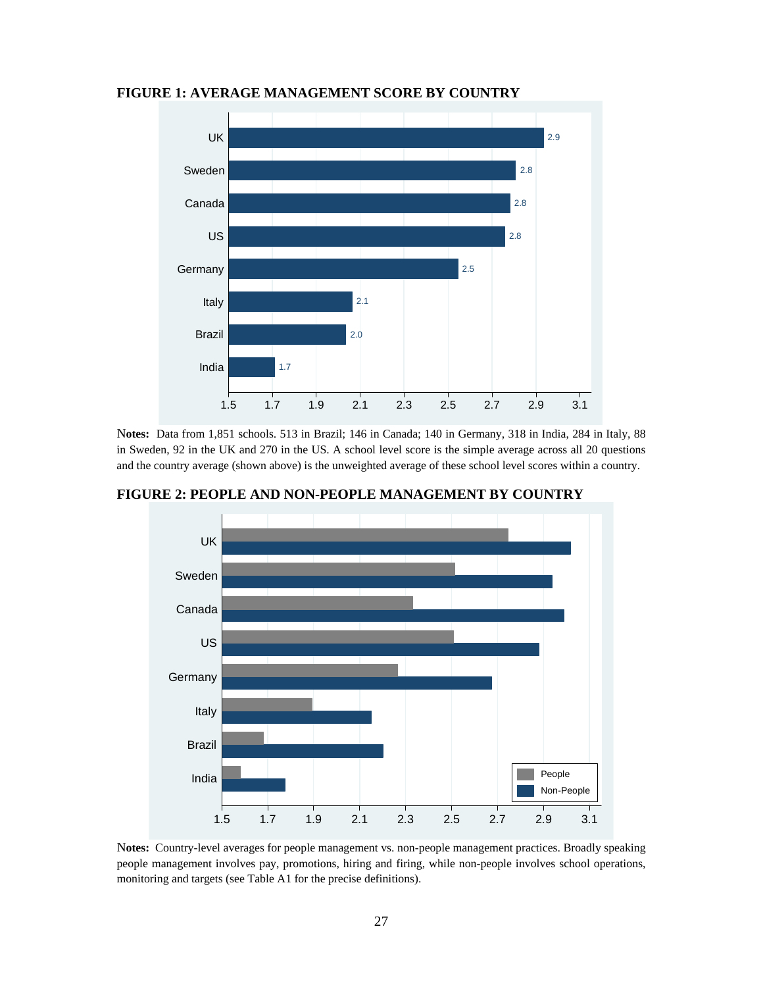

#### **FIGURE 1: AVERAGE MANAGEMENT SCORE BY COUNTRY**

N**otes:** Data from 1,851 schools. 513 in Brazil; 146 in Canada; 140 in Germany, 318 in India, 284 in Italy, 88 in Sweden, 92 in the UK and 270 in the US. A school level score is the simple average across all 20 questions and the country average (shown above) is the unweighted average of these school level scores within a country.



**FIGURE 2: PEOPLE AND NON-PEOPLE MANAGEMENT BY COUNTRY** 

N**otes:** Country-level averages for people management vs. non-people management practices. Broadly speaking people management involves pay, promotions, hiring and firing, while non-people involves school operations, monitoring and targets (see Table A1 for the precise definitions).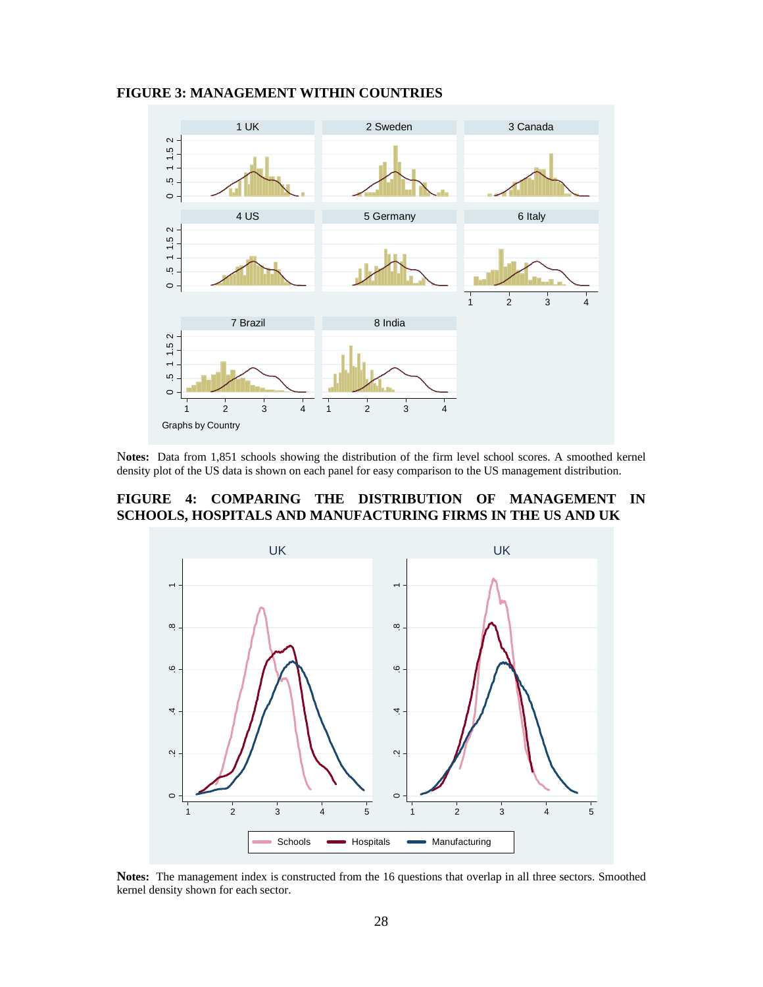#### **FIGURE 3: MANAGEMENT WITHIN COUNTRIES**



N**otes:** Data from 1,851 schools showing the distribution of the firm level school scores. A smoothed kernel density plot of the US data is shown on each panel for easy comparison to the US management distribution.

## **FIGURE 4: COMPARING THE DISTRIBUTION OF MANAGEMENT IN SCHOOLS, HOSPITALS AND MANUFACTURING FIRMS IN THE US AND UK**



**Notes:** The management index is constructed from the 16 questions that overlap in all three sectors. Smoothed kernel density shown for each sector.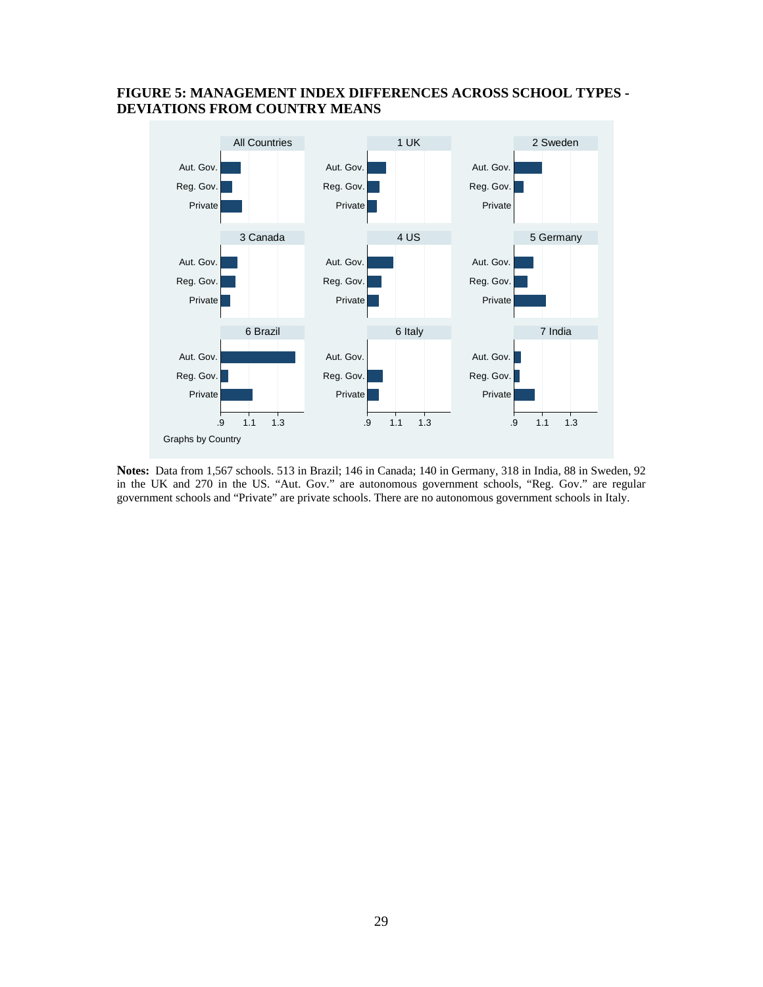## **FIGURE 5: MANAGEMENT INDEX DIFFERENCES ACROSS SCHOOL TYPES - DEVIATIONS FROM COUNTRY MEANS**



**Notes:** Data from 1,567 schools. 513 in Brazil; 146 in Canada; 140 in Germany, 318 in India, 88 in Sweden, 92 in the UK and 270 in the US. "Aut. Gov." are autonomous government schools, "Reg. Gov." are regular government schools and "Private" are private schools. There are no autonomous government schools in Italy.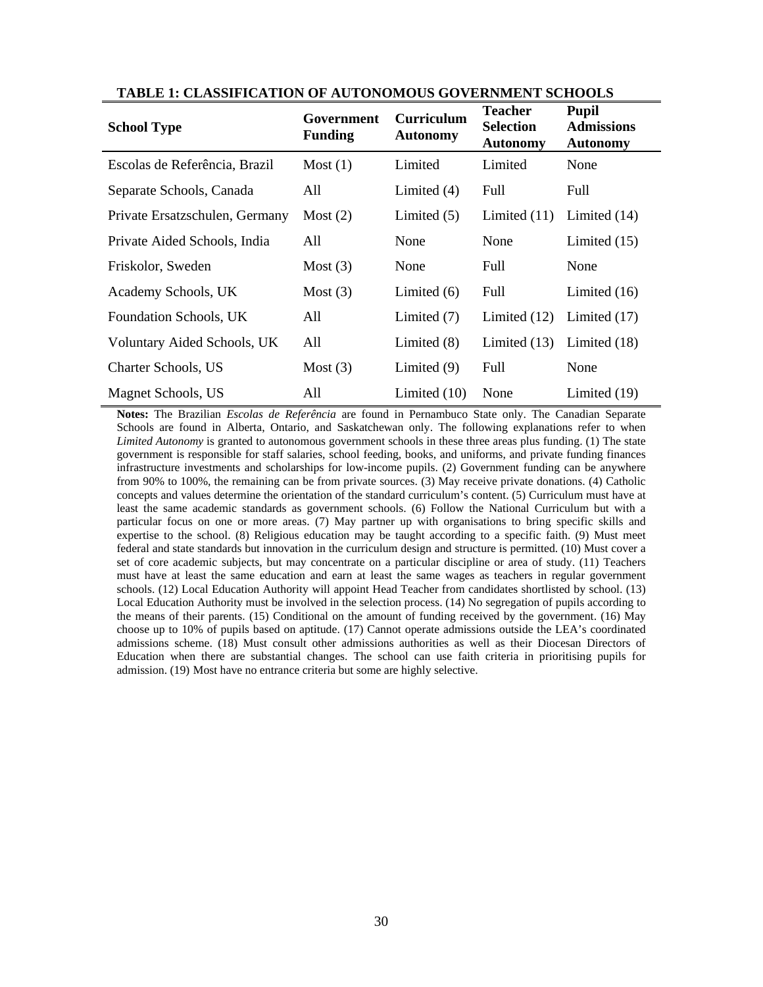| <b>School Type</b>             | Government<br><b>Funding</b> | <b>Curriculum</b><br><b>Autonomy</b> | <b>Teacher</b><br><b>Selection</b><br><b>Autonomy</b> | <b>Pupil</b><br><b>Admissions</b><br><b>Autonomy</b> |
|--------------------------------|------------------------------|--------------------------------------|-------------------------------------------------------|------------------------------------------------------|
| Escolas de Referência, Brazil  | Most (1)                     | Limited                              | Limited                                               | None                                                 |
| Separate Schools, Canada       | All                          | Limited $(4)$                        | Full                                                  | Full                                                 |
| Private Ersatzschulen, Germany | Most $(2)$                   | Limited $(5)$                        | Limited $(11)$                                        | Limited $(14)$                                       |
| Private Aided Schools, India   | All                          | None                                 | None                                                  | Limited $(15)$                                       |
| Friskolor, Sweden              | Most $(3)$                   | None                                 | Full                                                  | None                                                 |
| Academy Schools, UK            | Most $(3)$                   | Limited $(6)$                        | Full                                                  | Limited $(16)$                                       |
| Foundation Schools, UK         | All                          | Limited $(7)$                        | Limited $(12)$                                        | Limited $(17)$                                       |
| Voluntary Aided Schools, UK    | All                          | Limited $(8)$                        | Limited $(13)$                                        | Limited (18)                                         |
| Charter Schools, US            | Most $(3)$                   | Limited $(9)$                        | Full                                                  | None                                                 |
| Magnet Schools, US             | All                          | Limited $(10)$                       | None                                                  | Limited (19)                                         |

**TABLE 1: CLASSIFICATION OF AUTONOMOUS GOVERNMENT SCHOOLS**

**Notes:** The Brazilian *Escolas de Referência* are found in Pernambuco State only. The Canadian Separate Schools are found in Alberta, Ontario, and Saskatchewan only. The following explanations refer to when *Limited Autonomy* is granted to autonomous government schools in these three areas plus funding. (1) The state government is responsible for staff salaries, school feeding, books, and uniforms, and private funding finances infrastructure investments and scholarships for low-income pupils. (2) Government funding can be anywhere from 90% to 100%, the remaining can be from private sources. (3) May receive private donations. (4) Catholic concepts and values determine the orientation of the standard curriculum's content. (5) Curriculum must have at least the same academic standards as government schools. (6) Follow the National Curriculum but with a particular focus on one or more areas. (7) May partner up with organisations to bring specific skills and expertise to the school. (8) Religious education may be taught according to a specific faith. (9) Must meet federal and state standards but innovation in the curriculum design and structure is permitted. (10) Must cover a set of core academic subjects, but may concentrate on a particular discipline or area of study. (11) Teachers must have at least the same education and earn at least the same wages as teachers in regular government schools. (12) Local Education Authority will appoint Head Teacher from candidates shortlisted by school. (13) Local Education Authority must be involved in the selection process. (14) No segregation of pupils according to the means of their parents. (15) Conditional on the amount of funding received by the government. (16) May choose up to 10% of pupils based on aptitude. (17) Cannot operate admissions outside the LEA's coordinated admissions scheme. (18) Must consult other admissions authorities as well as their Diocesan Directors of Education when there are substantial changes. The school can use faith criteria in prioritising pupils for admission. (19) Most have no entrance criteria but some are highly selective.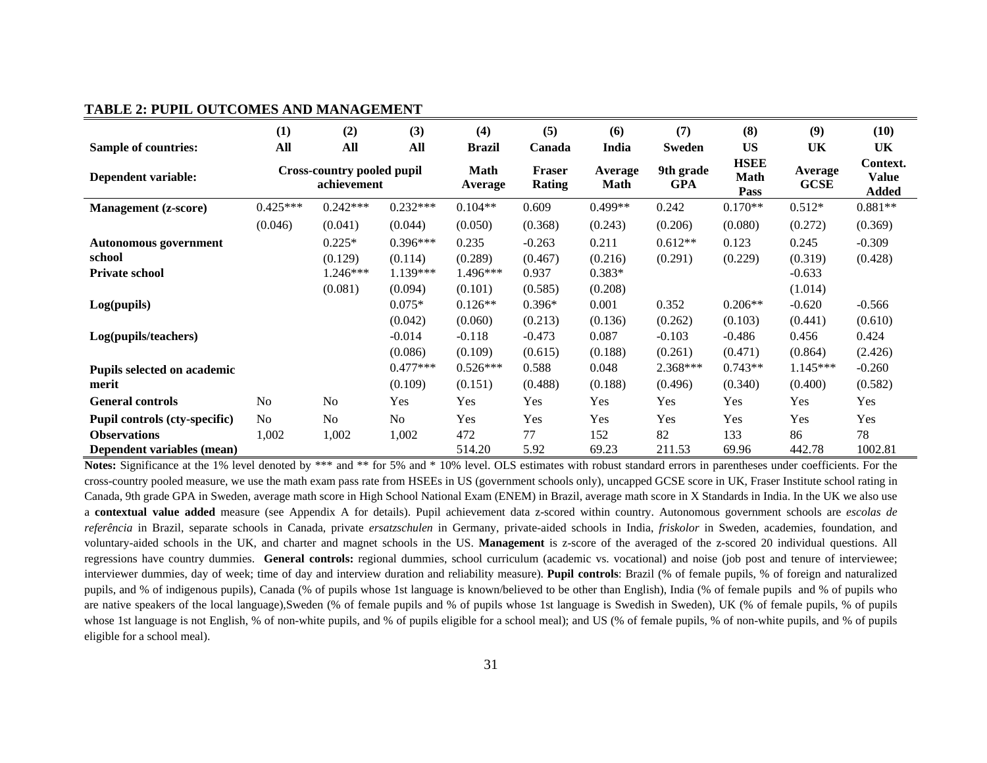#### **TABLE 2: PUPIL OUTCOMES AND MANAGEMENT**

|                                 | (1)                                              | (2)                   | (3)                 | (4)                 | (5)                     | (6)                    | (7)                     | (8)                                | (9)                    | (10)                              |
|---------------------------------|--------------------------------------------------|-----------------------|---------------------|---------------------|-------------------------|------------------------|-------------------------|------------------------------------|------------------------|-----------------------------------|
| <b>Sample of countries:</b>     | All                                              | All                   | All                 | <b>Brazil</b>       | Canada                  | India                  | <b>Sweden</b>           | <b>US</b>                          | UK                     | UK                                |
| Dependent variable:             | <b>Cross-country pooled pupil</b><br>achievement |                       |                     | Math<br>Average     | <b>Fraser</b><br>Rating | Average<br><b>Math</b> | 9th grade<br><b>GPA</b> | <b>HSEE</b><br><b>Math</b><br>Pass | Average<br><b>GCSE</b> | Context.<br><b>Value</b><br>Added |
| <b>Management</b> (z-score)     | $0.425***$                                       | $0.242***$            | $0.232***$          | $0.104**$           | 0.609                   | $0.499**$              | 0.242                   | $0.170**$                          | $0.512*$               | $0.881**$                         |
|                                 | (0.046)                                          | (0.041)               | (0.044)             | (0.050)             | (0.368)                 | (0.243)                | (0.206)                 | (0.080)                            | (0.272)                | (0.369)                           |
| <b>Autonomous government</b>    |                                                  | $0.225*$              | $0.396***$          | 0.235               | $-0.263$                | 0.211                  | $0.612**$               | 0.123                              | 0.245                  | $-0.309$                          |
| school<br><b>Private school</b> |                                                  | (0.129)<br>$1.246***$ | (0.114)<br>1.139*** | (0.289)<br>1.496*** | (0.467)<br>0.937        | (0.216)<br>$0.383*$    | (0.291)                 | (0.229)                            | (0.319)<br>$-0.633$    | (0.428)                           |
|                                 |                                                  | (0.081)               | (0.094)             | (0.101)             | (0.585)                 | (0.208)                |                         |                                    | (1.014)                |                                   |
| Log(pupils)                     |                                                  |                       | $0.075*$            | $0.126**$           | $0.396*$                | 0.001                  | 0.352                   | $0.206**$                          | $-0.620$               | $-0.566$                          |
|                                 |                                                  |                       | (0.042)             | (0.060)             | (0.213)                 | (0.136)                | (0.262)                 | (0.103)                            | (0.441)                | (0.610)                           |
| Log(pupils/teachers)            |                                                  |                       | $-0.014$            | $-0.118$            | $-0.473$                | 0.087                  | $-0.103$                | $-0.486$                           | 0.456                  | 0.424                             |
|                                 |                                                  |                       | (0.086)             | (0.109)             | (0.615)                 | (0.188)                | (0.261)                 | (0.471)                            | (0.864)                | (2.426)                           |
| Pupils selected on academic     |                                                  |                       | $0.477***$          | $0.526***$          | 0.588                   | 0.048                  | 2.368***                | $0.743**$                          | $1.145***$             | $-0.260$                          |
| merit                           |                                                  |                       | (0.109)             | (0.151)             | (0.488)                 | (0.188)                | (0.496)                 | (0.340)                            | (0.400)                | (0.582)                           |
| <b>General controls</b>         | N <sub>0</sub>                                   | No                    | Yes                 | Yes                 | Yes                     | Yes                    | Yes                     | Yes                                | Yes                    | Yes                               |
| Pupil controls (cty-specific)   | N <sub>o</sub>                                   | No                    | No                  | Yes                 | Yes                     | Yes                    | Yes                     | Yes                                | Yes                    | Yes                               |
| <b>Observations</b>             | 1,002                                            | 1,002                 | 1,002               | 472                 | 77                      | 152                    | 82                      | 133                                | 86                     | 78                                |
| Dependent variables (mean)      |                                                  |                       |                     | 514.20              | 5.92                    | 69.23                  | 211.53                  | 69.96                              | 442.78                 | 1002.81                           |

**Notes:** Significance at the 1% level denoted by \*\*\* and \*\* for 5% and \*10% level. OLS estimates with robust standard errors in parentheses under coefficients. For the cross-country pooled measure, we use the math exam pass rate from HSEEs in US (government schools only), uncapped GCSE score in UK, Fraser Institute school rating in Canada, 9th grade GPA in Sweden, average math score in High School National Exam (ENEM) in Brazil, average math score in X Standards in India. In the UK we also use <sup>a</sup>**contextual value added** measure (see Appendix A for details). Pupil achievement data z-scored within country. Autonomous government schools are *escolas de referência* in Brazil, separate schools in Canada, private *ersatzschulen* in Germany, private-aided schools in India, *friskolor* in Sweden, academies, foundation, and voluntary-aided schools in the UK, and charter and magnet schools in the US. **Management** is z-score of the averaged of the z-scored 20 individual questions. All regressions have country dummies. **General controls:** regional dummies, school curriculum (academic vs. vocational) and noise (job post and tenure of interviewee; interviewer dummies, day of week; time of day and interview duration and reliability measure). **Pupil controls**: Brazil (% of female pupils, % of foreign and naturalized pupils, and % of indigenous pupils), Canada (% of pupils whose 1st language is known/believed to be other than English), India (% of female pupils and % of pupils who are native speakers of the local language),Sweden (% of female pupils and % of pupils whose 1st language is Swedish in Sweden), UK (% of female pupils, % of pupils whose 1st language is not English, % of non-white pupils, and % of pupils eligible for a school meal); and US (% of female pupils, % of non-white pupils, and % of pupils eligible for a school meal).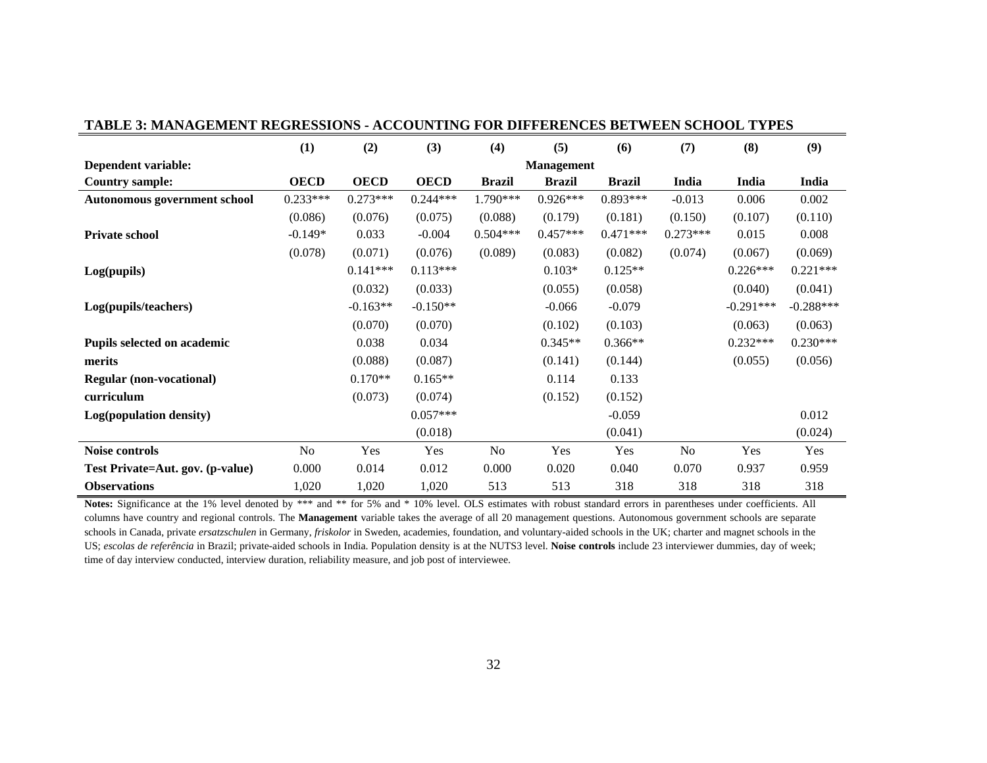|                                     | (1)         | (2)         | (3)         | (4)           | (5)               | (6)           | (7)        | (8)         | (9)         |
|-------------------------------------|-------------|-------------|-------------|---------------|-------------------|---------------|------------|-------------|-------------|
| Dependent variable:                 |             |             |             |               | <b>Management</b> |               |            |             |             |
| <b>Country sample:</b>              | <b>OECD</b> | <b>OECD</b> | <b>OECD</b> | <b>Brazil</b> | <b>Brazil</b>     | <b>Brazil</b> | India      | India       | India       |
| <b>Autonomous government school</b> | $0.233***$  | $0.273***$  | $0.244***$  | 1.790***      | $0.926***$        | $0.893***$    | $-0.013$   | 0.006       | 0.002       |
|                                     | (0.086)     | (0.076)     | (0.075)     | (0.088)       | (0.179)           | (0.181)       | (0.150)    | (0.107)     | (0.110)     |
| <b>Private school</b>               | $-0.149*$   | 0.033       | $-0.004$    | $0.504***$    | $0.457***$        | $0.471***$    | $0.273***$ | 0.015       | 0.008       |
|                                     | (0.078)     | (0.071)     | (0.076)     | (0.089)       | (0.083)           | (0.082)       | (0.074)    | (0.067)     | (0.069)     |
| Log(pupils)                         |             | $0.141***$  | $0.113***$  |               | $0.103*$          | $0.125**$     |            | $0.226***$  | $0.221***$  |
|                                     |             | (0.032)     | (0.033)     |               | (0.055)           | (0.058)       |            | (0.040)     | (0.041)     |
| Log(pupils/teachers)                |             | $-0.163**$  | $-0.150**$  |               | $-0.066$          | $-0.079$      |            | $-0.291***$ | $-0.288***$ |
|                                     |             | (0.070)     | (0.070)     |               | (0.102)           | (0.103)       |            | (0.063)     | (0.063)     |
| Pupils selected on academic         |             | 0.038       | 0.034       |               | $0.345**$         | $0.366**$     |            | $0.232***$  | $0.230***$  |
| merits                              |             | (0.088)     | (0.087)     |               | (0.141)           | (0.144)       |            | (0.055)     | (0.056)     |
| <b>Regular (non-vocational)</b>     |             | $0.170**$   | $0.165**$   |               | 0.114             | 0.133         |            |             |             |
| curriculum                          |             | (0.073)     | (0.074)     |               | (0.152)           | (0.152)       |            |             |             |
| Log(population density)             |             |             | $0.057***$  |               |                   | $-0.059$      |            |             | 0.012       |
|                                     |             |             | (0.018)     |               |                   | (0.041)       |            |             | (0.024)     |
| Noise controls                      | No          | Yes         | Yes         | No            | Yes               | Yes           | No         | Yes         | Yes         |
| Test Private=Aut. gov. (p-value)    | 0.000       | 0.014       | 0.012       | 0.000         | 0.020             | 0.040         | 0.070      | 0.937       | 0.959       |
| <b>Observations</b>                 | 1,020       | 1,020       | 1,020       | 513           | 513               | 318           | 318        | 318         | 318         |

#### **TABLE 3: MANAGEMENT REGRESSIONS - ACCOUNTING FOR DIFFERENCES BETWEEN SCHOOL TYPES**

Notes: Significance at the 1% level denoted by \*\*\* and \*\* for 5% and \* 10% level. OLS estimates with robust standard errors in parentheses under coefficients. All columns have country and regional controls. The **Management** variable takes the average of all 20 management questions. Autonomous government schools are separate schools in Canada, private *ersatzschulen* in Germany, *friskolor* in Sweden, academies, foundation, and voluntary-aided schools in the UK; charter and magnet schools in the US; *escolas de referência* in Brazil; private-aided schools in India. Population density is at the NUTS3 level. **Noise controls** include 23 interviewer dummies, day of week; time of day interview conducted, interview duration, reliability measure, and job post of interviewee.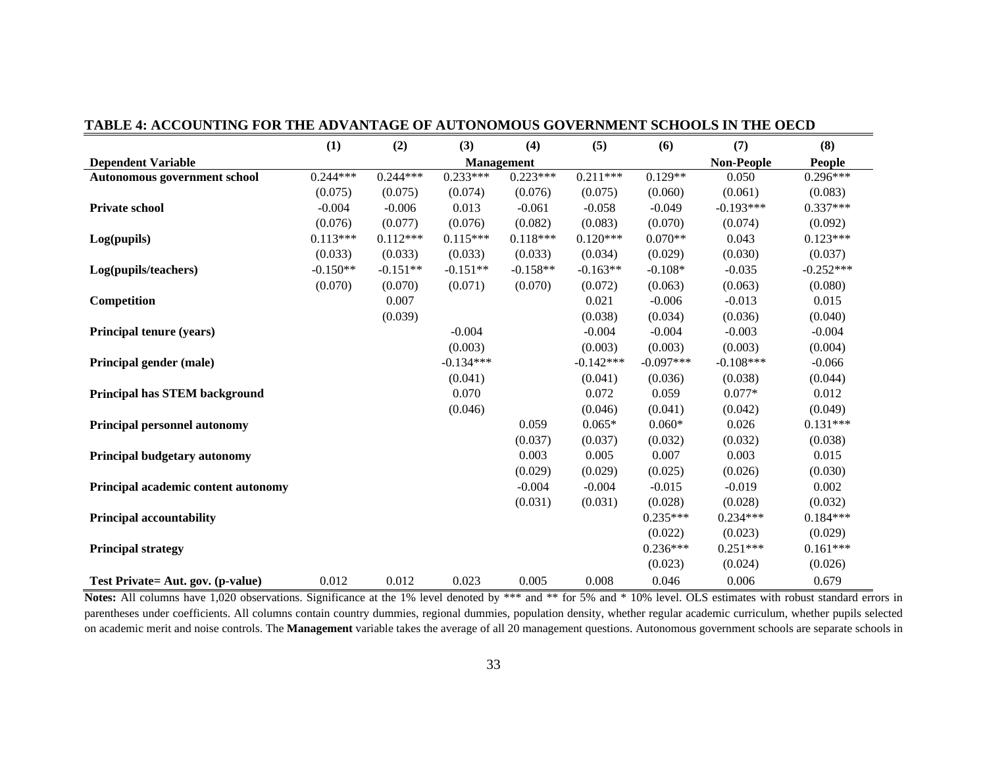|                                      | (1)        | (2)        | (3)         | (4)        | (5)         | (6)         | (7)               | (8)           |
|--------------------------------------|------------|------------|-------------|------------|-------------|-------------|-------------------|---------------|
| <b>Dependent Variable</b>            |            |            |             | Management |             |             | <b>Non-People</b> | <b>People</b> |
| Autonomous government school         | $0.244***$ | $0.244***$ | $0.233***$  | $0.223***$ | $0.211***$  | $0.129**$   | 0.050             | $0.296***$    |
|                                      | (0.075)    | (0.075)    | (0.074)     | (0.076)    | (0.075)     | (0.060)     | (0.061)           | (0.083)       |
| <b>Private school</b>                | $-0.004$   | $-0.006$   | 0.013       | $-0.061$   | $-0.058$    | $-0.049$    | $-0.193***$       | $0.337***$    |
|                                      | (0.076)    | (0.077)    | (0.076)     | (0.082)    | (0.083)     | (0.070)     | (0.074)           | (0.092)       |
| Log(pupils)                          | $0.113***$ | $0.112***$ | $0.115***$  | $0.118***$ | $0.120***$  | $0.070**$   | 0.043             | $0.123***$    |
|                                      | (0.033)    | (0.033)    | (0.033)     | (0.033)    | (0.034)     | (0.029)     | (0.030)           | (0.037)       |
| Log(pupils/teachers)                 | $-0.150**$ | $-0.151**$ | $-0.151**$  | $-0.158**$ | $-0.163**$  | $-0.108*$   | $-0.035$          | $-0.252***$   |
|                                      | (0.070)    | (0.070)    | (0.071)     | (0.070)    | (0.072)     | (0.063)     | (0.063)           | (0.080)       |
| Competition                          |            | 0.007      |             |            | 0.021       | $-0.006$    | $-0.013$          | 0.015         |
|                                      |            | (0.039)    |             |            | (0.038)     | (0.034)     | (0.036)           | (0.040)       |
| Principal tenure (years)             |            |            | $-0.004$    |            | $-0.004$    | $-0.004$    | $-0.003$          | $-0.004$      |
|                                      |            |            | (0.003)     |            | (0.003)     | (0.003)     | (0.003)           | (0.004)       |
| Principal gender (male)              |            |            | $-0.134***$ |            | $-0.142***$ | $-0.097***$ | $-0.108***$       | $-0.066$      |
|                                      |            |            | (0.041)     |            | (0.041)     | (0.036)     | (0.038)           | (0.044)       |
| <b>Principal has STEM background</b> |            |            | 0.070       |            | 0.072       | 0.059       | $0.077*$          | 0.012         |
|                                      |            |            | (0.046)     |            | (0.046)     | (0.041)     | (0.042)           | (0.049)       |
| <b>Principal personnel autonomy</b>  |            |            |             | 0.059      | $0.065*$    | $0.060*$    | 0.026             | $0.131***$    |
|                                      |            |            |             | (0.037)    | (0.037)     | (0.032)     | (0.032)           | (0.038)       |
| Principal budgetary autonomy         |            |            |             | 0.003      | 0.005       | 0.007       | 0.003             | 0.015         |
|                                      |            |            |             | (0.029)    | (0.029)     | (0.025)     | (0.026)           | (0.030)       |
| Principal academic content autonomy  |            |            |             | $-0.004$   | $-0.004$    | $-0.015$    | $-0.019$          | 0.002         |
|                                      |            |            |             | (0.031)    | (0.031)     | (0.028)     | (0.028)           | (0.032)       |
| <b>Principal accountability</b>      |            |            |             |            |             | $0.235***$  | $0.234***$        | $0.184***$    |
|                                      |            |            |             |            |             | (0.022)     | (0.023)           | (0.029)       |
| <b>Principal strategy</b>            |            |            |             |            |             | $0.236***$  | $0.251***$        | $0.161***$    |
|                                      |            |            |             |            |             | (0.023)     | (0.024)           | (0.026)       |
| Test Private = Aut. gov. (p-value)   | 0.012      | 0.012      | 0.023       | 0.005      | 0.008       | 0.046       | 0.006             | 0.679         |

#### **TABLE 4: ACCOUNTING FOR THE ADVANTAGE OF AUTONOMOUS GOVERNMENT SCHOOLS IN THE OECD**

Notes: All columns have 1,020 observations. Significance at the 1% level denoted by \*\*\* and \*\* for 5% and \* 10% level. OLS estimates with robust standard errors in parentheses under coefficients. All columns contain country dummies, regional dummies, population density, whether regular academic curriculum, whether pupils selected on academic merit and noise controls. The **Management** variable takes the average of all 20 management questions. Autonomous government schools are separate schools in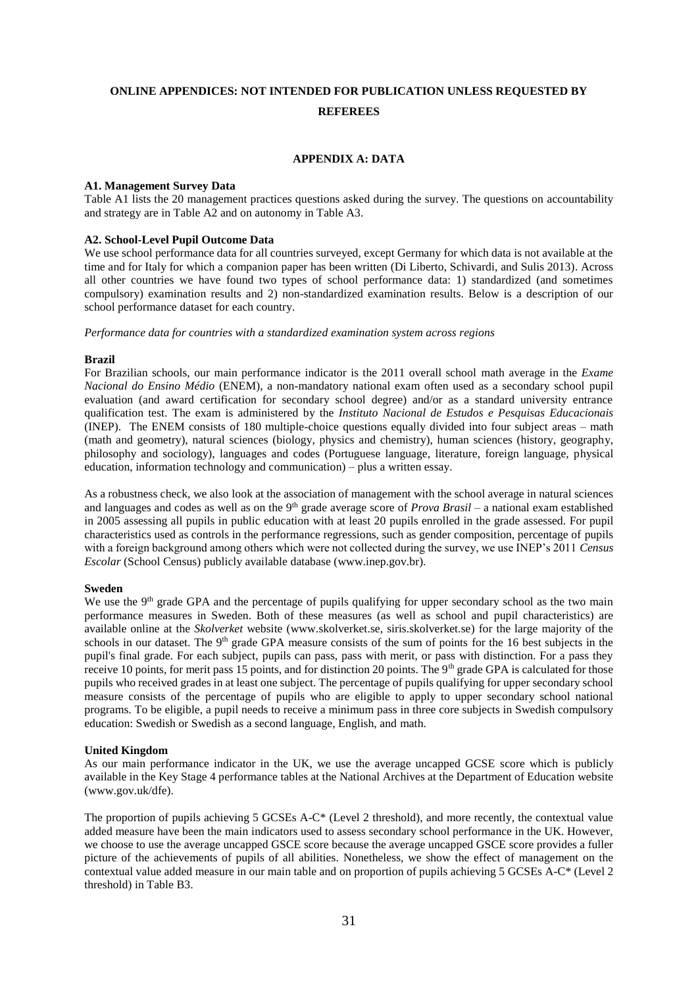## **ONLINE APPENDICES: NOT INTENDED FOR PUBLICATION UNLESS REQUESTED BY REFEREES**

#### **APPENDIX A: DATA**

#### **A1. Management Survey Data**

Table A1 lists the 20 management practices questions asked during the survey. The questions on accountability and strategy are in Table A2 and on autonomy in Table A3.

#### **A2. School-Level Pupil Outcome Data**

We use school performance data for all countries surveyed, except Germany for which data is not available at the time and for Italy for which a companion paper has been written (Di Liberto, Schivardi, and Sulis 2013). Across all other countries we have found two types of school performance data: 1) standardized (and sometimes compulsory) examination results and 2) non-standardized examination results. Below is a description of our school performance dataset for each country.

*Performance data for countries with a standardized examination system across regions*

#### **Brazil**

For Brazilian schools, our main performance indicator is the 2011 overall school math average in the *Exame Nacional do Ensino Médio* (ENEM), a non-mandatory national exam often used as a secondary school pupil evaluation (and award certification for secondary school degree) and/or as a standard university entrance qualification test. The exam is administered by the *Instituto Nacional de Estudos e Pesquisas Educacionais* (INEP). The ENEM consists of 180 multiple-choice questions equally divided into four subject areas – math (math and geometry), natural sciences (biology, physics and chemistry), human sciences (history, geography, philosophy and sociology), languages and codes (Portuguese language, literature, foreign language, physical education, information technology and communication) – plus a written essay.

As a robustness check, we also look at the association of management with the school average in natural sciences and languages and codes as well as on the 9<sup>th</sup> grade average score of *Prova Brasil* – a national exam established in 2005 assessing all pupils in public education with at least 20 pupils enrolled in the grade assessed. For pupil characteristics used as controls in the performance regressions, such as gender composition, percentage of pupils with a foreign background among others which were not collected during the survey, we use INEP's 2011 *Census Escolar* (School Census) publicly available database (www.inep.gov.br).

#### **Sweden**

We use the  $9<sup>th</sup>$  grade GPA and the percentage of pupils qualifying for upper secondary school as the two main performance measures in Sweden. Both of these measures (as well as school and pupil characteristics) are available online at the *Skolverket* website (www.skolverket.se, siris.skolverket.se) for the large majority of the schools in our dataset. The 9<sup>th</sup> grade GPA measure consists of the sum of points for the 16 best subjects in the pupil's final grade. For each subject, pupils can pass, pass with merit, or pass with distinction. For a pass they receive 10 points, for merit pass 15 points, and for distinction 20 points. The 9<sup>th</sup> grade GPA is calculated for those pupils who received grades in at least one subject. The percentage of pupils qualifying for upper secondary school measure consists of the percentage of pupils who are eligible to apply to upper secondary school national programs. To be eligible, a pupil needs to receive a minimum pass in three core subjects in Swedish compulsory education: Swedish or Swedish as a second language, English, and math.

#### **United Kingdom**

As our main performance indicator in the UK, we use the average uncapped GCSE score which is publicly available in the Key Stage 4 performance tables at the National Archives at the Department of Education website (www.gov.uk/dfe).

The proportion of pupils achieving 5 GCSEs A-C\* (Level 2 threshold), and more recently, the contextual value added measure have been the main indicators used to assess secondary school performance in the UK. However, we choose to use the average uncapped GSCE score because the average uncapped GSCE score provides a fuller picture of the achievements of pupils of all abilities. Nonetheless, we show the effect of management on the contextual value added measure in our main table and on proportion of pupils achieving 5 GCSEs A-C\* (Level 2 threshold) in Table B3.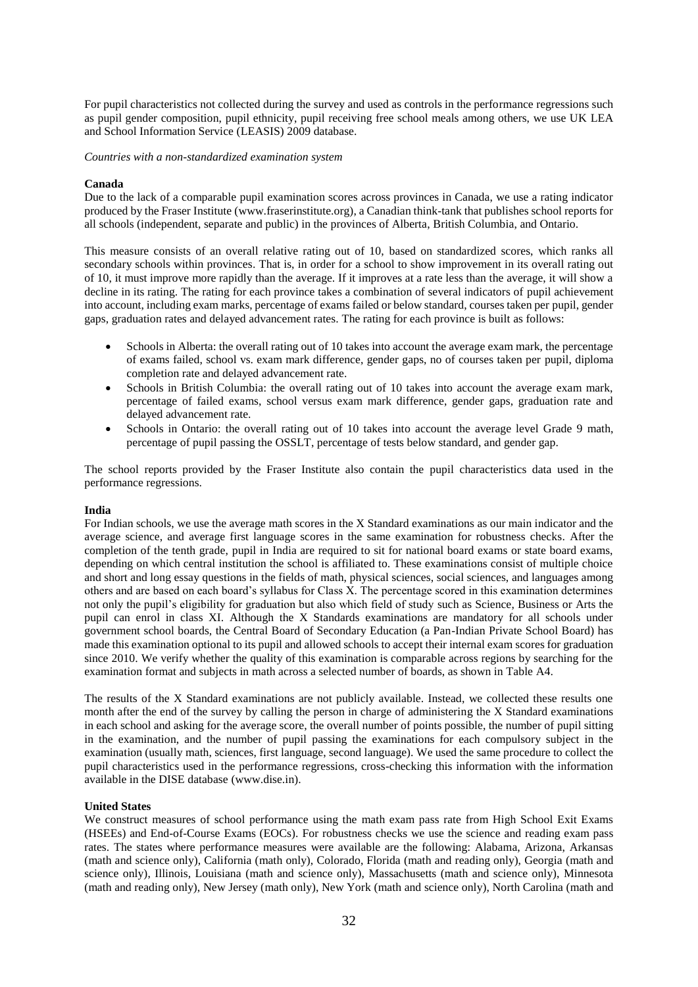For pupil characteristics not collected during the survey and used as controls in the performance regressions such as pupil gender composition, pupil ethnicity, pupil receiving free school meals among others, we use UK LEA and School Information Service (LEASIS) 2009 database.

#### *Countries with a non-standardized examination system*

#### **Canada**

Due to the lack of a comparable pupil examination scores across provinces in Canada, we use a rating indicator produced by the Fraser Institute (www.fraserinstitute.org), a Canadian think-tank that publishes school reports for all schools (independent, separate and public) in the provinces of Alberta, British Columbia, and Ontario.

This measure consists of an overall relative rating out of 10, based on standardized scores, which ranks all secondary schools within provinces. That is, in order for a school to show improvement in its overall rating out of 10, it must improve more rapidly than the average. If it improves at a rate less than the average, it will show a decline in its rating. The rating for each province takes a combination of several indicators of pupil achievement into account, including exam marks, percentage of exams failed or below standard, courses taken per pupil, gender gaps, graduation rates and delayed advancement rates. The rating for each province is built as follows:

- Schools in Alberta: the overall rating out of 10 takes into account the average exam mark, the percentage of exams failed, school vs. exam mark difference, gender gaps, no of courses taken per pupil, diploma completion rate and delayed advancement rate.
- Schools in British Columbia: the overall rating out of 10 takes into account the average exam mark, percentage of failed exams, school versus exam mark difference, gender gaps, graduation rate and delayed advancement rate.
- Schools in Ontario: the overall rating out of 10 takes into account the average level Grade 9 math, percentage of pupil passing the OSSLT, percentage of tests below standard, and gender gap.

The school reports provided by the Fraser Institute also contain the pupil characteristics data used in the performance regressions.

#### **India**

For Indian schools, we use the average math scores in the X Standard examinations as our main indicator and the average science, and average first language scores in the same examination for robustness checks. After the completion of the tenth grade, pupil in India are required to sit for national board exams or state board exams, depending on which central institution the school is affiliated to. These examinations consist of multiple choice and short and long essay questions in the fields of math, physical sciences, social sciences, and languages among others and are based on each board's syllabus for Class X. The percentage scored in this examination determines not only the pupil's eligibility for graduation but also which field of study such as Science, Business or Arts the pupil can enrol in class XI. Although the X Standards examinations are mandatory for all schools under government school boards, the Central Board of Secondary Education (a Pan-Indian Private School Board) has made this examination optional to its pupil and allowed schools to accept their internal exam scores for graduation since 2010. We verify whether the quality of this examination is comparable across regions by searching for the examination format and subjects in math across a selected number of boards, as shown in Table A4.

The results of the X Standard examinations are not publicly available. Instead, we collected these results one month after the end of the survey by calling the person in charge of administering the X Standard examinations in each school and asking for the average score, the overall number of points possible, the number of pupil sitting in the examination, and the number of pupil passing the examinations for each compulsory subject in the examination (usually math, sciences, first language, second language). We used the same procedure to collect the pupil characteristics used in the performance regressions, cross-checking this information with the information available in the DISE database (www.dise.in).

#### **United States**

We construct measures of school performance using the math exam pass rate from High School Exit Exams (HSEEs) and End-of-Course Exams (EOCs). For robustness checks we use the science and reading exam pass rates. The states where performance measures were available are the following: Alabama, Arizona, Arkansas (math and science only), California (math only), Colorado, Florida (math and reading only), Georgia (math and science only), Illinois, Louisiana (math and science only), Massachusetts (math and science only), Minnesota (math and reading only), New Jersey (math only), New York (math and science only), North Carolina (math and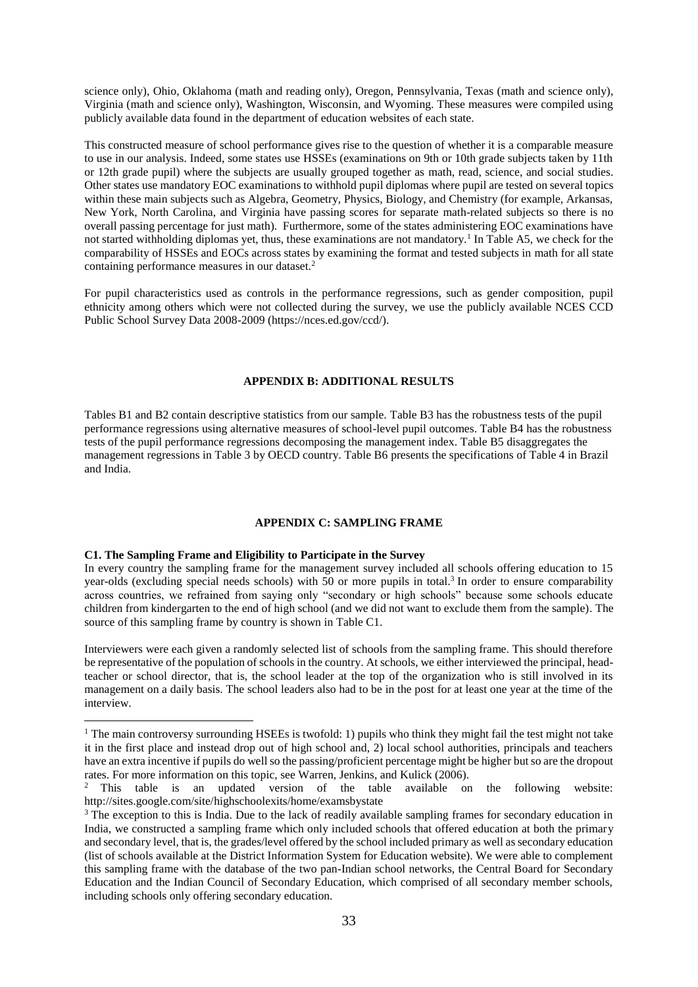science only), Ohio, Oklahoma (math and reading only), Oregon, Pennsylvania, Texas (math and science only), Virginia (math and science only), Washington, Wisconsin, and Wyoming. These measures were compiled using publicly available data found in the department of education websites of each state.

This constructed measure of school performance gives rise to the question of whether it is a comparable measure to use in our analysis. Indeed, some states use HSSEs (examinations on 9th or 10th grade subjects taken by 11th or 12th grade pupil) where the subjects are usually grouped together as math, read, science, and social studies. Other states use mandatory EOC examinations to withhold pupil diplomas where pupil are tested on several topics within these main subjects such as Algebra, Geometry, Physics, Biology, and Chemistry (for example, Arkansas, New York, North Carolina, and Virginia have passing scores for separate math-related subjects so there is no overall passing percentage for just math). Furthermore, some of the states administering EOC examinations have not started withholding diplomas yet, thus, these examinations are not mandatory.<sup>1</sup> In Table A5, we check for the comparability of HSSEs and EOCs across states by examining the format and tested subjects in math for all state containing performance measures in our dataset.<sup>2</sup>

For pupil characteristics used as controls in the performance regressions, such as gender composition, pupil ethnicity among others which were not collected during the survey, we use the publicly available NCES CCD Public School Survey Data 2008-2009 (https://nces.ed.gov/ccd/).

#### **APPENDIX B: ADDITIONAL RESULTS**

Tables B1 and B2 contain descriptive statistics from our sample. Table B3 has the robustness tests of the pupil performance regressions using alternative measures of school-level pupil outcomes. Table B4 has the robustness tests of the pupil performance regressions decomposing the management index. Table B5 disaggregates the management regressions in Table 3 by OECD country. Table B6 presents the specifications of Table 4 in Brazil and India.

#### **APPENDIX C: SAMPLING FRAME**

#### **C1. The Sampling Frame and Eligibility to Participate in the Survey**

 $\overline{a}$ 

In every country the sampling frame for the management survey included all schools offering education to 15 year-olds (excluding special needs schools) with 50 or more pupils in total. $3$  In order to ensure comparability across countries, we refrained from saying only "secondary or high schools" because some schools educate children from kindergarten to the end of high school (and we did not want to exclude them from the sample). The source of this sampling frame by country is shown in Table C1.

Interviewers were each given a randomly selected list of schools from the sampling frame. This should therefore be representative of the population of schools in the country. At schools, we either interviewed the principal, headteacher or school director, that is, the school leader at the top of the organization who is still involved in its management on a daily basis. The school leaders also had to be in the post for at least one year at the time of the interview.

<sup>&</sup>lt;sup>1</sup> The main controversy surrounding HSEEs is twofold: 1) pupils who think they might fail the test might not take it in the first place and instead drop out of high school and, 2) local school authorities, principals and teachers have an extra incentive if pupils do well so the passing/proficient percentage might be higher but so are the dropout rates. For more information on this topic, see Warren, Jenkins, and Kulick (2006).

<sup>&</sup>lt;sup>2</sup> This table is an updated version of the table available on the following website: http://sites.google.com/site/highschoolexits/home/examsbystate

<sup>&</sup>lt;sup>3</sup> The exception to this is India. Due to the lack of readily available sampling frames for secondary education in India, we constructed a sampling frame which only included schools that offered education at both the primary and secondary level, that is, the grades/level offered by the school included primary as well as secondary education (list of schools available at the District Information System for Education website). We were able to complement this sampling frame with the database of the two pan-Indian school networks, the Central Board for Secondary Education and the Indian Council of Secondary Education, which comprised of all secondary member schools, including schools only offering secondary education.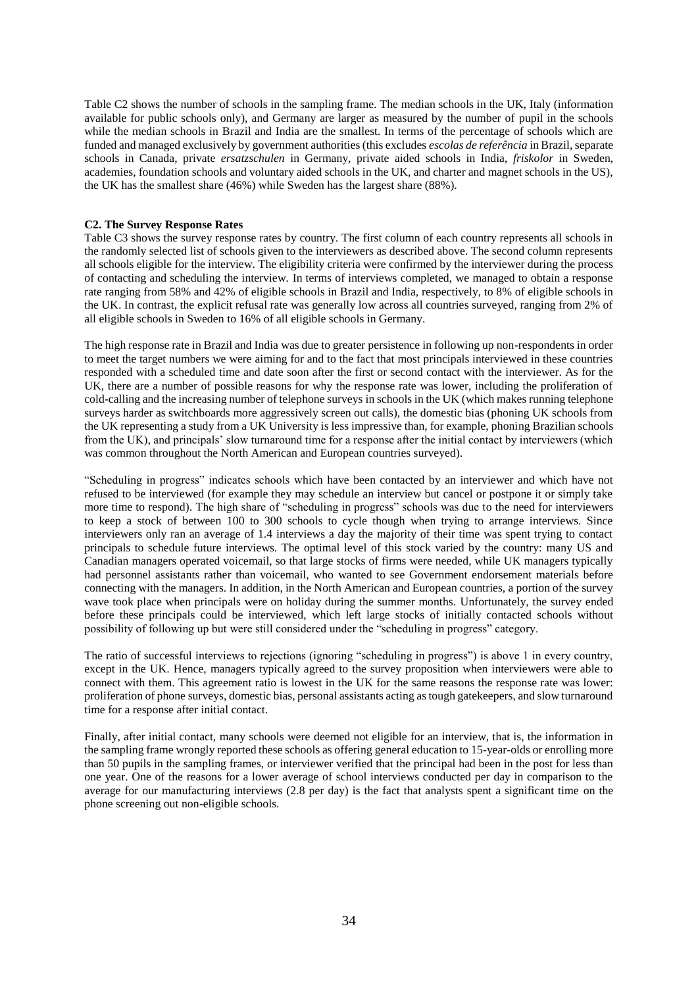Table C2 shows the number of schools in the sampling frame. The median schools in the UK, Italy (information available for public schools only), and Germany are larger as measured by the number of pupil in the schools while the median schools in Brazil and India are the smallest. In terms of the percentage of schools which are funded and managed exclusively by government authorities (this excludes *escolas de referência* in Brazil, separate schools in Canada, private *ersatzschulen* in Germany, private aided schools in India, *friskolor* in Sweden, academies, foundation schools and voluntary aided schools in the UK, and charter and magnet schools in the US), the UK has the smallest share (46%) while Sweden has the largest share (88%).

#### **C2. The Survey Response Rates**

Table C3 shows the survey response rates by country. The first column of each country represents all schools in the randomly selected list of schools given to the interviewers as described above. The second column represents all schools eligible for the interview. The eligibility criteria were confirmed by the interviewer during the process of contacting and scheduling the interview. In terms of interviews completed, we managed to obtain a response rate ranging from 58% and 42% of eligible schools in Brazil and India, respectively, to 8% of eligible schools in the UK. In contrast, the explicit refusal rate was generally low across all countries surveyed, ranging from 2% of all eligible schools in Sweden to 16% of all eligible schools in Germany.

The high response rate in Brazil and India was due to greater persistence in following up non-respondents in order to meet the target numbers we were aiming for and to the fact that most principals interviewed in these countries responded with a scheduled time and date soon after the first or second contact with the interviewer. As for the UK, there are a number of possible reasons for why the response rate was lower, including the proliferation of cold-calling and the increasing number of telephone surveys in schools in the UK (which makes running telephone surveys harder as switchboards more aggressively screen out calls), the domestic bias (phoning UK schools from the UK representing a study from a UK University is less impressive than, for example, phoning Brazilian schools from the UK), and principals' slow turnaround time for a response after the initial contact by interviewers (which was common throughout the North American and European countries surveyed).

"Scheduling in progress" indicates schools which have been contacted by an interviewer and which have not refused to be interviewed (for example they may schedule an interview but cancel or postpone it or simply take more time to respond). The high share of "scheduling in progress" schools was due to the need for interviewers to keep a stock of between 100 to 300 schools to cycle though when trying to arrange interviews. Since interviewers only ran an average of 1.4 interviews a day the majority of their time was spent trying to contact principals to schedule future interviews. The optimal level of this stock varied by the country: many US and Canadian managers operated voicemail, so that large stocks of firms were needed, while UK managers typically had personnel assistants rather than voicemail, who wanted to see Government endorsement materials before connecting with the managers. In addition, in the North American and European countries, a portion of the survey wave took place when principals were on holiday during the summer months. Unfortunately, the survey ended before these principals could be interviewed, which left large stocks of initially contacted schools without possibility of following up but were still considered under the "scheduling in progress" category.

The ratio of successful interviews to rejections (ignoring "scheduling in progress") is above 1 in every country, except in the UK. Hence, managers typically agreed to the survey proposition when interviewers were able to connect with them. This agreement ratio is lowest in the UK for the same reasons the response rate was lower: proliferation of phone surveys, domestic bias, personal assistants acting as tough gatekeepers, and slow turnaround time for a response after initial contact.

Finally, after initial contact, many schools were deemed not eligible for an interview, that is, the information in the sampling frame wrongly reported these schools as offering general education to 15-year-olds or enrolling more than 50 pupils in the sampling frames, or interviewer verified that the principal had been in the post for less than one year. One of the reasons for a lower average of school interviews conducted per day in comparison to the average for our manufacturing interviews (2.8 per day) is the fact that analysts spent a significant time on the phone screening out non-eligible schools.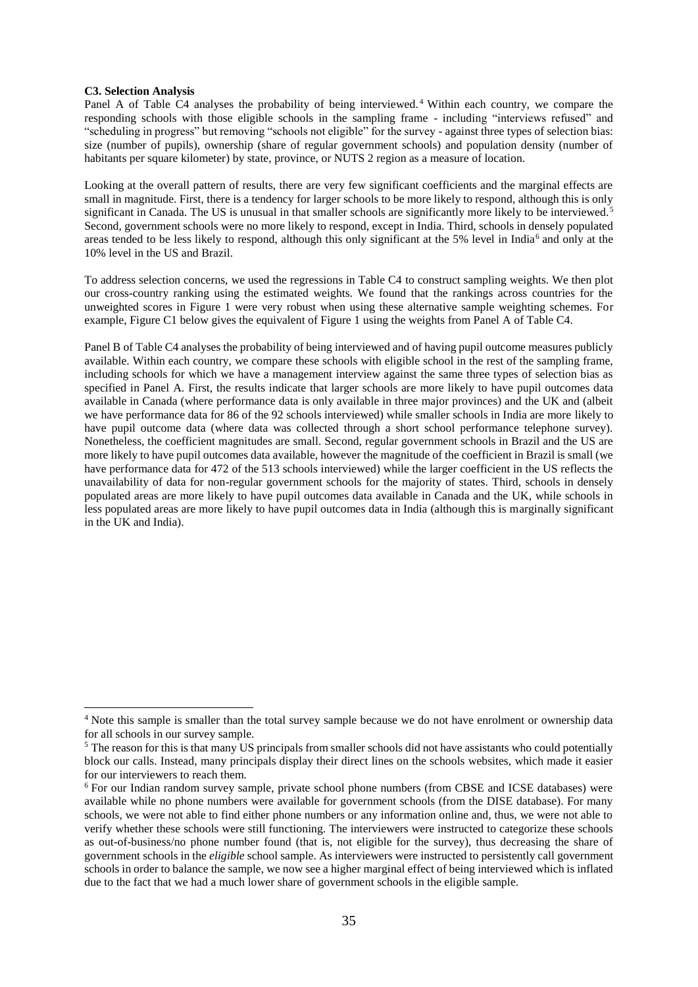#### **C3. Selection Analysis**

 $\overline{a}$ 

Panel A of Table C4 analyses the probability of being interviewed. <sup>4</sup> Within each country, we compare the responding schools with those eligible schools in the sampling frame - including "interviews refused" and "scheduling in progress" but removing "schools not eligible" for the survey - against three types of selection bias: size (number of pupils), ownership (share of regular government schools) and population density (number of habitants per square kilometer) by state, province, or NUTS 2 region as a measure of location.

Looking at the overall pattern of results, there are very few significant coefficients and the marginal effects are small in magnitude. First, there is a tendency for larger schools to be more likely to respond, although this is only significant in Canada. The US is unusual in that smaller schools are significantly more likely to be interviewed.<sup>5</sup> Second, government schools were no more likely to respond, except in India. Third, schools in densely populated areas tended to be less likely to respond, although this only significant at the  $5\%$  level in India<sup>6</sup> and only at the 10% level in the US and Brazil.

To address selection concerns, we used the regressions in Table C4 to construct sampling weights. We then plot our cross-country ranking using the estimated weights. We found that the rankings across countries for the unweighted scores in Figure 1 were very robust when using these alternative sample weighting schemes. For example, Figure C1 below gives the equivalent of Figure 1 using the weights from Panel A of Table C4.

Panel B of Table C4 analyses the probability of being interviewed and of having pupil outcome measures publicly available. Within each country, we compare these schools with eligible school in the rest of the sampling frame, including schools for which we have a management interview against the same three types of selection bias as specified in Panel A. First, the results indicate that larger schools are more likely to have pupil outcomes data available in Canada (where performance data is only available in three major provinces) and the UK and (albeit we have performance data for 86 of the 92 schools interviewed) while smaller schools in India are more likely to have pupil outcome data (where data was collected through a short school performance telephone survey). Nonetheless, the coefficient magnitudes are small. Second, regular government schools in Brazil and the US are more likely to have pupil outcomes data available, however the magnitude of the coefficient in Brazil is small (we have performance data for 472 of the 513 schools interviewed) while the larger coefficient in the US reflects the unavailability of data for non-regular government schools for the majority of states. Third, schools in densely populated areas are more likely to have pupil outcomes data available in Canada and the UK, while schools in less populated areas are more likely to have pupil outcomes data in India (although this is marginally significant in the UK and India).

<sup>4</sup> Note this sample is smaller than the total survey sample because we do not have enrolment or ownership data for all schools in our survey sample.

<sup>&</sup>lt;sup>5</sup> The reason for this is that many US principals from smaller schools did not have assistants who could potentially block our calls. Instead, many principals display their direct lines on the schools websites, which made it easier for our interviewers to reach them.

<sup>6</sup> For our Indian random survey sample, private school phone numbers (from CBSE and ICSE databases) were available while no phone numbers were available for government schools (from the DISE database). For many schools, we were not able to find either phone numbers or any information online and, thus, we were not able to verify whether these schools were still functioning. The interviewers were instructed to categorize these schools as out-of-business/no phone number found (that is, not eligible for the survey), thus decreasing the share of government schools in the *eligible* school sample. As interviewers were instructed to persistently call government schools in order to balance the sample, we now see a higher marginal effect of being interviewed which is inflated due to the fact that we had a much lower share of government schools in the eligible sample.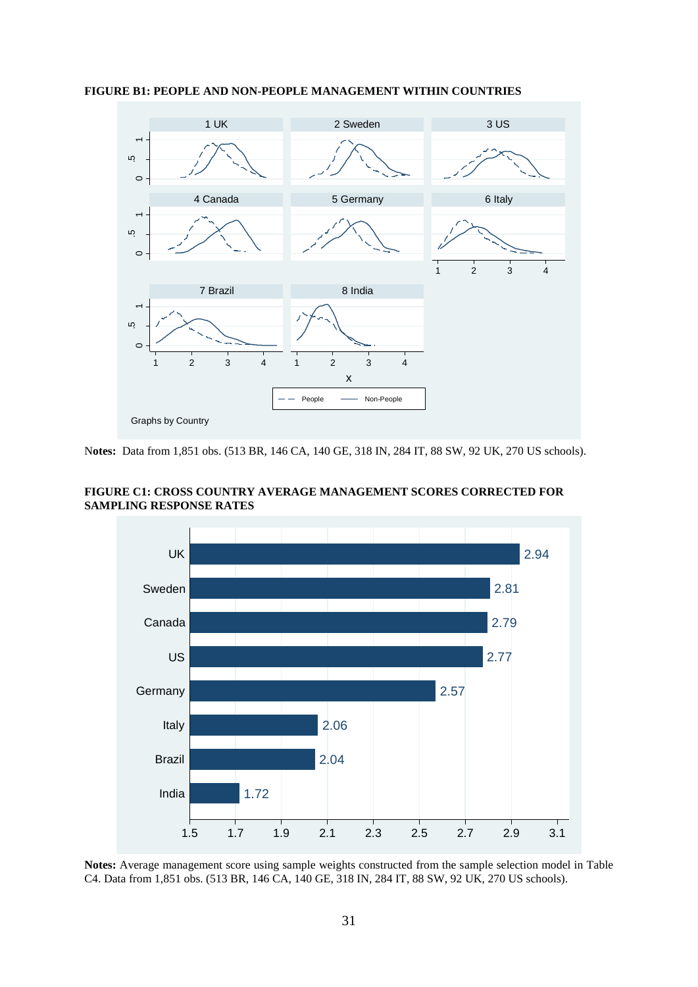

#### **FIGURE B1: PEOPLE AND NON-PEOPLE MANAGEMENT WITHIN COUNTRIES**

N**otes:** Data from 1,851 obs. (513 BR, 146 CA, 140 GE, 318 IN, 284 IT, 88 SW, 92 UK, 270 US schools).

**FIGURE C1: CROSS COUNTRY AVERAGE MANAGEMENT SCORES CORRECTED FOR SAMPLING RESPONSE RATES**



**Notes:** Average management score using sample weights constructed from the sample selection model in Table C4. Data from 1,851 obs. (513 BR, 146 CA, 140 GE, 318 IN, 284 IT, 88 SW, 92 UK, 270 US schools).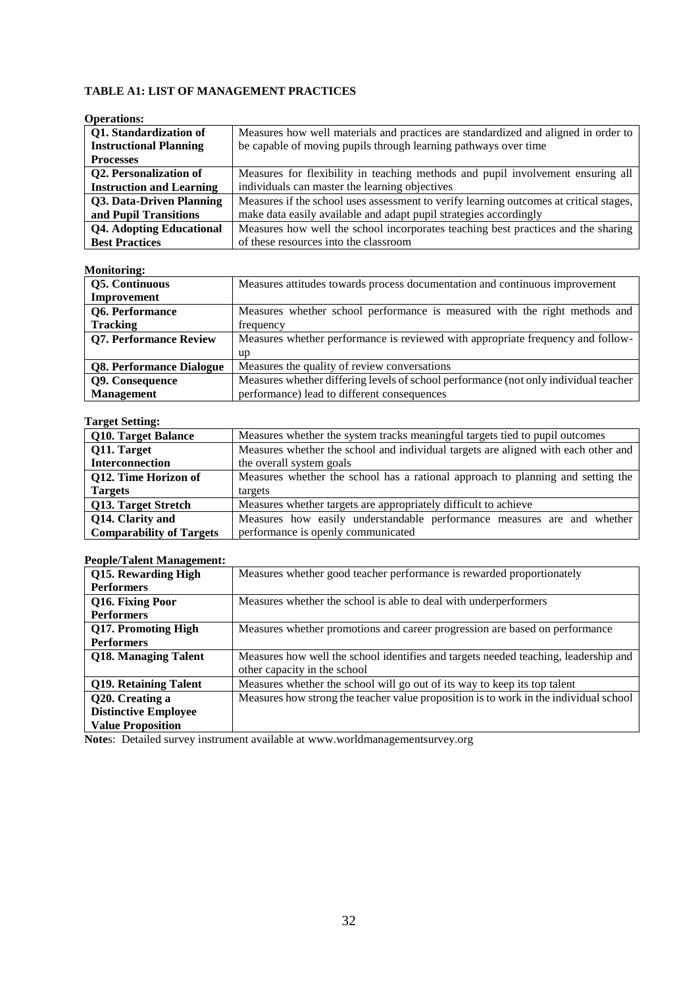## **TABLE A1: LIST OF MANAGEMENT PRACTICES**

| ODETAHOIIS:                     |                                                                                        |
|---------------------------------|----------------------------------------------------------------------------------------|
| Q1. Standardization of          | Measures how well materials and practices are standardized and aligned in order to     |
| <b>Instructional Planning</b>   | be capable of moving pupils through learning pathways over time                        |
| <b>Processes</b>                |                                                                                        |
| Q2. Personalization of          | Measures for flexibility in teaching methods and pupil involvement ensuring all        |
| <b>Instruction and Learning</b> | individuals can master the learning objectives                                         |
| Q3. Data-Driven Planning        | Measures if the school uses assessment to verify learning outcomes at critical stages, |
| and Pupil Transitions           | make data easily available and adapt pupil strategies accordingly                      |
| <b>Q4. Adopting Educational</b> | Measures how well the school incorporates teaching best practices and the sharing      |
| <b>Best Practices</b>           | of these resources into the classroom                                                  |

## **Operations:**

#### **Monitoring:**

| .                               |                                                                                      |
|---------------------------------|--------------------------------------------------------------------------------------|
| <b>Q5. Continuous</b>           | Measures attitudes towards process documentation and continuous improvement          |
| Improvement                     |                                                                                      |
| Q6. Performance                 | Measures whether school performance is measured with the right methods and           |
| <b>Tracking</b>                 | frequency                                                                            |
| <b>Q7. Performance Review</b>   | Measures whether performance is reviewed with appropriate frequency and follow-      |
|                                 | up                                                                                   |
| <b>Q8. Performance Dialogue</b> | Measures the quality of review conversations                                         |
| Q9. Consequence                 | Measures whether differing levels of school performance (not only individual teacher |
| <b>Management</b>               | performance) lead to different consequences                                          |

### **Target Setting:**

| Q10. Target Balance             | Measures whether the system tracks meaningful targets tied to pupil outcomes       |  |  |  |  |  |  |
|---------------------------------|------------------------------------------------------------------------------------|--|--|--|--|--|--|
| Q11. Target                     | Measures whether the school and individual targets are aligned with each other and |  |  |  |  |  |  |
| Interconnection                 | the overall system goals                                                           |  |  |  |  |  |  |
| Q12. Time Horizon of            | Measures whether the school has a rational approach to planning and setting the    |  |  |  |  |  |  |
| <b>Targets</b>                  | targets                                                                            |  |  |  |  |  |  |
| Q13. Target Stretch             | Measures whether targets are appropriately difficult to achieve                    |  |  |  |  |  |  |
| Q14. Clarity and                | Measures how easily understandable performance measures are and whether            |  |  |  |  |  |  |
| <b>Comparability of Targets</b> | performance is openly communicated                                                 |  |  |  |  |  |  |

### **People/Talent Management:**

| Q15. Rewarding High          | Measures whether good teacher performance is rewarded proportionately                 |
|------------------------------|---------------------------------------------------------------------------------------|
| <b>Performers</b>            |                                                                                       |
| Q16. Fixing Poor             | Measures whether the school is able to deal with underperformers                      |
| <b>Performers</b>            |                                                                                       |
| Q17. Promoting High          | Measures whether promotions and career progression are based on performance           |
| <b>Performers</b>            |                                                                                       |
| Q18. Managing Talent         | Measures how well the school identifies and targets needed teaching, leadership and   |
|                              | other capacity in the school                                                          |
| <b>Q19. Retaining Talent</b> | Measures whether the school will go out of its way to keep its top talent             |
| Q20. Creating a              | Measures how strong the teacher value proposition is to work in the individual school |
| <b>Distinctive Employee</b>  |                                                                                       |
| <b>Value Proposition</b>     |                                                                                       |

**Note**s: Detailed survey instrument available at www.worldmanagementsurvey.org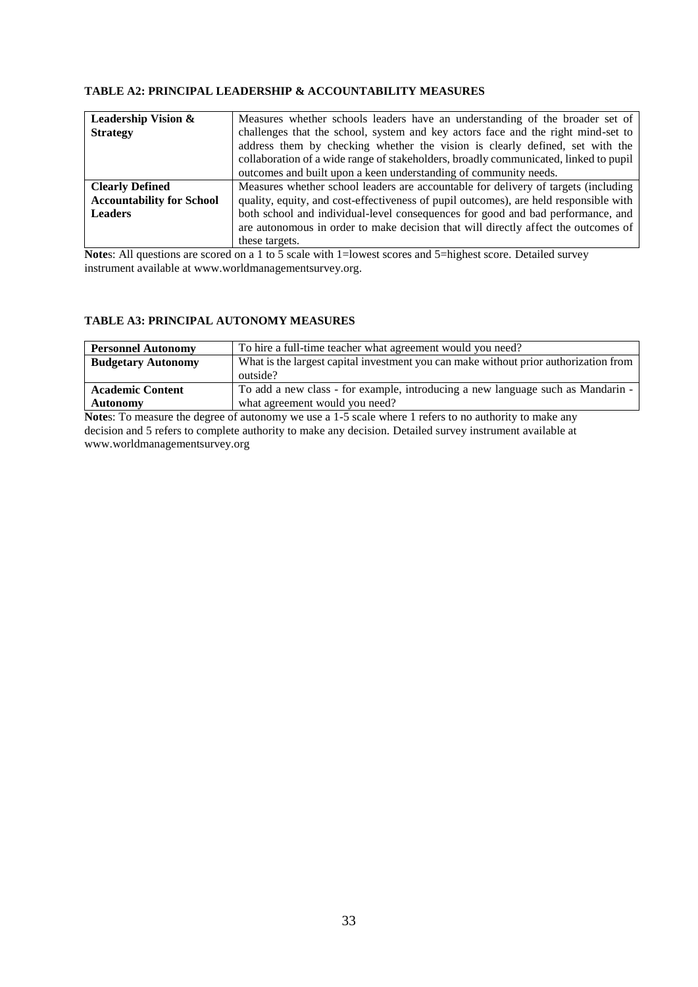#### **TABLE A2: PRINCIPAL LEADERSHIP & ACCOUNTABILITY MEASURES**

| <b>Leadership Vision &amp;</b>   | Measures whether schools leaders have an understanding of the broader set of          |
|----------------------------------|---------------------------------------------------------------------------------------|
| <b>Strategy</b>                  | challenges that the school, system and key actors face and the right mind-set to      |
|                                  | address them by checking whether the vision is clearly defined, set with the          |
|                                  | collaboration of a wide range of stakeholders, broadly communicated, linked to pupil  |
|                                  | outcomes and built upon a keen understanding of community needs.                      |
| <b>Clearly Defined</b>           | Measures whether school leaders are accountable for delivery of targets (including    |
| <b>Accountability for School</b> | quality, equity, and cost-effectiveness of pupil outcomes), are held responsible with |
| <b>Leaders</b>                   | both school and individual-level consequences for good and bad performance, and       |
|                                  | are autonomous in order to make decision that will directly affect the outcomes of    |
|                                  | these targets.                                                                        |

**Notes:** All questions are scored on a 1 to 5 scale with 1=lowest scores and 5=highest score. Detailed survey instrument available at www.worldmanagementsurvey.org.

#### **TABLE A3: PRINCIPAL AUTONOMY MEASURES**

| <b>Personnel Autonomy</b> | To hire a full-time teacher what agreement would you need?                           |
|---------------------------|--------------------------------------------------------------------------------------|
| <b>Budgetary Autonomy</b> | What is the largest capital investment you can make without prior authorization from |
|                           | outside?                                                                             |
| <b>Academic Content</b>   | To add a new class - for example, introducing a new language such as Mandarin -      |
| <b>Autonomy</b>           | what agreement would you need?                                                       |

**Notes:** To measure the degree of autonomy we use a 1-5 scale where 1 refers to no authority to make any decision and 5 refers to complete authority to make any decision. Detailed survey instrument available at www.worldmanagementsurvey.org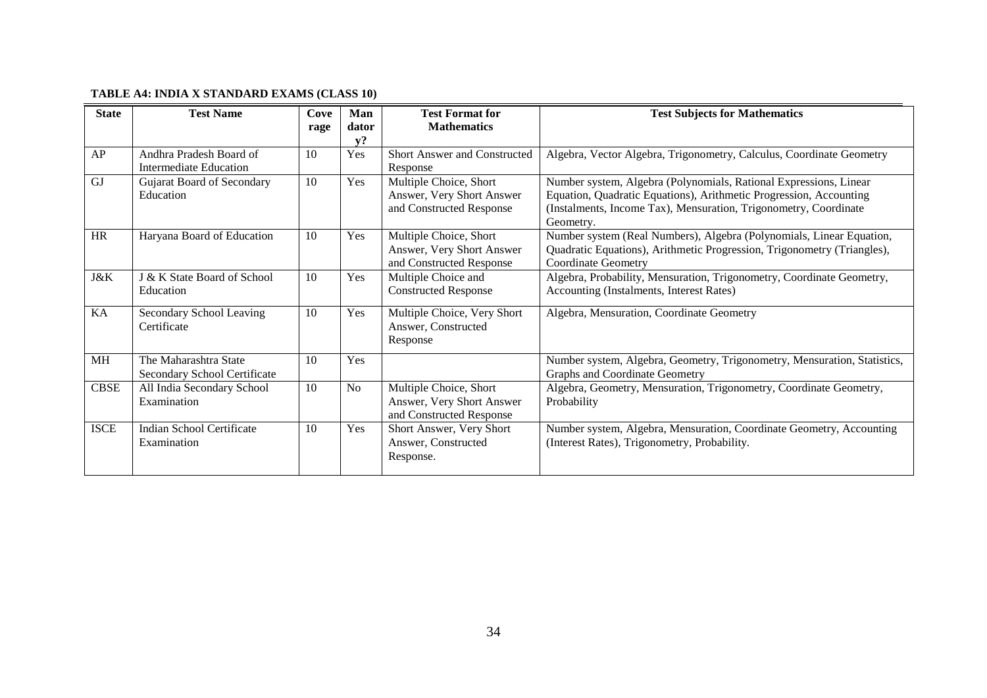## **TABLE A4: INDIA X STANDARD EXAMS (CLASS 10)**

| <b>State</b> | <b>Test Name</b>                                      | Cove<br>rage | Man<br>dator   | <b>Test Format for</b><br><b>Mathematics</b>                                    | <b>Test Subjects for Mathematics</b>                                                                                                                                                                                     |
|--------------|-------------------------------------------------------|--------------|----------------|---------------------------------------------------------------------------------|--------------------------------------------------------------------------------------------------------------------------------------------------------------------------------------------------------------------------|
|              |                                                       |              | v?             |                                                                                 |                                                                                                                                                                                                                          |
| AP           | Andhra Pradesh Board of<br>Intermediate Education     | 10           | Yes            | Short Answer and Constructed<br>Response                                        | Algebra, Vector Algebra, Trigonometry, Calculus, Coordinate Geometry                                                                                                                                                     |
| <b>GJ</b>    | Gujarat Board of Secondary<br>Education               | 10           | Yes            | Multiple Choice, Short<br>Answer, Very Short Answer<br>and Constructed Response | Number system, Algebra (Polynomials, Rational Expressions, Linear<br>Equation, Quadratic Equations), Arithmetic Progression, Accounting<br>(Instalments, Income Tax), Mensuration, Trigonometry, Coordinate<br>Geometry. |
| <b>HR</b>    | Haryana Board of Education                            | 10           | Yes            | Multiple Choice, Short<br>Answer, Very Short Answer<br>and Constructed Response | Number system (Real Numbers), Algebra (Polynomials, Linear Equation,<br>Quadratic Equations), Arithmetic Progression, Trigonometry (Triangles),<br><b>Coordinate Geometry</b>                                            |
| J&K          | J & K State Board of School<br>Education              | 10           | Yes            | Multiple Choice and<br><b>Constructed Response</b>                              | Algebra, Probability, Mensuration, Trigonometry, Coordinate Geometry,<br>Accounting (Instalments, Interest Rates)                                                                                                        |
| KA           | Secondary School Leaving<br>Certificate               | 10           | Yes            | Multiple Choice, Very Short<br>Answer, Constructed<br>Response                  | Algebra, Mensuration, Coordinate Geometry                                                                                                                                                                                |
| <b>MH</b>    | The Maharashtra State<br>Secondary School Certificate | 10           | Yes            |                                                                                 | Number system, Algebra, Geometry, Trigonometry, Mensuration, Statistics,<br><b>Graphs and Coordinate Geometry</b>                                                                                                        |
| <b>CBSE</b>  | All India Secondary School<br>Examination             | 10           | N <sub>o</sub> | Multiple Choice, Short<br>Answer, Very Short Answer<br>and Constructed Response | Algebra, Geometry, Mensuration, Trigonometry, Coordinate Geometry,<br>Probability                                                                                                                                        |
| <b>ISCE</b>  | <b>Indian School Certificate</b><br>Examination       | 10           | Yes            | Short Answer, Very Short<br>Answer, Constructed<br>Response.                    | Number system, Algebra, Mensuration, Coordinate Geometry, Accounting<br>(Interest Rates), Trigonometry, Probability.                                                                                                     |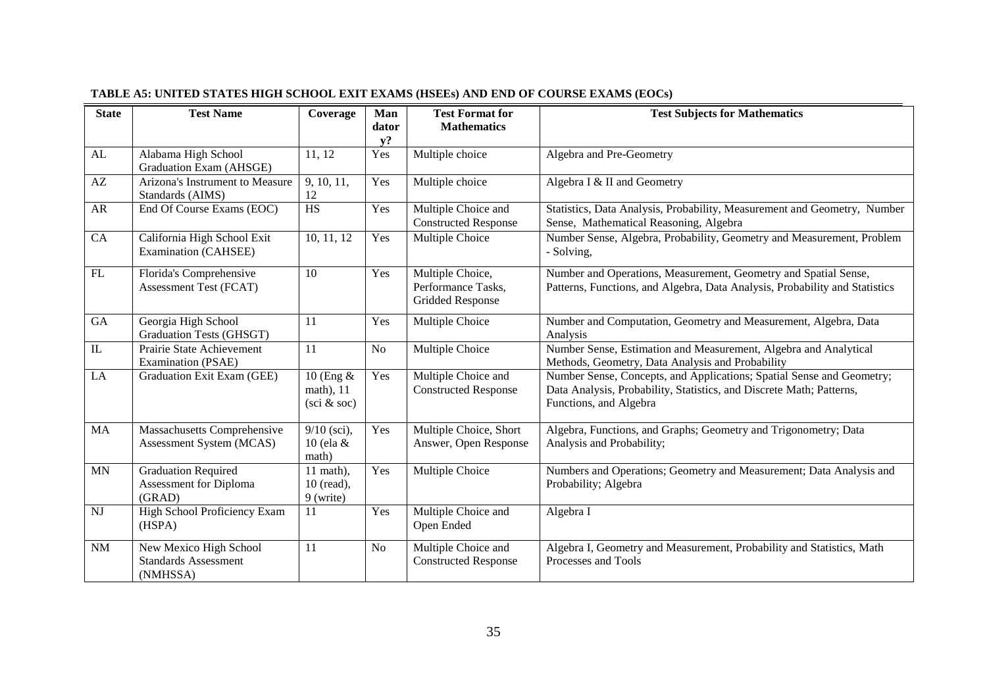| <b>State</b> | <b>Test Name</b>                                                  | Coverage                                                    | Man<br>dator   | <b>Test Format for</b><br><b>Mathematics</b>               | <b>Test Subjects for Mathematics</b>                                                                                                                                    |
|--------------|-------------------------------------------------------------------|-------------------------------------------------------------|----------------|------------------------------------------------------------|-------------------------------------------------------------------------------------------------------------------------------------------------------------------------|
|              |                                                                   |                                                             | $y$ ?          |                                                            |                                                                                                                                                                         |
| AL           | Alabama High School<br>Graduation Exam (AHSGE)                    | 11, 12                                                      | Yes            | Multiple choice                                            | Algebra and Pre-Geometry                                                                                                                                                |
| AZ           | Arizona's Instrument to Measure<br>Standards (AIMS)               | 9, 10, 11,<br>12                                            | Yes            | Multiple choice                                            | Algebra I & II and Geometry                                                                                                                                             |
| <b>AR</b>    | End Of Course Exams (EOC)                                         | <b>HS</b>                                                   | Yes            | Multiple Choice and<br><b>Constructed Response</b>         | Statistics, Data Analysis, Probability, Measurement and Geometry, Number<br>Sense, Mathematical Reasoning, Algebra                                                      |
| CA           | California High School Exit<br>Examination (CAHSEE)               | 10, 11, 12                                                  | Yes            | <b>Multiple Choice</b>                                     | Number Sense, Algebra, Probability, Geometry and Measurement, Problem<br>- Solving,                                                                                     |
| FL           | Florida's Comprehensive<br>Assessment Test (FCAT)                 | 10                                                          | Yes            | Multiple Choice,<br>Performance Tasks,<br>Gridded Response | Number and Operations, Measurement, Geometry and Spatial Sense,<br>Patterns, Functions, and Algebra, Data Analysis, Probability and Statistics                          |
| GA           | Georgia High School<br>Graduation Tests (GHSGT)                   | 11                                                          | Yes            | Multiple Choice                                            | Number and Computation, Geometry and Measurement, Algebra, Data<br>Analysis                                                                                             |
| $\rm IL$     | Prairie State Achievement<br>Examination (PSAE)                   | 11                                                          | N <sub>o</sub> | Multiple Choice                                            | Number Sense, Estimation and Measurement, Algebra and Analytical<br>Methods, Geometry, Data Analysis and Probability                                                    |
| LA           | Graduation Exit Exam (GEE)                                        | 10 (Eng $\&$<br>math), 11<br>$(\text{sci } \& \text{ soc})$ | Yes            | Multiple Choice and<br><b>Constructed Response</b>         | Number Sense, Concepts, and Applications; Spatial Sense and Geometry;<br>Data Analysis, Probability, Statistics, and Discrete Math; Patterns,<br>Functions, and Algebra |
| MA           | Massachusetts Comprehensive<br>Assessment System (MCAS)           | $9/10$ (sci),<br>10 (ela &<br>math)                         | Yes            | Multiple Choice, Short<br>Answer, Open Response            | Algebra, Functions, and Graphs; Geometry and Trigonometry; Data<br>Analysis and Probability;                                                                            |
| MN           | <b>Graduation Required</b><br>Assessment for Diploma<br>(GRAD)    | $11$ math),<br>$10$ (read),<br>9 (write)                    | Yes            | Multiple Choice                                            | Numbers and Operations; Geometry and Measurement; Data Analysis and<br>Probability; Algebra                                                                             |
| <b>NJ</b>    | High School Proficiency Exam<br>(HSPA)                            | 11                                                          | Yes            | Multiple Choice and<br>Open Ended                          | Algebra I                                                                                                                                                               |
| <b>NM</b>    | New Mexico High School<br><b>Standards Assessment</b><br>(NMHSSA) | 11                                                          | <b>No</b>      | Multiple Choice and<br><b>Constructed Response</b>         | Algebra I, Geometry and Measurement, Probability and Statistics, Math<br>Processes and Tools                                                                            |

## **TABLE A5: UNITED STATES HIGH SCHOOL EXIT EXAMS (HSEEs) AND END OF COURSE EXAMS (EOCs)**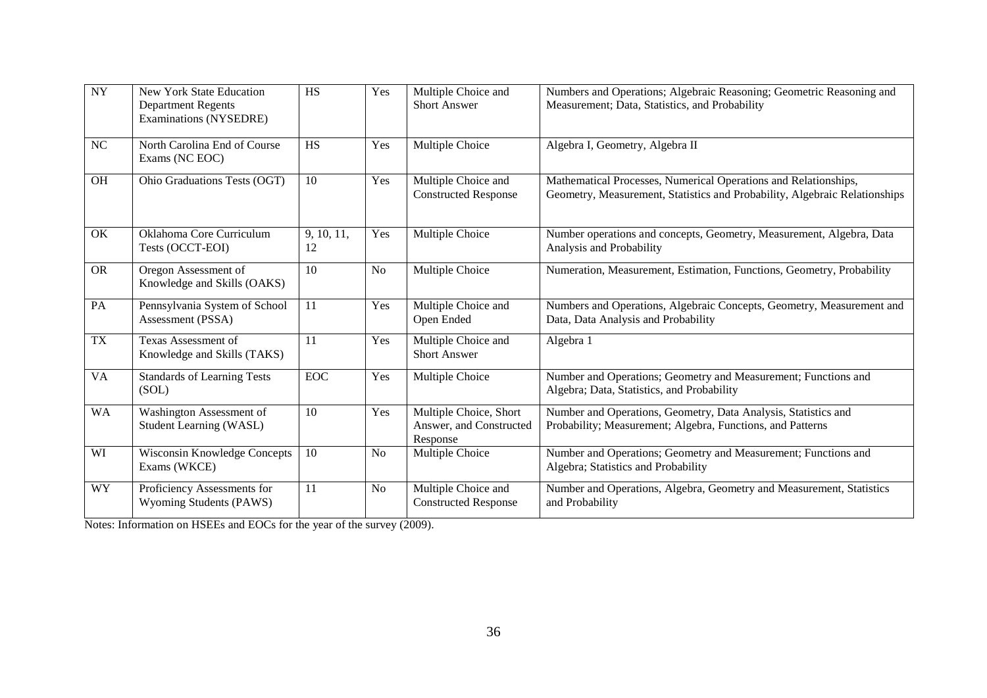| <b>NY</b> | <b>New York State Education</b><br><b>Department Regents</b><br>Examinations (NYSEDRE) | <b>HS</b>        | Yes            | Multiple Choice and<br><b>Short Answer</b>                    | Numbers and Operations; Algebraic Reasoning; Geometric Reasoning and<br>Measurement; Data, Statistics, and Probability                        |
|-----------|----------------------------------------------------------------------------------------|------------------|----------------|---------------------------------------------------------------|-----------------------------------------------------------------------------------------------------------------------------------------------|
| $\rm NC$  | North Carolina End of Course<br>Exams (NC EOC)                                         | HS               | Yes            | Multiple Choice                                               | Algebra I, Geometry, Algebra II                                                                                                               |
| <b>OH</b> | Ohio Graduations Tests (OGT)                                                           | 10               | Yes            | Multiple Choice and<br><b>Constructed Response</b>            | Mathematical Processes, Numerical Operations and Relationships,<br>Geometry, Measurement, Statistics and Probability, Algebraic Relationships |
| OK        | Oklahoma Core Curriculum<br>Tests (OCCT-EOI)                                           | 9, 10, 11,<br>12 | Yes            | Multiple Choice                                               | Number operations and concepts, Geometry, Measurement, Algebra, Data<br>Analysis and Probability                                              |
| <b>OR</b> | Oregon Assessment of<br>Knowledge and Skills (OAKS)                                    | 10               | <b>No</b>      | Multiple Choice                                               | Numeration, Measurement, Estimation, Functions, Geometry, Probability                                                                         |
| PA        | Pennsylvania System of School<br>Assessment (PSSA)                                     | 11               | Yes            | Multiple Choice and<br>Open Ended                             | Numbers and Operations, Algebraic Concepts, Geometry, Measurement and<br>Data, Data Analysis and Probability                                  |
| <b>TX</b> | Texas Assessment of<br>Knowledge and Skills (TAKS)                                     | 11               | Yes            | Multiple Choice and<br><b>Short Answer</b>                    | Algebra 1                                                                                                                                     |
| <b>VA</b> | <b>Standards of Learning Tests</b><br>(SOL)                                            | EOC              | Yes            | Multiple Choice                                               | Number and Operations; Geometry and Measurement; Functions and<br>Algebra; Data, Statistics, and Probability                                  |
| <b>WA</b> | Washington Assessment of<br><b>Student Learning (WASL)</b>                             | 10               | Yes            | Multiple Choice, Short<br>Answer, and Constructed<br>Response | Number and Operations, Geometry, Data Analysis, Statistics and<br>Probability; Measurement; Algebra, Functions, and Patterns                  |
| WI        | Wisconsin Knowledge Concepts<br>Exams (WKCE)                                           | 10               | N <sub>o</sub> | Multiple Choice                                               | Number and Operations; Geometry and Measurement; Functions and<br>Algebra; Statistics and Probability                                         |
| <b>WY</b> | Proficiency Assessments for<br>Wyoming Students (PAWS)                                 | 11               | <b>No</b>      | Multiple Choice and<br><b>Constructed Response</b>            | Number and Operations, Algebra, Geometry and Measurement, Statistics<br>and Probability                                                       |

Notes: Information on HSEEs and EOCs for the year of the survey (2009).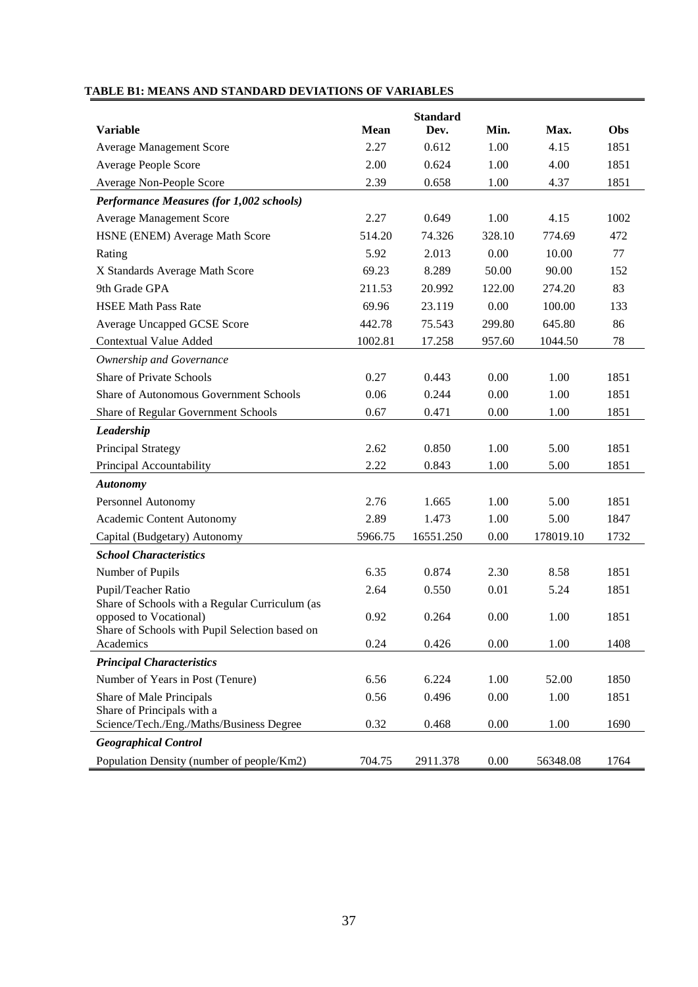|                                                                          |             | <b>Standard</b> |        |           |      |
|--------------------------------------------------------------------------|-------------|-----------------|--------|-----------|------|
| <b>Variable</b>                                                          | <b>Mean</b> | Dev.            | Min.   | Max.      | Obs  |
| <b>Average Management Score</b>                                          | 2.27        | 0.612           | 1.00   | 4.15      | 1851 |
| Average People Score                                                     | 2.00        | 0.624           | 1.00   | 4.00      | 1851 |
| Average Non-People Score                                                 | 2.39        | 0.658           | 1.00   | 4.37      | 1851 |
| Performance Measures (for 1,002 schools)                                 |             |                 |        |           |      |
| <b>Average Management Score</b>                                          | 2.27        | 0.649           | 1.00   | 4.15      | 1002 |
| HSNE (ENEM) Average Math Score                                           | 514.20      | 74.326          | 328.10 | 774.69    | 472  |
| Rating                                                                   | 5.92        | 2.013           | 0.00   | 10.00     | 77   |
| X Standards Average Math Score                                           | 69.23       | 8.289           | 50.00  | 90.00     | 152  |
| 9th Grade GPA                                                            | 211.53      | 20.992          | 122.00 | 274.20    | 83   |
| <b>HSEE Math Pass Rate</b>                                               | 69.96       | 23.119          | 0.00   | 100.00    | 133  |
| Average Uncapped GCSE Score                                              | 442.78      | 75.543          | 299.80 | 645.80    | 86   |
| <b>Contextual Value Added</b>                                            | 1002.81     | 17.258          | 957.60 | 1044.50   | 78   |
| Ownership and Governance                                                 |             |                 |        |           |      |
| <b>Share of Private Schools</b>                                          | 0.27        | 0.443           | 0.00   | 1.00      | 1851 |
| Share of Autonomous Government Schools                                   | 0.06        | 0.244           | 0.00   | 1.00      | 1851 |
| Share of Regular Government Schools                                      | 0.67        | 0.471           | 0.00   | 1.00      | 1851 |
| Leadership                                                               |             |                 |        |           |      |
| Principal Strategy                                                       | 2.62        | 0.850           | 1.00   | 5.00      | 1851 |
| Principal Accountability                                                 | 2.22        | 0.843           | 1.00   | 5.00      | 1851 |
| <b>Autonomy</b>                                                          |             |                 |        |           |      |
| Personnel Autonomy                                                       | 2.76        | 1.665           | 1.00   | 5.00      | 1851 |
| Academic Content Autonomy                                                | 2.89        | 1.473           | 1.00   | 5.00      | 1847 |
| Capital (Budgetary) Autonomy                                             | 5966.75     | 16551.250       | 0.00   | 178019.10 | 1732 |
| <b>School Characteristics</b>                                            |             |                 |        |           |      |
| Number of Pupils                                                         | 6.35        | 0.874           | 2.30   | 8.58      | 1851 |
| Pupil/Teacher Ratio                                                      | 2.64        | 0.550           | 0.01   | 5.24      | 1851 |
| Share of Schools with a Regular Curriculum (as                           |             |                 |        |           |      |
| opposed to Vocational)<br>Share of Schools with Pupil Selection based on | 0.92        | 0.264           | 0.00   | 1.00      | 1851 |
| Academics                                                                | 0.24        | 0.426           | 0.00   | 1.00      | 1408 |
| <b>Principal Characteristics</b>                                         |             |                 |        |           |      |
| Number of Years in Post (Tenure)                                         | 6.56        | 6.224           | 1.00   | 52.00     | 1850 |
| Share of Male Principals                                                 | 0.56        | 0.496           | 0.00   | 1.00      | 1851 |
| Share of Principals with a                                               |             |                 |        |           |      |
| Science/Tech./Eng./Maths/Business Degree                                 | 0.32        | 0.468           | 0.00   | 1.00      | 1690 |
| <b>Geographical Control</b>                                              |             |                 |        |           |      |
| Population Density (number of people/Km2)                                | 704.75      | 2911.378        | 0.00   | 56348.08  | 1764 |

## **TABLE B1: MEANS AND STANDARD DEVIATIONS OF VARIABLES**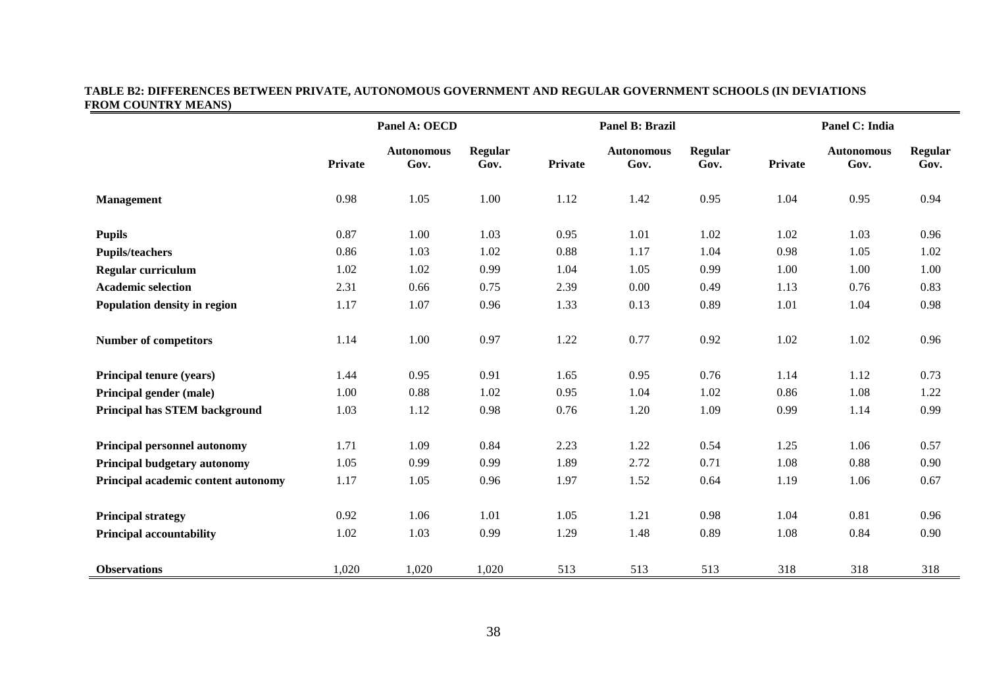#### **TABLE B2: DIFFERENCES BETWEEN PRIVATE, AUTONOMOUS GOVERNMENT AND REGULAR GOVERNMENT SCHOOLS (IN DEVIATIONS FROM COUNTRY MEANS)**

|                                     |                | Panel A: OECD             |                 | Panel B: Brazil |                           |                        | Panel C: India |                           |                        |
|-------------------------------------|----------------|---------------------------|-----------------|-----------------|---------------------------|------------------------|----------------|---------------------------|------------------------|
|                                     | <b>Private</b> | <b>Autonomous</b><br>Gov. | Regular<br>Gov. | Private         | <b>Autonomous</b><br>Gov. | <b>Regular</b><br>Gov. | Private        | <b>Autonomous</b><br>Gov. | <b>Regular</b><br>Gov. |
| <b>Management</b>                   | 0.98           | 1.05                      | 1.00            | 1.12            | 1.42                      | 0.95                   | 1.04           | 0.95                      | 0.94                   |
| <b>Pupils</b>                       | 0.87           | 1.00                      | 1.03            | 0.95            | 1.01                      | 1.02                   | 1.02           | 1.03                      | 0.96                   |
| <b>Pupils/teachers</b>              | 0.86           | 1.03                      | 1.02            | 0.88            | 1.17                      | 1.04                   | 0.98           | 1.05                      | 1.02                   |
| Regular curriculum                  | 1.02           | 1.02                      | 0.99            | 1.04            | 1.05                      | 0.99                   | 1.00           | 1.00                      | 1.00                   |
| <b>Academic selection</b>           | 2.31           | 0.66                      | 0.75            | 2.39            | 0.00                      | 0.49                   | 1.13           | 0.76                      | 0.83                   |
| Population density in region        | 1.17           | 1.07                      | 0.96            | 1.33            | 0.13                      | 0.89                   | 1.01           | 1.04                      | 0.98                   |
| <b>Number of competitors</b>        | 1.14           | 1.00                      | 0.97            | 1.22            | 0.77                      | 0.92                   | 1.02           | 1.02                      | 0.96                   |
| Principal tenure (years)            | 1.44           | 0.95                      | 0.91            | 1.65            | 0.95                      | 0.76                   | 1.14           | 1.12                      | 0.73                   |
| Principal gender (male)             | 1.00           | 0.88                      | 1.02            | 0.95            | 1.04                      | 1.02                   | 0.86           | 1.08                      | 1.22                   |
| Principal has STEM background       | 1.03           | 1.12                      | 0.98            | 0.76            | 1.20                      | 1.09                   | 0.99           | 1.14                      | 0.99                   |
| <b>Principal personnel autonomy</b> | 1.71           | 1.09                      | 0.84            | 2.23            | 1.22                      | 0.54                   | 1.25           | 1.06                      | 0.57                   |
| Principal budgetary autonomy        | 1.05           | 0.99                      | 0.99            | 1.89            | 2.72                      | 0.71                   | 1.08           | 0.88                      | 0.90                   |
| Principal academic content autonomy | 1.17           | 1.05                      | 0.96            | 1.97            | 1.52                      | 0.64                   | 1.19           | 1.06                      | 0.67                   |
| <b>Principal strategy</b>           | 0.92           | 1.06                      | 1.01            | 1.05            | 1.21                      | 0.98                   | 1.04           | 0.81                      | 0.96                   |
| <b>Principal accountability</b>     | 1.02           | 1.03                      | 0.99            | 1.29            | 1.48                      | 0.89                   | 1.08           | 0.84                      | 0.90                   |
| <b>Observations</b>                 | 1,020          | 1,020                     | 1,020           | 513             | 513                       | 513                    | 318            | 318                       | 318                    |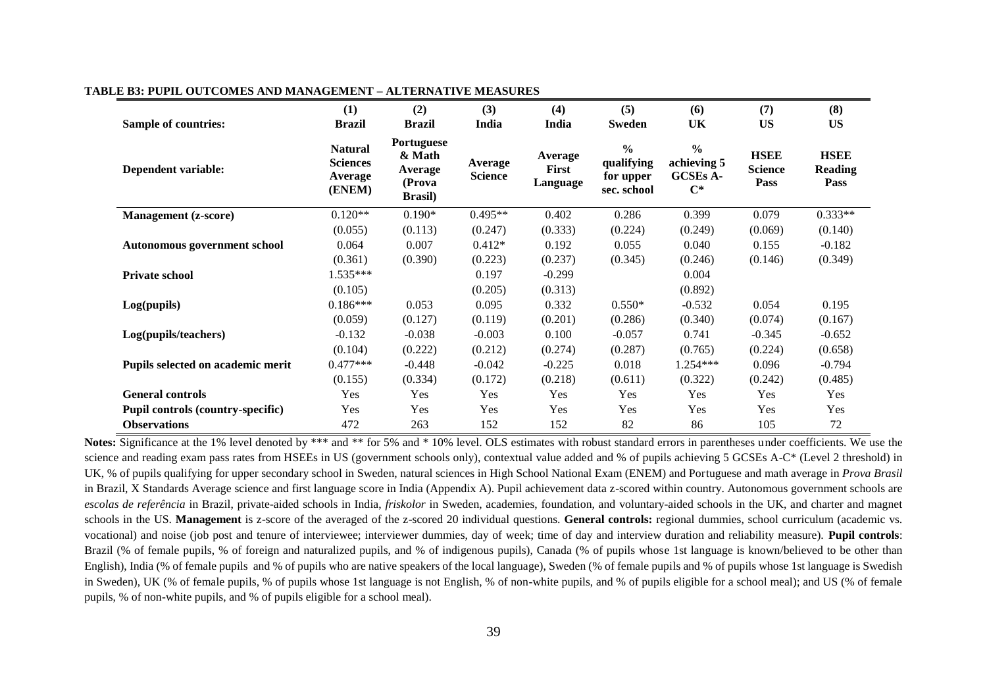| <b>Sample of countries:</b>              | (1)<br><b>Brazil</b>                                   | (2)<br><b>Brazil</b>                                                | (3)<br>India              | (4)<br>India                 | (5)<br><b>Sweden</b>                                    | (6)<br>UK                                                         | (7)<br><b>US</b>                      | (8)<br><b>US</b>                      |
|------------------------------------------|--------------------------------------------------------|---------------------------------------------------------------------|---------------------------|------------------------------|---------------------------------------------------------|-------------------------------------------------------------------|---------------------------------------|---------------------------------------|
| Dependent variable:                      | <b>Natural</b><br><b>Sciences</b><br>Average<br>(ENEM) | <b>Portuguese</b><br>& Math<br>Average<br>(Prova<br><b>Brasil</b> ) | Average<br><b>Science</b> | Average<br>First<br>Language | $\frac{0}{0}$<br>qualifying<br>for upper<br>sec. school | $\frac{0}{0}$<br>achieving 5<br><b>GCSEs A-</b><br>$\mathbf{C}^*$ | <b>HSEE</b><br><b>Science</b><br>Pass | <b>HSEE</b><br><b>Reading</b><br>Pass |
| <b>Management</b> (z-score)              | $0.120**$                                              | $0.190*$                                                            | $0.495**$                 | 0.402                        | 0.286                                                   | 0.399                                                             | 0.079                                 | $0.333**$                             |
|                                          | (0.055)                                                | (0.113)                                                             | (0.247)                   | (0.333)                      | (0.224)                                                 | (0.249)                                                           | (0.069)                               | (0.140)                               |
| <b>Autonomous government school</b>      | 0.064                                                  | 0.007                                                               | $0.412*$                  | 0.192                        | 0.055                                                   | 0.040                                                             | 0.155                                 | $-0.182$                              |
|                                          | (0.361)                                                | (0.390)                                                             | (0.223)                   | (0.237)                      | (0.345)                                                 | (0.246)                                                           | (0.146)                               | (0.349)                               |
| <b>Private school</b>                    | 1.535***                                               |                                                                     | 0.197                     | $-0.299$                     |                                                         | 0.004                                                             |                                       |                                       |
|                                          | (0.105)                                                |                                                                     | (0.205)                   | (0.313)                      |                                                         | (0.892)                                                           |                                       |                                       |
| Log(pupils)                              | $0.186***$                                             | 0.053                                                               | 0.095                     | 0.332                        | $0.550*$                                                | $-0.532$                                                          | 0.054                                 | 0.195                                 |
|                                          | (0.059)                                                | (0.127)                                                             | (0.119)                   | (0.201)                      | (0.286)                                                 | (0.340)                                                           | (0.074)                               | (0.167)                               |
| Log(pupils/teachers)                     | $-0.132$                                               | $-0.038$                                                            | $-0.003$                  | 0.100                        | $-0.057$                                                | 0.741                                                             | $-0.345$                              | $-0.652$                              |
|                                          | (0.104)                                                | (0.222)                                                             | (0.212)                   | (0.274)                      | (0.287)                                                 | (0.765)                                                           | (0.224)                               | (0.658)                               |
| Pupils selected on academic merit        | $0.477***$                                             | $-0.448$                                                            | $-0.042$                  | $-0.225$                     | 0.018                                                   | 1.254***                                                          | 0.096                                 | $-0.794$                              |
|                                          | (0.155)                                                | (0.334)                                                             | (0.172)                   | (0.218)                      | (0.611)                                                 | (0.322)                                                           | (0.242)                               | (0.485)                               |
| <b>General controls</b>                  | Yes                                                    | Yes                                                                 | Yes                       | Yes                          | Yes                                                     | Yes                                                               | Yes                                   | Yes                                   |
| <b>Pupil controls (country-specific)</b> | Yes                                                    | Yes                                                                 | <b>Yes</b>                | Yes                          | <b>Yes</b>                                              | Yes                                                               | Yes                                   | Yes                                   |
| <b>Observations</b>                      | 472                                                    | 263                                                                 | 152                       | 152                          | 82                                                      | 86                                                                | 105                                   | 72                                    |

#### **TABLE B3: PUPIL OUTCOMES AND MANAGEMENT – ALTERNATIVE MEASURES**

Notes: Significance at the 1% level denoted by \*\*\* and \*\* for 5% and \* 10% level. OLS estimates with robust standard errors in parentheses under coefficients. We use the science and reading exam pass rates from HSEEs in US (government schools only), contextual value added and % of pupils achieving 5 GCSEs A-C\* (Level 2 threshold) in UK, % of pupils qualifying for upper secondary school in Sweden, natural sciences in High School National Exam (ENEM) and Portuguese and math average in *Prova Brasil* in Brazil, X Standards Average science and first language score in India (Appendix A). Pupil achievement data z-scored within country. Autonomous government schools are *escolas de referência* in Brazil, private-aided schools in India, *friskolor* in Sweden, academies, foundation, and voluntary-aided schools in the UK, and charter and magnet schools in the US. **Management** is z-score of the averaged of the z-scored 20 individual questions. **General controls:** regional dummies, school curriculum (academic vs. vocational) and noise (job post and tenure of interviewee; interviewer dummies, day of week; time of day and interview duration and reliability measure). **Pupil controls**: Brazil (% of female pupils, % of foreign and naturalized pupils, and % of indigenous pupils), Canada (% of pupils whose 1st language is known/believed to be other than English), India (% of female pupils and % of pupils who are native speakers of the local language), Sweden (% of female pupils and % of pupils whose 1st language is Swedish in Sweden), UK (% of female pupils, % of pupils whose 1st language is not English, % of non-white pupils, and % of pupils eligible for a school meal); and US (% of female pupils, % of non-white pupils, and % of pupils eligible for a school meal).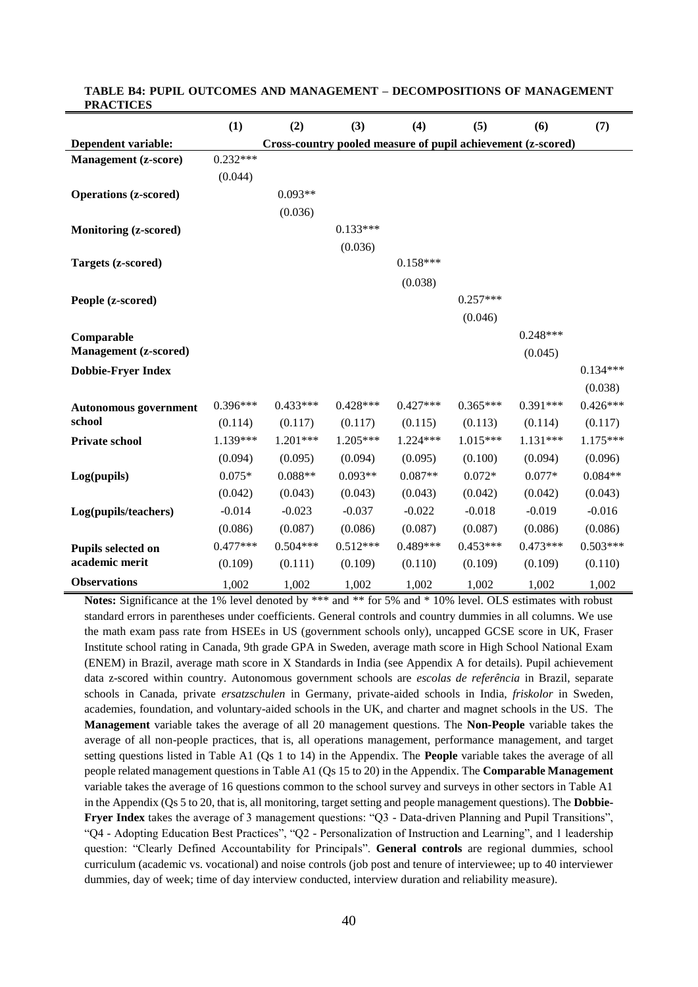|                                            | (1)        | (2)                                                          | (3)        | (4)        | (5)        | (6)        | (7)        |
|--------------------------------------------|------------|--------------------------------------------------------------|------------|------------|------------|------------|------------|
| Dependent variable:                        |            | Cross-country pooled measure of pupil achievement (z-scored) |            |            |            |            |            |
| <b>Management</b> (z-score)                | $0.232***$ |                                                              |            |            |            |            |            |
|                                            | (0.044)    |                                                              |            |            |            |            |            |
| <b>Operations (z-scored)</b>               |            | $0.093**$                                                    |            |            |            |            |            |
|                                            |            | (0.036)                                                      |            |            |            |            |            |
| <b>Monitoring (z-scored)</b>               |            |                                                              | $0.133***$ |            |            |            |            |
|                                            |            |                                                              | (0.036)    |            |            |            |            |
| Targets (z-scored)                         |            |                                                              |            | $0.158***$ |            |            |            |
|                                            |            |                                                              |            | (0.038)    |            |            |            |
| People (z-scored)                          |            |                                                              |            |            | $0.257***$ |            |            |
|                                            |            |                                                              |            |            | (0.046)    |            |            |
|                                            |            |                                                              |            |            |            | $0.248***$ |            |
| Comparable<br><b>Management</b> (z-scored) |            |                                                              |            |            |            | (0.045)    |            |
| <b>Dobbie-Fryer Index</b>                  |            |                                                              |            |            |            |            | $0.134***$ |
|                                            |            |                                                              |            |            |            |            | (0.038)    |
|                                            | $0.396***$ | $0.433***$                                                   | $0.428***$ | $0.427***$ | $0.365***$ | $0.391***$ | $0.426***$ |
| <b>Autonomous</b> government<br>school     | (0.114)    | (0.117)                                                      | (0.117)    | (0.115)    | (0.113)    | (0.114)    | (0.117)    |
| <b>Private school</b>                      | 1.139***   | 1.201***                                                     | 1.205***   | $1.224***$ | $1.015***$ | 1.131***   | $1.175***$ |
|                                            | (0.094)    | (0.095)                                                      | (0.094)    | (0.095)    | (0.100)    | (0.094)    | (0.096)    |
|                                            | $0.075*$   | $0.088**$                                                    | $0.093**$  | $0.087**$  | $0.072*$   | $0.077*$   | $0.084**$  |
| Log(pupils)                                |            |                                                              |            |            |            |            |            |
|                                            | (0.042)    | (0.043)                                                      | (0.043)    | (0.043)    | (0.042)    | (0.042)    | (0.043)    |
| Log(pupils/teachers)                       | $-0.014$   | $-0.023$                                                     | $-0.037$   | $-0.022$   | $-0.018$   | $-0.019$   | $-0.016$   |
|                                            | (0.086)    | (0.087)                                                      | (0.086)    | (0.087)    | (0.087)    | (0.086)    | (0.086)    |
| Pupils selected on                         | $0.477***$ | $0.504***$                                                   | $0.512***$ | $0.489***$ | $0.453***$ | $0.473***$ | $0.503***$ |
| academic merit                             | (0.109)    | (0.111)                                                      | (0.109)    | (0.110)    | (0.109)    | (0.109)    | (0.110)    |
| <b>Observations</b>                        | 1,002      | 1,002                                                        | 1,002      | 1,002      | 1,002      | 1,002      | 1,002      |

#### **TABLE B4: PUPIL OUTCOMES AND MANAGEMENT – DECOMPOSITIONS OF MANAGEMENT PRACTICES**

**Notes:** Significance at the 1% level denoted by \*\*\* and \*\* for 5% and \* 10% level. OLS estimates with robust standard errors in parentheses under coefficients. General controls and country dummies in all columns. We use the math exam pass rate from HSEEs in US (government schools only), uncapped GCSE score in UK, Fraser Institute school rating in Canada, 9th grade GPA in Sweden, average math score in High School National Exam (ENEM) in Brazil, average math score in X Standards in India (see Appendix A for details). Pupil achievement data z-scored within country. Autonomous government schools are *escolas de referência* in Brazil, separate schools in Canada, private *ersatzschulen* in Germany, private-aided schools in India, *friskolor* in Sweden, academies, foundation, and voluntary-aided schools in the UK, and charter and magnet schools in the US. The **Management** variable takes the average of all 20 management questions. The **Non-People** variable takes the average of all non-people practices, that is, all operations management, performance management, and target setting questions listed in Table A1 (Qs 1 to 14) in the Appendix. The **People** variable takes the average of all people related management questions in Table A1 (Qs 15 to 20) in the Appendix. The **Comparable Management** variable takes the average of 16 questions common to the school survey and surveys in other sectors in Table A1 in the Appendix (Qs 5 to 20, that is, all monitoring, target setting and people management questions). The **Dobbie-Fryer Index** takes the average of 3 management questions: "Q3 - Data-driven Planning and Pupil Transitions", "Q4 - Adopting Education Best Practices", "Q2 - Personalization of Instruction and Learning", and 1 leadership question: "Clearly Defined Accountability for Principals". **General controls** are regional dummies, school curriculum (academic vs. vocational) and noise controls (job post and tenure of interviewee; up to 40 interviewer dummies, day of week; time of day interview conducted, interview duration and reliability measure).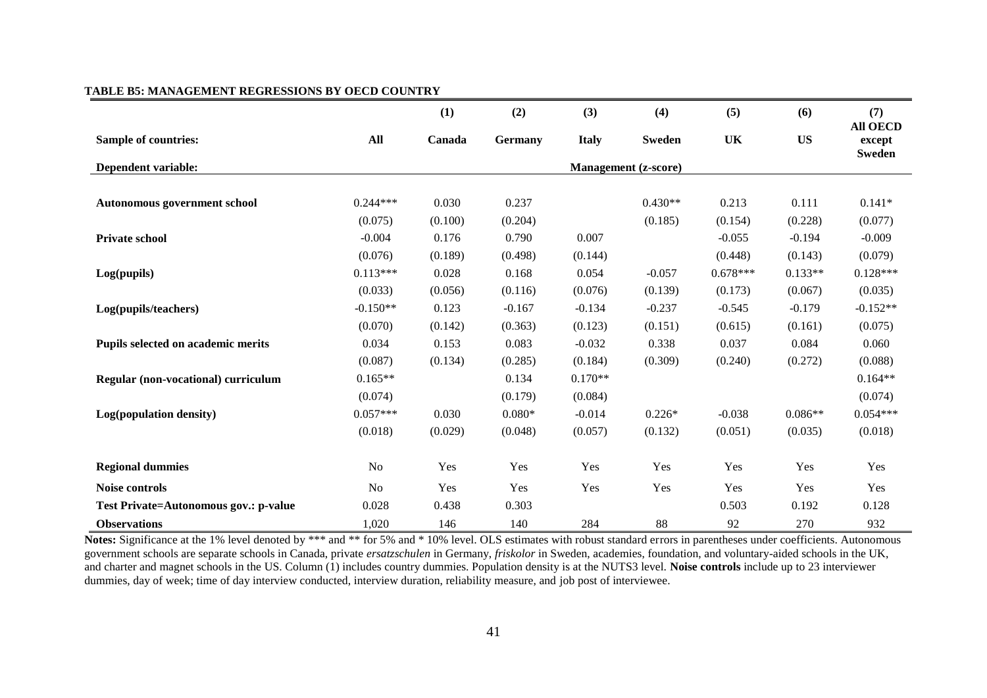|                                       |            | (1)     | (2)            | (3)          | (4)                                  | (5)        | (6)       | (7)                                        |
|---------------------------------------|------------|---------|----------------|--------------|--------------------------------------|------------|-----------|--------------------------------------------|
| <b>Sample of countries:</b>           | All        | Canada  | <b>Germany</b> | <b>Italy</b> | <b>Sweden</b>                        | UK         | <b>US</b> | <b>All OECD</b><br>except<br><b>Sweden</b> |
| Dependent variable:                   |            |         |                |              | <b>Management</b> ( <i>z</i> -score) |            |           |                                            |
|                                       |            |         |                |              |                                      |            |           |                                            |
| Autonomous government school          | $0.244***$ | 0.030   | 0.237          |              | $0.430**$                            | 0.213      | 0.111     | $0.141*$                                   |
|                                       | (0.075)    | (0.100) | (0.204)        |              | (0.185)                              | (0.154)    | (0.228)   | (0.077)                                    |
| <b>Private school</b>                 | $-0.004$   | 0.176   | 0.790          | 0.007        |                                      | $-0.055$   | $-0.194$  | $-0.009$                                   |
|                                       | (0.076)    | (0.189) | (0.498)        | (0.144)      |                                      | (0.448)    | (0.143)   | (0.079)                                    |
| Log(pupils)                           | $0.113***$ | 0.028   | 0.168          | 0.054        | $-0.057$                             | $0.678***$ | $0.133**$ | $0.128***$                                 |
|                                       | (0.033)    | (0.056) | (0.116)        | (0.076)      | (0.139)                              | (0.173)    | (0.067)   | (0.035)                                    |
| Log(pupils/teachers)                  | $-0.150**$ | 0.123   | $-0.167$       | $-0.134$     | $-0.237$                             | $-0.545$   | $-0.179$  | $-0.152**$                                 |
|                                       | (0.070)    | (0.142) | (0.363)        | (0.123)      | (0.151)                              | (0.615)    | (0.161)   | (0.075)                                    |
| Pupils selected on academic merits    | 0.034      | 0.153   | 0.083          | $-0.032$     | 0.338                                | 0.037      | 0.084     | 0.060                                      |
|                                       | (0.087)    | (0.134) | (0.285)        | (0.184)      | (0.309)                              | (0.240)    | (0.272)   | (0.088)                                    |
| Regular (non-vocational) curriculum   | $0.165**$  |         | 0.134          | $0.170**$    |                                      |            |           | $0.164**$                                  |
|                                       | (0.074)    |         | (0.179)        | (0.084)      |                                      |            |           | (0.074)                                    |
| Log(population density)               | $0.057***$ | 0.030   | $0.080*$       | $-0.014$     | $0.226*$                             | $-0.038$   | $0.086**$ | $0.054***$                                 |
|                                       | (0.018)    | (0.029) | (0.048)        | (0.057)      | (0.132)                              | (0.051)    | (0.035)   | (0.018)                                    |
| <b>Regional dummies</b>               | No         | Yes     | Yes            | Yes          | Yes                                  | Yes        | Yes       | Yes                                        |
| Noise controls                        | No         | Yes     | Yes            | Yes          | Yes                                  | Yes        | Yes       | Yes                                        |
| Test Private=Autonomous gov.: p-value | 0.028      | 0.438   | 0.303          |              |                                      | 0.503      | 0.192     | 0.128                                      |
| <b>Observations</b>                   | 1,020      | 146     | 140            | 284          | 88                                   | 92         | 270       | 932                                        |

#### **TABLE B5: MANAGEMENT REGRESSIONS BY OECD COUNTRY**

Notes: Significance at the 1% level denoted by \*\*\* and \*\* for 5% and \* 10% level. OLS estimates with robust standard errors in parentheses under coefficients. Autonomous government schools are separate schools in Canada, private *ersatzschulen* in Germany, *friskolor* in Sweden, academies, foundation, and voluntary-aided schools in the UK, and charter and magnet schools in the US. Column (1) includes country dummies. Population density is at the NUTS3 level. **Noise controls** include up to 23 interviewer dummies, day of week; time of day interview conducted, interview duration, reliability measure, and job post of interviewee.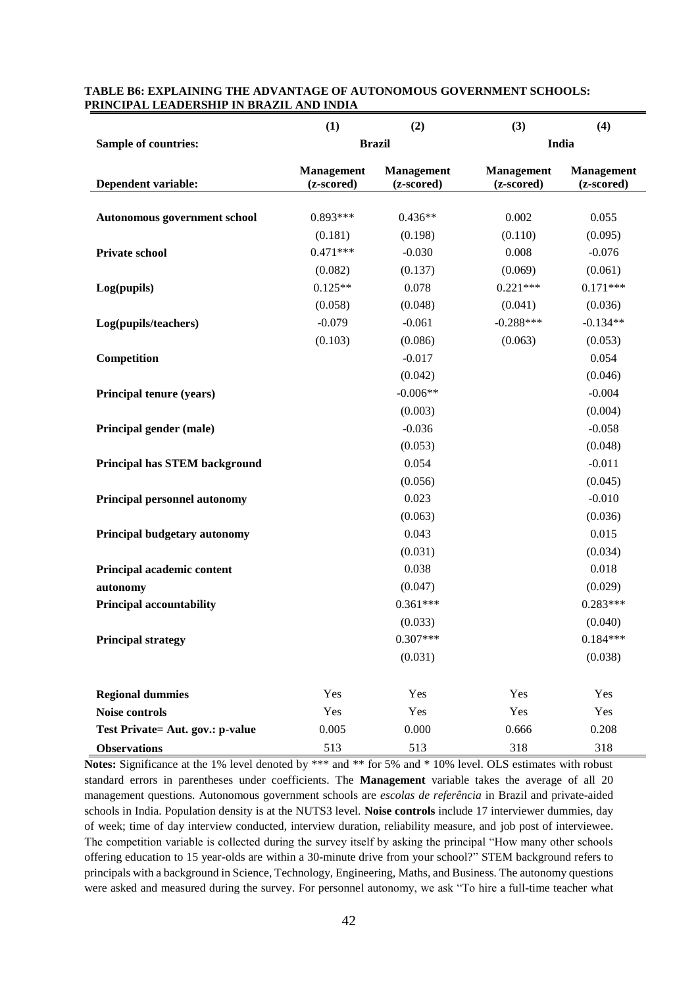|                                      | (1)                             | (2)                             | (3)                             | (4)                             |
|--------------------------------------|---------------------------------|---------------------------------|---------------------------------|---------------------------------|
| <b>Sample of countries:</b>          |                                 | <b>Brazil</b>                   |                                 | India                           |
| Dependent variable:                  | <b>Management</b><br>(z-scored) | <b>Management</b><br>(z-scored) | <b>Management</b><br>(z-scored) | <b>Management</b><br>(z-scored) |
|                                      |                                 |                                 |                                 |                                 |
| Autonomous government school         | $0.893***$                      | $0.436**$                       | 0.002                           | 0.055                           |
|                                      | (0.181)                         | (0.198)                         | (0.110)                         | (0.095)                         |
| Private school                       | $0.471***$                      | $-0.030$                        | 0.008                           | $-0.076$                        |
|                                      | (0.082)                         | (0.137)                         | (0.069)                         | (0.061)                         |
| Log(pupils)                          | $0.125**$                       | 0.078                           | $0.221***$                      | $0.171***$                      |
|                                      | (0.058)                         | (0.048)                         | (0.041)                         | (0.036)                         |
| Log(pupils/teachers)                 | $-0.079$                        | $-0.061$                        | $-0.288***$                     | $-0.134**$                      |
|                                      | (0.103)                         | (0.086)                         | (0.063)                         | (0.053)                         |
| Competition                          |                                 | $-0.017$                        |                                 | 0.054                           |
|                                      |                                 | (0.042)                         |                                 | (0.046)                         |
| Principal tenure (years)             |                                 | $-0.006**$                      |                                 | $-0.004$                        |
|                                      |                                 | (0.003)                         |                                 | (0.004)                         |
| Principal gender (male)              |                                 | $-0.036$                        |                                 | $-0.058$                        |
|                                      |                                 | (0.053)                         |                                 | (0.048)                         |
| <b>Principal has STEM background</b> |                                 | 0.054                           |                                 | $-0.011$                        |
|                                      |                                 | (0.056)                         |                                 | (0.045)                         |
| Principal personnel autonomy         |                                 | 0.023                           |                                 | $-0.010$                        |
|                                      |                                 | (0.063)                         |                                 | (0.036)                         |
| Principal budgetary autonomy         |                                 | 0.043                           |                                 | 0.015                           |
|                                      |                                 | (0.031)                         |                                 | (0.034)                         |
| Principal academic content           |                                 | 0.038                           |                                 | 0.018                           |
| autonomy                             |                                 | (0.047)                         |                                 | (0.029)                         |
| <b>Principal accountability</b>      |                                 | $0.361***$                      |                                 | $0.283***$                      |
|                                      |                                 | (0.033)                         |                                 | (0.040)                         |
| <b>Principal strategy</b>            |                                 | $0.307***$                      |                                 | $0.184***$                      |
|                                      |                                 | (0.031)                         |                                 | (0.038)                         |
| <b>Regional dummies</b>              | Yes                             | Yes                             | Yes                             | Yes                             |
| Noise controls                       | Yes                             | Yes                             | Yes                             | Yes                             |
| Test Private= Aut. gov.: p-value     | 0.005                           | 0.000                           | 0.666                           | 0.208                           |
| <b>Observations</b>                  | 513                             | 513                             | 318                             | 318                             |

#### **TABLE B6: EXPLAINING THE ADVANTAGE OF AUTONOMOUS GOVERNMENT SCHOOLS: PRINCIPAL LEADERSHIP IN BRAZIL AND INDIA**

Notes: Significance at the 1% level denoted by \*\*\* and \*\* for 5% and \*10% level. OLS estimates with robust standard errors in parentheses under coefficients. The **Management** variable takes the average of all 20 management questions. Autonomous government schools are *escolas de referência* in Brazil and private-aided schools in India. Population density is at the NUTS3 level. **Noise controls** include 17 interviewer dummies, day of week; time of day interview conducted, interview duration, reliability measure, and job post of interviewee. The competition variable is collected during the survey itself by asking the principal "How many other schools offering education to 15 year-olds are within a 30-minute drive from your school?" STEM background refers to principals with a background in Science, Technology, Engineering, Maths, and Business. The autonomy questions were asked and measured during the survey. For personnel autonomy, we ask "To hire a full-time teacher what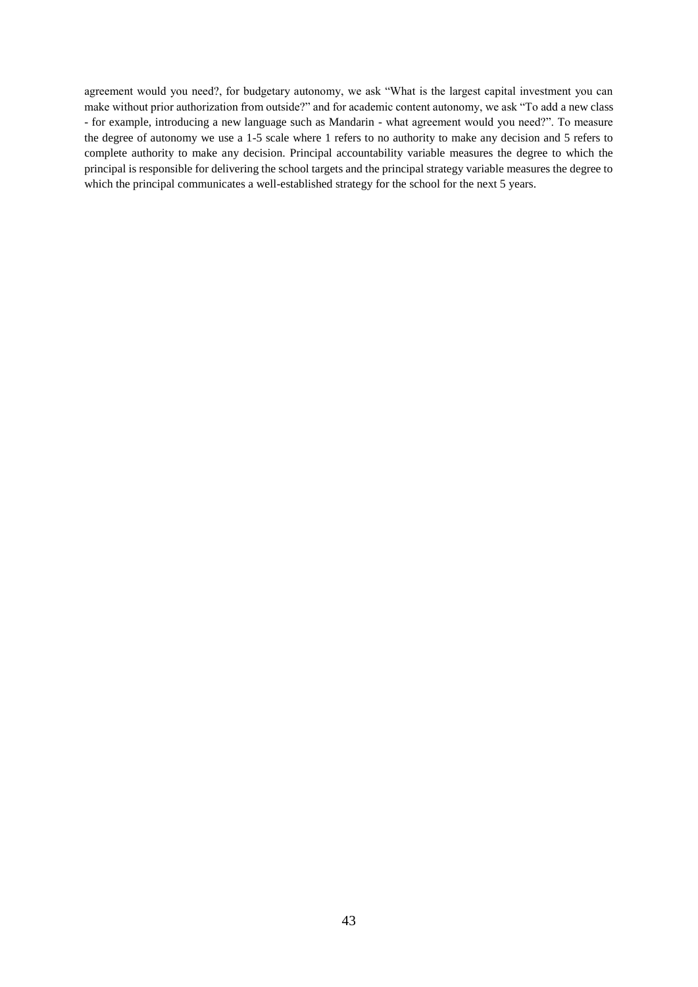agreement would you need?, for budgetary autonomy, we ask "What is the largest capital investment you can make without prior authorization from outside?" and for academic content autonomy, we ask "To add a new class - for example, introducing a new language such as Mandarin - what agreement would you need?". To measure the degree of autonomy we use a 1-5 scale where 1 refers to no authority to make any decision and 5 refers to complete authority to make any decision. Principal accountability variable measures the degree to which the principal is responsible for delivering the school targets and the principal strategy variable measures the degree to which the principal communicates a well-established strategy for the school for the next 5 years.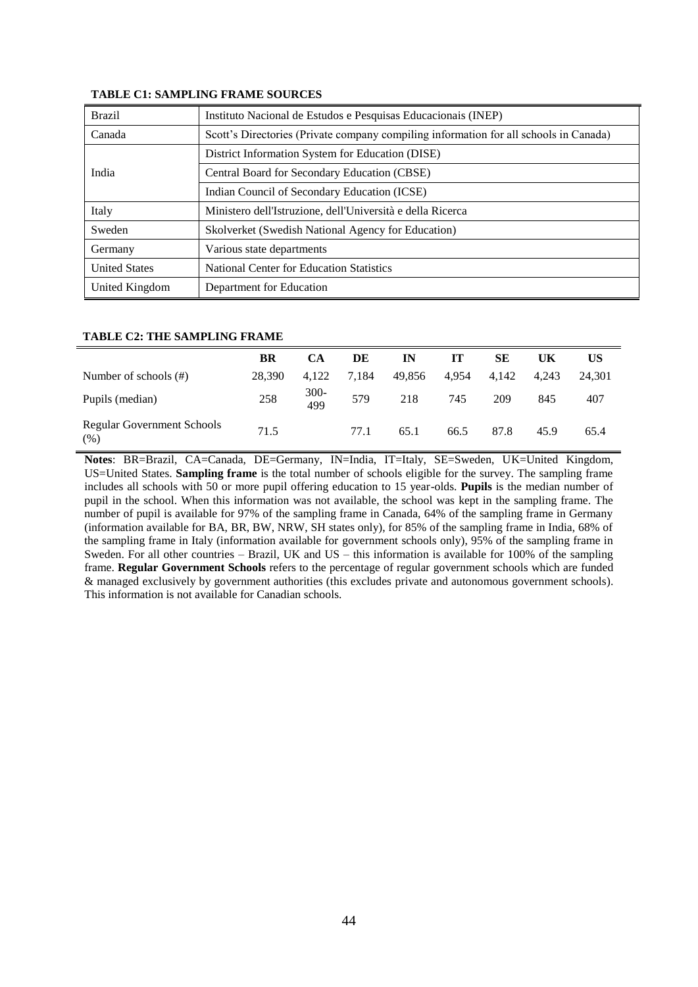| <b>Brazil</b>        | Instituto Nacional de Estudos e Pesquisas Educacionais (INEP)                         |  |  |  |  |  |
|----------------------|---------------------------------------------------------------------------------------|--|--|--|--|--|
| Canada               | Scott's Directories (Private company compiling information for all schools in Canada) |  |  |  |  |  |
|                      | District Information System for Education (DISE)                                      |  |  |  |  |  |
| India                | Central Board for Secondary Education (CBSE)                                          |  |  |  |  |  |
|                      | Indian Council of Secondary Education (ICSE)                                          |  |  |  |  |  |
| Italy                | Ministero dell'Istruzione, dell'Università e della Ricerca                            |  |  |  |  |  |
| Sweden               | Skolverket (Swedish National Agency for Education)                                    |  |  |  |  |  |
| Germany              | Various state departments                                                             |  |  |  |  |  |
| <b>United States</b> | <b>National Center for Education Statistics</b>                                       |  |  |  |  |  |
| United Kingdom       | Department for Education                                                              |  |  |  |  |  |

#### **TABLE C1: SAMPLING FRAME SOURCES**

#### **TABLE C2: THE SAMPLING FRAME**

|                                           | BR     | CА          | DE    | IN     | IТ    | SЕ    | UK    | US     |
|-------------------------------------------|--------|-------------|-------|--------|-------|-------|-------|--------|
| Number of schools $(\#)$                  | 28.390 | 4.122       | 7.184 | 49,856 | 4.954 | 4.142 | 4.243 | 24.301 |
| Pupils (median)                           | 258    | 300-<br>499 | 579   | 218    | 745   | 209   | 845   | 407    |
| <b>Regular Government Schools</b><br>(% ) | 71.5   |             | 77.1  | 65.1   | 66.5  | 87.8  | 45.9  | 65.4   |

**Notes**: BR=Brazil, CA=Canada, DE=Germany, IN=India, IT=Italy, SE=Sweden, UK=United Kingdom, US=United States. **Sampling frame** is the total number of schools eligible for the survey. The sampling frame includes all schools with 50 or more pupil offering education to 15 year-olds. **Pupils** is the median number of pupil in the school. When this information was not available, the school was kept in the sampling frame. The number of pupil is available for 97% of the sampling frame in Canada, 64% of the sampling frame in Germany (information available for BA, BR, BW, NRW, SH states only), for 85% of the sampling frame in India, 68% of the sampling frame in Italy (information available for government schools only), 95% of the sampling frame in Sweden. For all other countries – Brazil, UK and US – this information is available for 100% of the sampling frame. **Regular Government Schools** refers to the percentage of regular government schools which are funded & managed exclusively by government authorities (this excludes private and autonomous government schools). This information is not available for Canadian schools.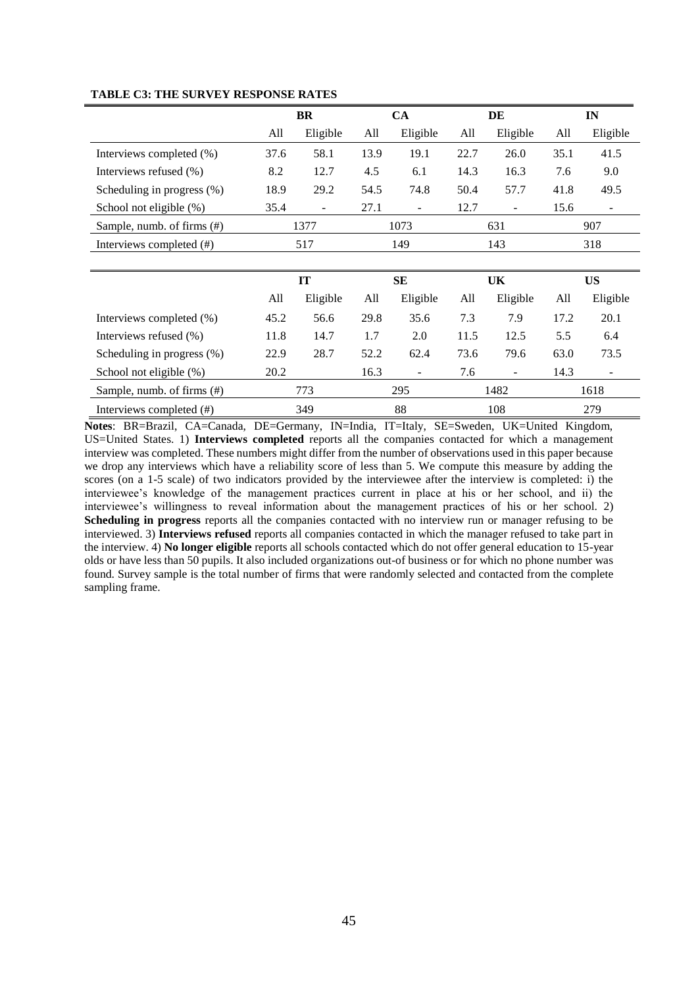|                               | BR   |          |           | CA       | DE   |          |           | IN       |  |
|-------------------------------|------|----------|-----------|----------|------|----------|-----------|----------|--|
|                               | All  | Eligible | All       | Eligible | All  | Eligible | All       | Eligible |  |
| Interviews completed (%)      | 37.6 | 58.1     | 13.9      | 19.1     | 22.7 | 26.0     | 35.1      | 41.5     |  |
| Interviews refused (%)        | 8.2  | 12.7     | 4.5       | 6.1      | 14.3 | 16.3     | 7.6       | 9.0      |  |
| Scheduling in progress $(\%)$ | 18.9 | 29.2     | 54.5      | 74.8     | 50.4 | 57.7     | 41.8      | 49.5     |  |
| School not eligible (%)       | 35.4 |          | 27.1      |          | 12.7 |          | 15.6      | ٠        |  |
| Sample, numb. of firms (#)    | 1377 |          | 1073      |          | 631  |          | 907       |          |  |
| Interviews completed (#)      | 517  |          | 149       |          | 143  |          | 318       |          |  |
|                               |      |          |           |          |      |          |           |          |  |
|                               | IT   |          | <b>SE</b> |          | UK   |          | <b>US</b> |          |  |
|                               | All  | Eligible | All       | Eligible | All  | Eligible | All       | Eligible |  |
| Interviews completed (%)      | 45.2 | 56.6     | 29.8      | 35.6     | 7.3  | 7.9      | 17.2      | 20.1     |  |
| Interviews refused (%)        | 11.8 | 14.7     | 1.7       | 2.0      | 11.5 | 12.5     | 5.5       | 6.4      |  |
| Scheduling in progress $(\%)$ | 22.9 | 28.7     | 52.2      | 62.4     | 73.6 | 79.6     | 63.0      | 73.5     |  |
| School not eligible (%)       | 20.2 |          | 16.3      |          | 7.6  |          | 14.3      |          |  |
| Sample, numb. of firms (#)    |      | 773      |           | 295      |      | 1482     |           | 1618     |  |
| Interviews completed (#)      |      | 349      | 88        |          | 108  |          | 279       |          |  |

#### **TABLE C3: THE SURVEY RESPONSE RATES**

**Notes**: BR=Brazil, CA=Canada, DE=Germany, IN=India, IT=Italy, SE=Sweden, UK=United Kingdom, US=United States. 1) **Interviews completed** reports all the companies contacted for which a management interview was completed. These numbers might differ from the number of observations used in this paper because we drop any interviews which have a reliability score of less than 5. We compute this measure by adding the scores (on a 1-5 scale) of two indicators provided by the interviewee after the interview is completed: i) the interviewee's knowledge of the management practices current in place at his or her school, and ii) the interviewee's willingness to reveal information about the management practices of his or her school. 2) **Scheduling in progress** reports all the companies contacted with no interview run or manager refusing to be interviewed. 3) **Interviews refused** reports all companies contacted in which the manager refused to take part in the interview. 4) **No longer eligible** reports all schools contacted which do not offer general education to 15-year olds or have less than 50 pupils. It also included organizations out-of business or for which no phone number was found. Survey sample is the total number of firms that were randomly selected and contacted from the complete sampling frame.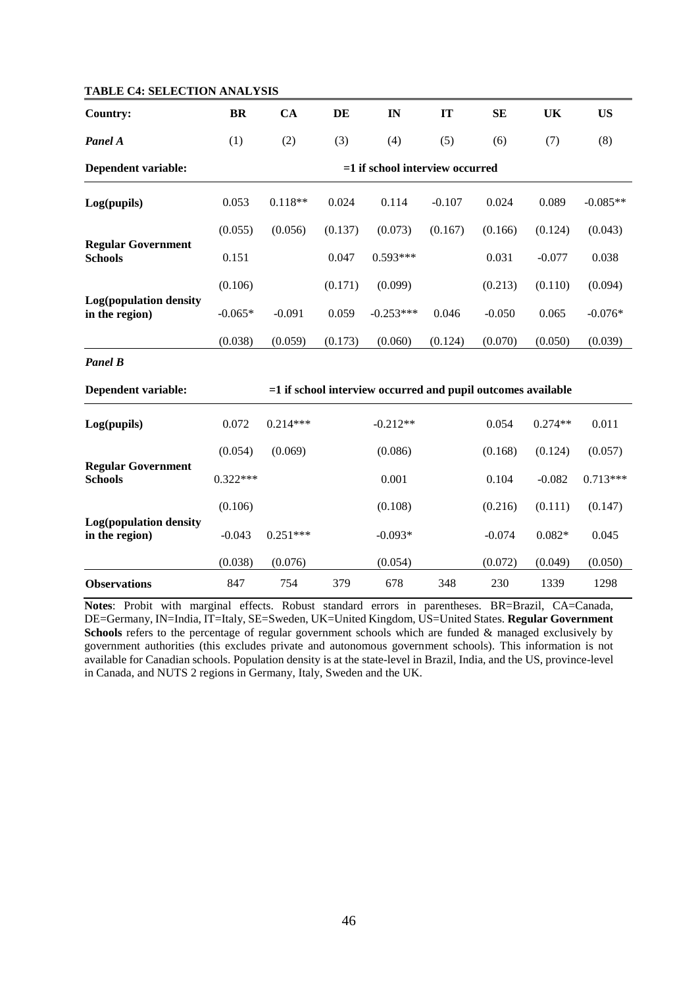| <b>IADLE C4: SELECTION ANALTSIS</b>         |            |            |         |                                                                |          |           |           |            |
|---------------------------------------------|------------|------------|---------|----------------------------------------------------------------|----------|-----------|-----------|------------|
| <b>Country:</b>                             | <b>BR</b>  | CA         | DE      | IN                                                             | IT       | <b>SE</b> | UK        | <b>US</b>  |
| Panel A                                     | (1)        | (2)        | (3)     | (4)                                                            | (5)      | (6)       | (7)       | (8)        |
| Dependent variable:                         |            |            |         | $=1$ if school interview occurred                              |          |           |           |            |
| Log(pupils)                                 | 0.053      | $0.118**$  | 0.024   | 0.114                                                          | $-0.107$ | 0.024     | 0.089     | $-0.085**$ |
|                                             | (0.055)    | (0.056)    | (0.137) | (0.073)                                                        | (0.167)  | (0.166)   | (0.124)   | (0.043)    |
| <b>Regular Government</b><br><b>Schools</b> | 0.151      |            | 0.047   | $0.593***$                                                     |          | 0.031     | $-0.077$  | 0.038      |
|                                             | (0.106)    |            | (0.171) | (0.099)                                                        |          | (0.213)   | (0.110)   | (0.094)    |
| Log(population density<br>in the region)    | $-0.065*$  | $-0.091$   | 0.059   | $-0.253***$                                                    | 0.046    | $-0.050$  | 0.065     | $-0.076*$  |
|                                             | (0.038)    | (0.059)    | (0.173) | (0.060)                                                        | (0.124)  | (0.070)   | (0.050)   | (0.039)    |
| <b>Panel B</b>                              |            |            |         |                                                                |          |           |           |            |
| <b>Dependent variable:</b>                  |            |            |         | $=1$ if school interview occurred and pupil outcomes available |          |           |           |            |
| Log(pupils)                                 | 0.072      | $0.214***$ |         | $-0.212**$                                                     |          | 0.054     | $0.274**$ | 0.011      |
|                                             | (0.054)    | (0.069)    |         | (0.086)                                                        |          | (0.168)   | (0.124)   | (0.057)    |
| <b>Regular Government</b><br><b>Schools</b> | $0.322***$ |            |         | 0.001                                                          |          | 0.104     | $-0.082$  | $0.713***$ |
|                                             | (0.106)    |            |         | (0.108)                                                        |          | (0.216)   | (0.111)   | (0.147)    |
| Log(population density<br>in the region)    | $-0.043$   | $0.251***$ |         | $-0.093*$                                                      |          | $-0.074$  | $0.082*$  | 0.045      |
|                                             | (0.038)    | (0.076)    |         | (0.054)                                                        |          | (0.072)   | (0.049)   | (0.050)    |
| <b>Observations</b>                         | 847        | 754        | 379     | 678                                                            | 348      | 230       | 1339      | 1298       |

### **TABLE C4: SELECTION ANALYSIS**

**Notes**: Probit with marginal effects. Robust standard errors in parentheses. BR=Brazil, CA=Canada, DE=Germany, IN=India, IT=Italy, SE=Sweden, UK=United Kingdom, US=United States. **Regular Government**  Schools refers to the percentage of regular government schools which are funded & managed exclusively by government authorities (this excludes private and autonomous government schools). This information is not available for Canadian schools. Population density is at the state-level in Brazil, India, and the US, province-level in Canada, and NUTS 2 regions in Germany, Italy, Sweden and the UK.